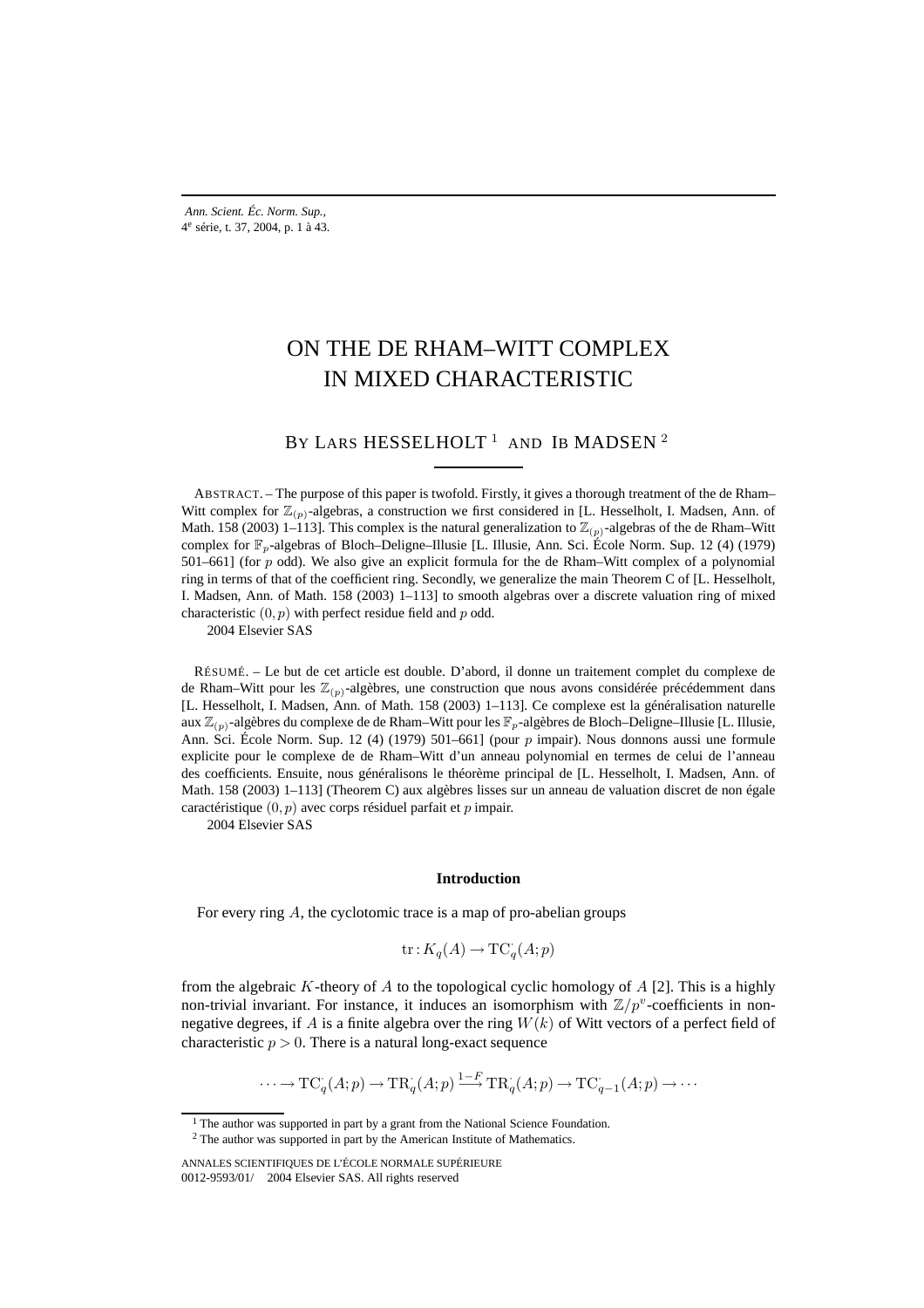# ON THE DE RHAM–WITT COMPLEX IN MIXED CHARACTERISTIC

BY LARS HESSELHOLT<sup>1</sup> AND IB MADSEN<sup>2</sup>

ABSTRACT. – The purpose of this paper is twofold. Firstly, it gives a thorough treatment of the de Rham– Witt complex for  $\mathbb{Z}_{(p)}$ -algebras, a construction we first considered in [L. Hesselholt, I. Madsen, Ann. of Math. 158 (2003) 1–113]. This complex is the natural generalization to  $\mathbb{Z}_{(p)}$ -algebras of the de Rham–Witt complex for  $\mathbb{F}_p$ -algebras of Bloch–Deligne–Illusie [L. Illusie, Ann. Sci. École Norm. Sup. 12 (4) (1979) 501–661] (for  $p$  odd). We also give an explicit formula for the de Rham–Witt complex of a polynomial ring in terms of that of the coefficient ring. Secondly, we generalize the main Theorem C of [L. Hesselholt, I. Madsen, Ann. of Math. 158 (2003) 1–113] to smooth algebras over a discrete valuation ring of mixed characteristic  $(0, p)$  with perfect residue field and p odd.

2004 Elsevier SAS

RÉSUMÉ. – Le but de cet article est double. D'abord, il donne un traitement complet du complexe de de Rham–Witt pour les  $\mathbb{Z}_{(p)}$ -algèbres, une construction que nous avons considérée précédemment dans [L. Hesselholt, I. Madsen, Ann. of Math. 158 (2003) 1–113]. Ce complexe est la généralisation naturelle aux  $\mathbb{Z}_{(p)}$ -algèbres du complexe de de Rham–Witt pour les  $\mathbb{F}_p$ -algèbres de Bloch–Deligne–Illusie [L. Illusie, Ann. Sci. École Norm. Sup. 12 (4) (1979) 501–661] (pour  $p$  impair). Nous donnons aussi une formule explicite pour le complexe de de Rham–Witt d'un anneau polynomial en termes de celui de l'anneau des coefficients. Ensuite, nous généralisons le théorème principal de [L. Hesselholt, I. Madsen, Ann. of Math. 158 (2003) 1–113] (Theorem C) aux algèbres lisses sur un anneau de valuation discret de non égale caractéristique  $(0, p)$  avec corps résiduel parfait et p impair.

2004 Elsevier SAS

## **Introduction**

For every ring A, the cyclotomic trace is a map of pro-abelian groups

$$
\operatorname{tr}: K_q(A) \to \operatorname{TC}_q(A;p)
$$

from the algebraic K-theory of A to the topological cyclic homology of  $A$  [2]. This is a highly non-trivial invariant. For instance, it induces an isomorphism with  $\mathbb{Z}/p^v$ -coefficients in nonnegative degrees, if A is a finite algebra over the ring  $W(k)$  of Witt vectors of a perfect field of characteristic  $p > 0$ . There is a natural long-exact sequence

$$
\cdots \to \mathrm{TC}_q(A;p) \to \mathrm{TR}_q(A;p) \xrightarrow{1-F} \mathrm{TR}_q(A;p) \to \mathrm{TC}_{q-1}(A;p) \to \cdots
$$

<sup>&</sup>lt;sup>1</sup> The author was supported in part by a grant from the National Science Foundation.

<sup>&</sup>lt;sup>2</sup> The author was supported in part by the American Institute of Mathematics.

ANNALES SCIENTIFIQUES DE L'ÉCOLE NORMALE SUPÉRIEURE 0012-9593/01/© 2004 Elsevier SAS. All rights reserved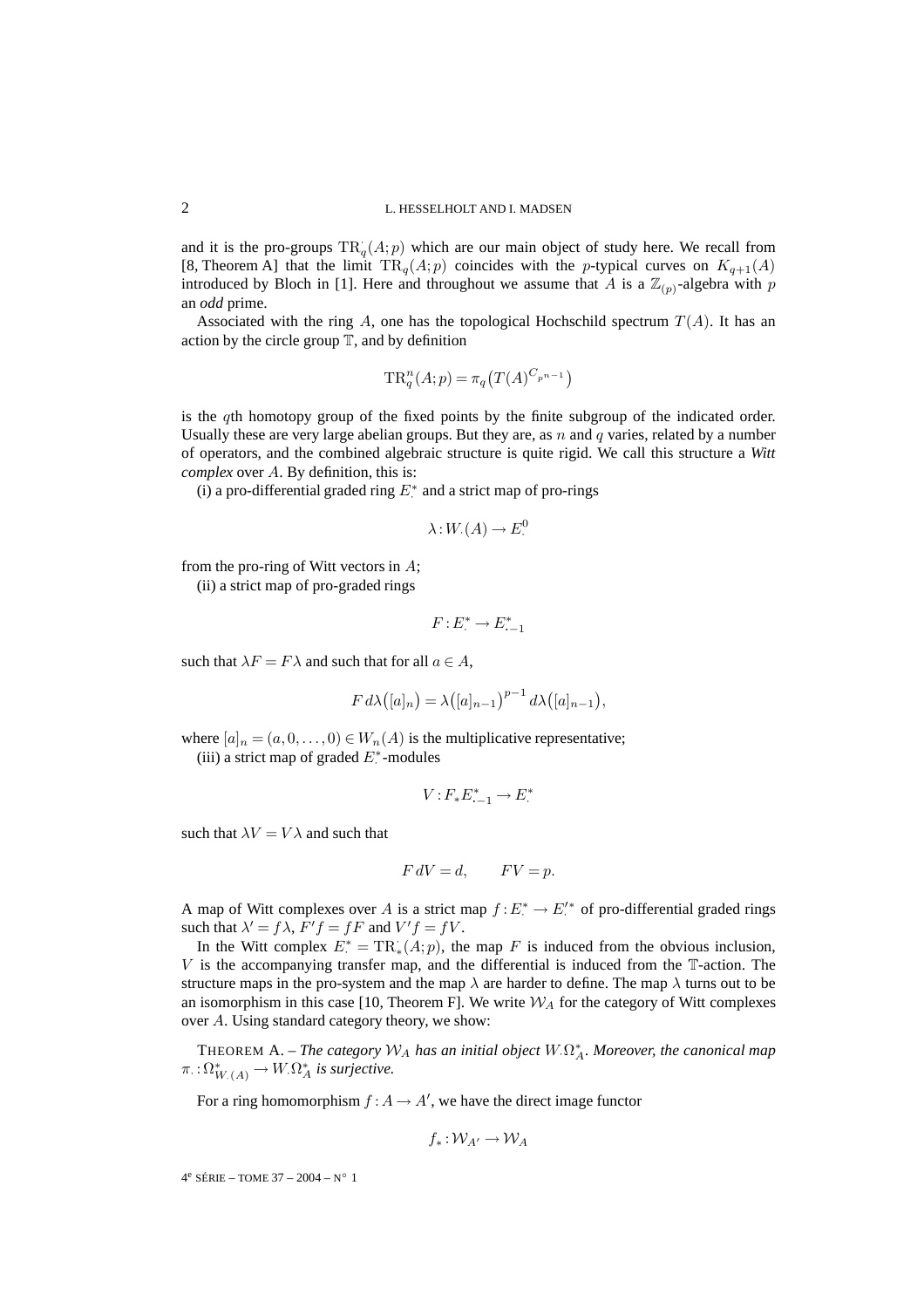and it is the pro-groups  $TR_q(A;p)$  which are our main object of study here. We recall from [8, Theorem A] that the limit  $TR_q(A;p)$  coincides with the p-typical curves on  $K_{q+1}(A)$ introduced by Bloch in [1]. Here and throughout we assume that A is a  $\mathbb{Z}_{(p)}$ -algebra with p an *odd* prime.

Associated with the ring A, one has the topological Hochschild spectrum  $T(A)$ . It has an action by the circle group  $T$ , and by definition

$$
\mathrm{TR}^n_q(A;p) = \pi_q\big(T(A)^{C_{p^{n-1}}}\big)
$$

is the qth homotopy group of the fixed points by the finite subgroup of the indicated order. Usually these are very large abelian groups. But they are, as n and q varies, related by a number of operators, and the combined algebraic structure is quite rigid. We call this structure a *Witt complex* over A. By definition, this is:

(i) a pro-differential graded ring  $E^*$  and a strict map of pro-rings

$$
\lambda: W_{\cdot}(A) \to E^0_{\cdot}
$$

from the pro-ring of Witt vectors in A;

(ii) a strict map of pro-graded rings

$$
F: E^* \to E^*_{-1}
$$

such that  $\lambda F = F \lambda$  and such that for all  $a \in A$ ,

$$
F d\lambda([a]_n) = \lambda([a]_{n-1})^{p-1} d\lambda([a]_{n-1}),
$$

where  $[a]_n = (a, 0, \ldots, 0) \in W_n(A)$  is the multiplicative representative;

(iii) a strict map of graded  $E^*$ -modules

$$
V: F_*E_{\cdot-1}^* \to E^*.
$$

such that  $\lambda V = V \lambda$  and such that

$$
F dV = d, \qquad FV = p.
$$

A map of Witt complexes over A is a strict map  $f: E^* \to E'^*$  of pro-differential graded rings such that  $\lambda' = f\lambda$ ,  $F'f = fF$  and  $V'f = fV$ .

In the Witt complex  $E^* = TR_*(A;p)$ , the map F is induced from the obvious inclusion,  $V$  is the accompanying transfer map, and the differential is induced from the  $\mathbb T$ -action. The structure maps in the pro-system and the map  $\lambda$  are harder to define. The map  $\lambda$  turns out to be an isomorphism in this case [10, Theorem F]. We write  $W_A$  for the category of Witt complexes over A. Using standard category theory, we show:

THEOREM A. – *The category* W<sup>A</sup> *has an initial object* W·Ω<sup>∗</sup> <sup>A</sup>*. Moreover, the canonical map*  $\pi_{\cdot}:\Omega^*_{W_{\cdot}(A)}\to W_{\cdot}\Omega^*_A$  *is surjective.* 

For a ring homomorphism  $f : A \to A'$ , we have the direct image functor

$$
f_*:\mathcal{W}_{A'}\to\mathcal{W}_A
$$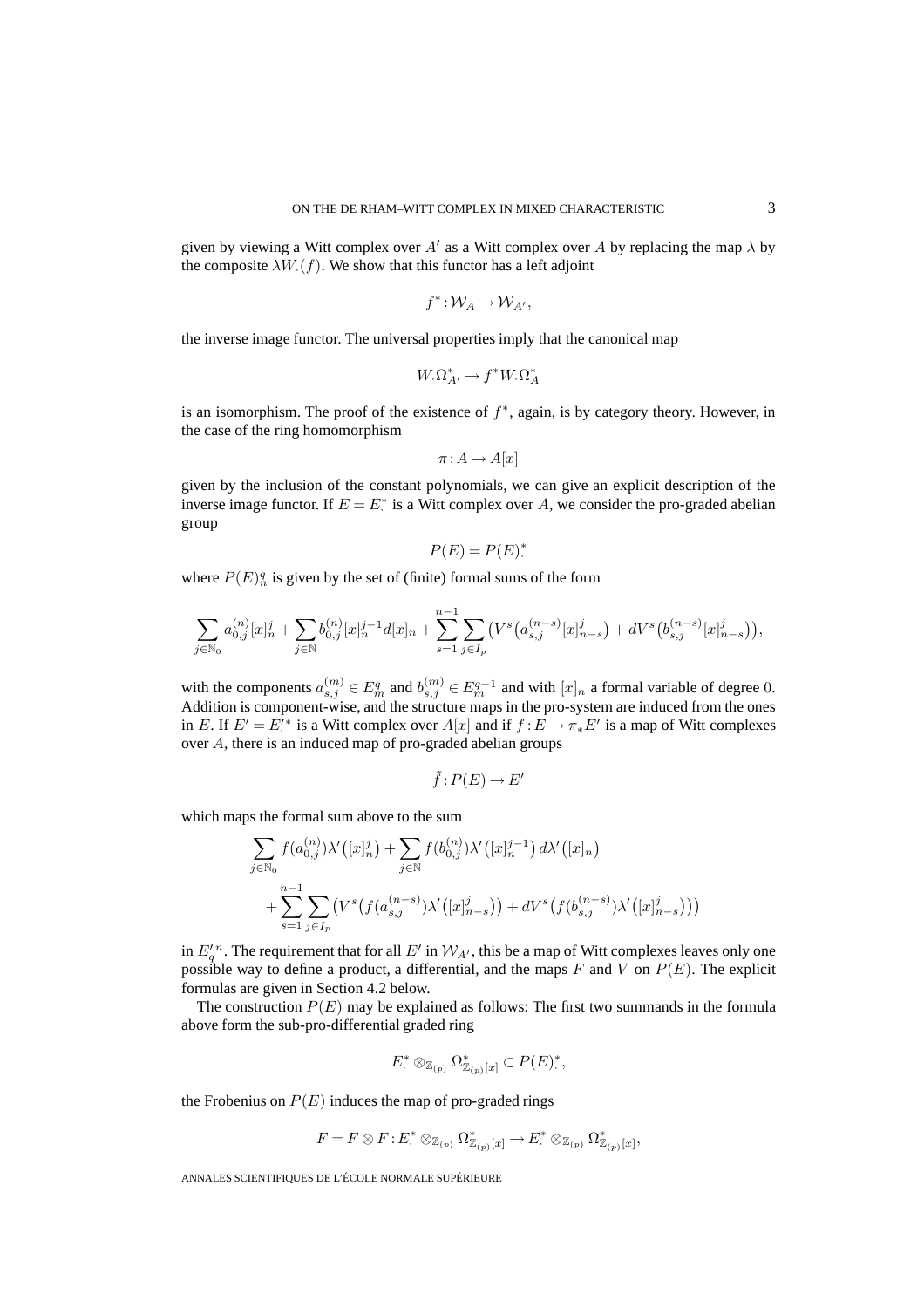given by viewing a Witt complex over A' as a Witt complex over A by replacing the map  $\lambda$  by the composite  $\lambda W(t)$ . We show that this functor has a left adjoint

$$
f^*:\mathcal{W}_A\to\mathcal{W}_{A'},
$$

the inverse image functor. The universal properties imply that the canonical map

$$
W_{\cdot}\Omega^*_{A'} \to f^*W_{\cdot}\Omega^*_{A}
$$

is an isomorphism. The proof of the existence of  $f^*$ , again, is by category theory. However, in the case of the ring homomorphism

$$
\pi: A \to A[x]
$$

given by the inclusion of the constant polynomials, we can give an explicit description of the inverse image functor. If  $E = E^*$  is a Witt complex over A, we consider the pro-graded abelian group

$$
P(E) = P(E)^*
$$

where  $P(E)^q_n$  is given by the set of (finite) formal sums of the form

$$
\sum_{j \in \mathbb{N}_0} a_{0,j}^{(n)} [x]_n^j + \sum_{j \in \mathbb{N}} b_{0,j}^{(n)} [x]_n^{j-1} d[x]_n + \sum_{s=1}^{n-1} \sum_{j \in I_p} \left( V^s \big( a_{s,j}^{(n-s)} [x]_{n-s}^j \big) + dV^s \big( b_{s,j}^{(n-s)} [x]_{n-s}^j \big) \right),
$$

with the components  $a_{s,j}^{(m)} \in E_m^q$  and  $b_{s,j}^{(m)} \in E_m^{q-1}$  and with  $[x]_n$  a formal variable of degree 0. Addition is component-wise, and the structure maps in the pro-system are induced from the ones in E. If  $E' = E'^*$  is a Witt complex over  $A[x]$  and if  $f : E \to \pi_* E'$  is a map of Witt complexes · over A, there is an induced map of pro-graded abelian groups

$$
\tilde{f}: P(E) \to E'
$$

which maps the formal sum above to the sum

$$
\sum_{j \in \mathbb{N}_0} f(a_{0,j}^{(n)}) \lambda'([x]_n^j) + \sum_{j \in \mathbb{N}} f(b_{0,j}^{(n)}) \lambda'([x]_n^{j-1}) d\lambda'([x]_n)
$$
  
+ 
$$
\sum_{s=1}^{n-1} \sum_{j \in I_p} (V^s(f(a_{s,j}^{(n-s)}) \lambda'([x]_{n-s}^j)) + dV^s(f(b_{s,j}^{(n-s)}) \lambda'([x]_{n-s}^j)))
$$

in  $E_q'^n$ . The requirement that for all  $E'$  in  $\mathcal{W}_{A'}$ , this be a map of Witt complexes leaves only one possible way to define a product, a differential, and the maps F and V on  $P(E)$ . The explicit formulas are given in Section 4.2 below.

The construction  $P(E)$  may be explained as follows: The first two summands in the formula above form the sub-pro-differential graded ring

$$
E^* \otimes_{\mathbb{Z}_{(p)}} \Omega^*_{\mathbb{Z}_{(p)}[x]} \subset P(E)^*,
$$

the Frobenius on  $P(E)$  induces the map of pro-graded rings

$$
F = F \otimes F : E^* \otimes_{\mathbb{Z}_{(p)}} \Omega^*_{\mathbb{Z}_{(p)}[x]} \to E^* \otimes_{\mathbb{Z}_{(p)}} \Omega^*_{\mathbb{Z}_{(p)}[x]},
$$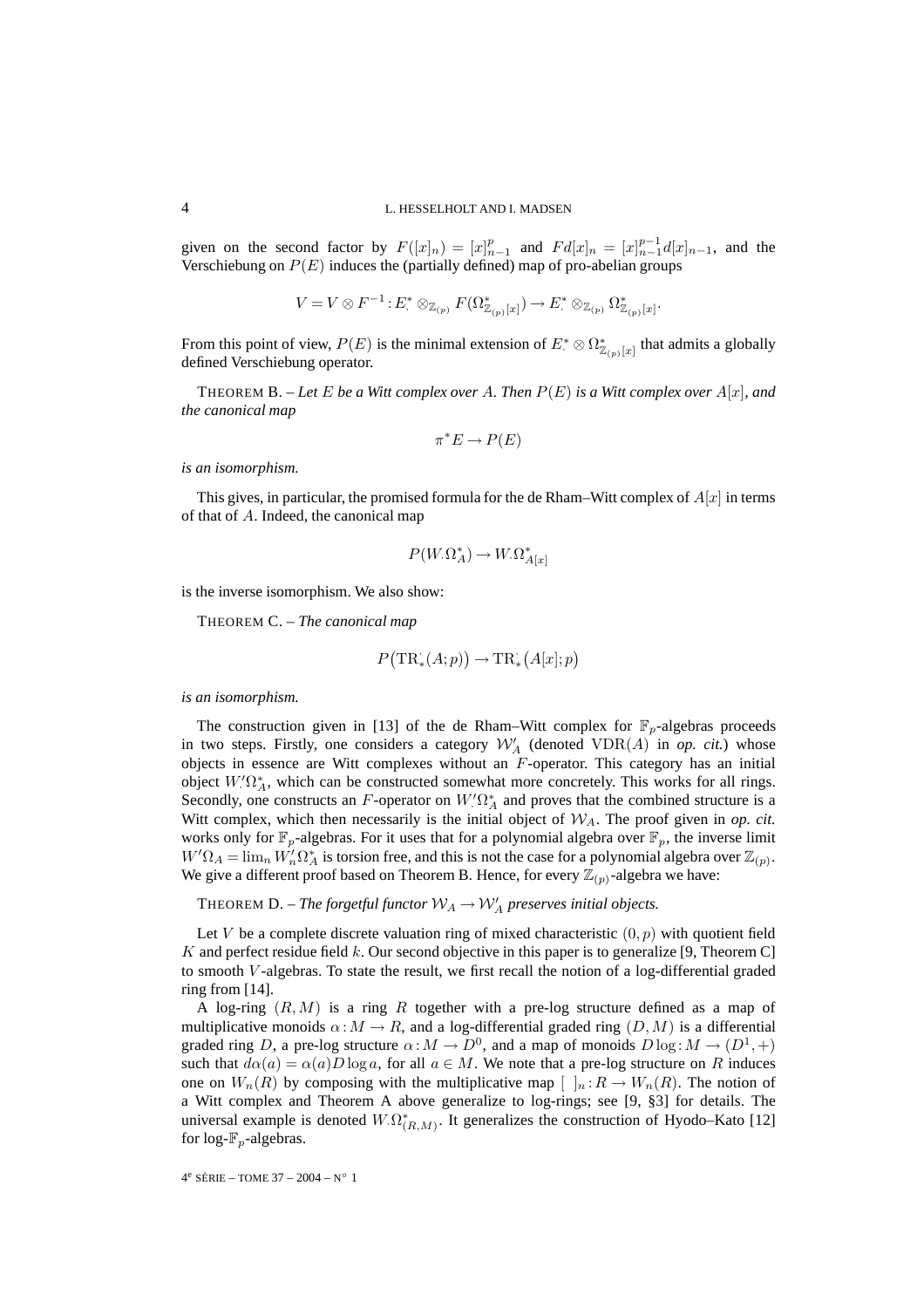given on the second factor by  $F([x]_n) = [x]_{n-1}^p$  and  $Fd[x]_n = [x]_{n-1}^{p-1}d[x]_{n-1}$ , and the Verschiebung on  $P(E)$  induces the (partially defined) map of pro-abelian groups

$$
V=V\otimes F^{-1}\colon E^*\otimes_{\mathbb{Z}_{(p)}}F(\Omega^*_{\mathbb{Z}_{(p)}[x]})\to E^*\otimes_{\mathbb{Z}_{(p)}}\Omega^*_{\mathbb{Z}_{(p)}[x]}.
$$

From this point of view,  $P(E)$  is the minimal extension of  $E^* \otimes \Omega^*_{\mathbb{Z}_{(p)}[x]}$  that admits a globally defined Verschiebung operator.

THEOREM B. – Let E be a Witt complex over A. Then  $P(E)$  is a Witt complex over  $A[x]$ *, and the canonical map*

$$
\pi^* E \to P(E)
$$

*is an isomorphism.*

This gives, in particular, the promised formula for the de Rham–Witt complex of  $A[x]$  in terms of that of A. Indeed, the canonical map

$$
P(W_{\cdot} \Omega^*_{A}) \to W_{\cdot} \Omega^*_{A[x]}
$$

is the inverse isomorphism. We also show:

THEOREM C. – *The canonical map*

$$
P\big(\mathrm{TR}^\cdot_\ast(A;p)\big) \to \mathrm{TR}^\cdot_\ast\big(A[x];p\big)
$$

*is an isomorphism.*

The construction given in [13] of the de Rham–Witt complex for  $\mathbb{F}_p$ -algebras proceeds in two steps. Firstly, one considers a category  $\mathcal{W}'_A$  (denoted  $VDR(A)$  in *op. cit.*) whose objects in essence are Witt complexes without an F-operator. This category has an initial object  $W' \Omega_A^*$ , which can be constructed somewhat more concretely. This works for all rings. Secondly, one constructs an F-operator on  $W' \Omega_A^*$  and proves that the combined structure is a Witt complex, which then necessarily is the initial object of  $W_A$ . The proof given in *op. cit.* works only for  $\mathbb{F}_p$ -algebras. For it uses that for a polynomial algebra over  $\mathbb{F}_p$ , the inverse limit  $W'\Omega_A = \lim_n W'_n \Omega_A^*$  is torsion free, and this is not the case for a polynomial algebra over  $\mathbb{Z}_{(p)}$ . We give a different proof based on Theorem B. Hence, for every  $\mathbb{Z}_{(p)}$ -algebra we have:

THEOREM  $D$ *. – The forgetful functor*  $\mathcal{W}_A \to \mathcal{W}'_A$  preserves initial objects.

Let V be a complete discrete valuation ring of mixed characteristic  $(0, p)$  with quotient field K and perfect residue field  $k$ . Our second objective in this paper is to generalize [9, Theorem C] to smooth V -algebras. To state the result, we first recall the notion of a log-differential graded ring from [14].

A log-ring  $(R, M)$  is a ring R together with a pre-log structure defined as a map of multiplicative monoids  $\alpha: M \to R$ , and a log-differential graded ring  $(D, M)$  is a differential graded ring D, a pre-log structure  $\alpha: M \to D^0$ , and a map of monoids  $D \log : M \to (D^1, +)$ such that  $d\alpha(a) = \alpha(a)D\log a$ , for all  $a \in M$ . We note that a pre-log structure on R induces one on  $W_n(R)$  by composing with the multiplicative map  $\left[\n\cdot\right]_n:R\to W_n(R)$ . The notion of a Witt complex and Theorem A above generalize to log-rings; see [9, §3] for details. The universal example is denoted  $W.\Omega^*_{(R,M)}$ . It generalizes the construction of Hyodo–Kato [12] for log- $\mathbb{F}_p$ -algebras.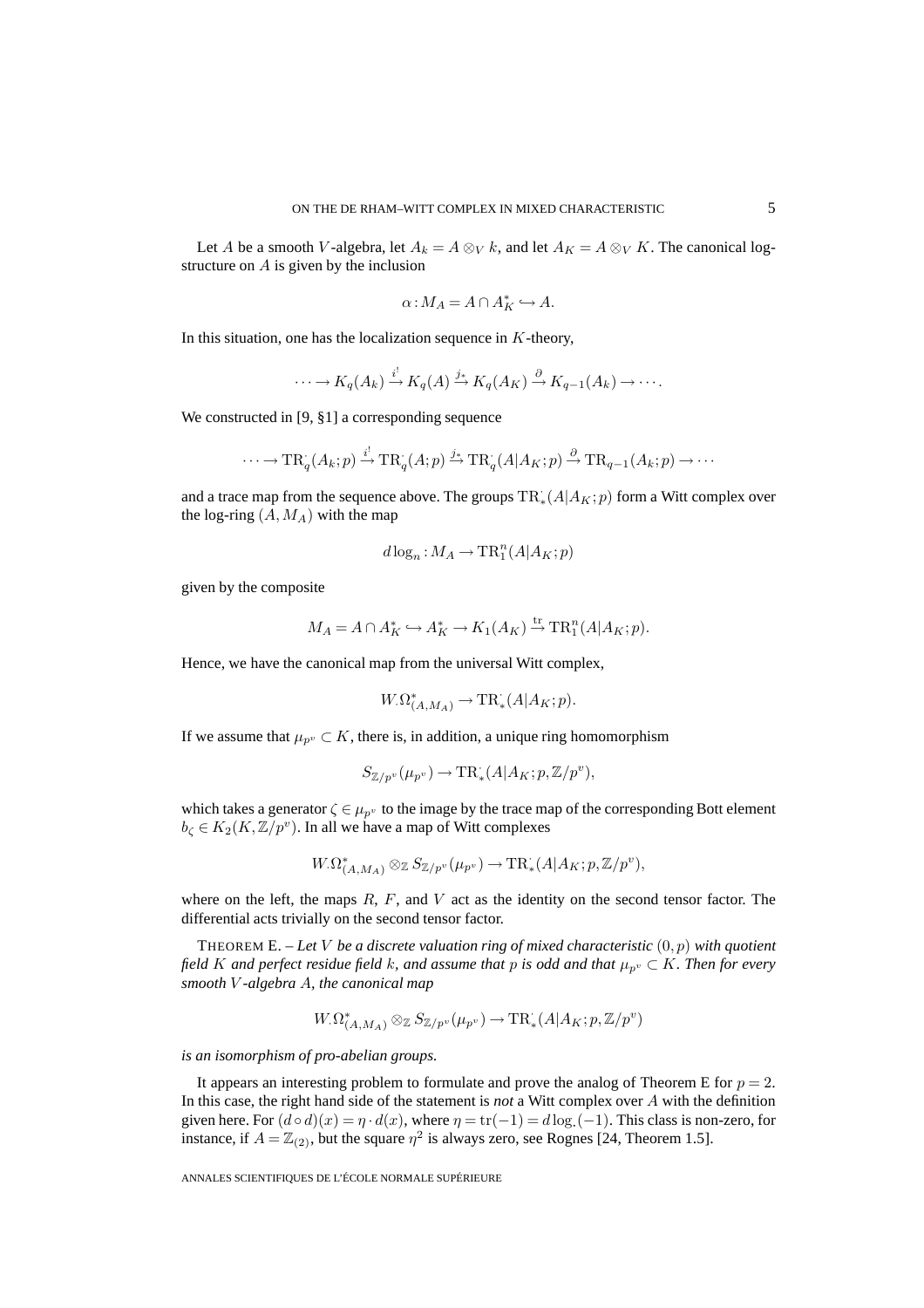Let A be a smooth V-algebra, let  $A_k = A \otimes_V k$ , and let  $A_K = A \otimes_V K$ . The canonical logstructure on A is given by the inclusion

$$
\alpha: M_A = A \cap A_K^* \hookrightarrow A.
$$

In this situation, one has the localization sequence in  $K$ -theory,

$$
\cdots \to K_q(A_k) \xrightarrow{i^!} K_q(A) \xrightarrow{j_*} K_q(A_K) \xrightarrow{\partial} K_{q-1}(A_k) \to \cdots.
$$

We constructed in [9, §1] a corresponding sequence

$$
\cdots \to \mathrm{TR}_{q}(A_{k}; p) \xrightarrow{i^{!}} \mathrm{TR}_{q}(A; p) \xrightarrow{j_{*}} \mathrm{TR}_{q}(A|A_{K}; p) \xrightarrow{\partial} \mathrm{TR}_{q-1}(A_{k}; p) \to \cdots
$$

and a trace map from the sequence above. The groups  $TR_*(A|A_K; p)$  form a Witt complex over the log-ring  $(A, M_A)$  with the map

$$
d\log_n: M_A \to \mathrm{TR}^n_1(A|A_K;p)
$$

given by the composite

$$
M_A = A \cap A_K^* \hookrightarrow A_K^* \to K_1(A_K) \stackrel{\text{tr}}{\to} \operatorname{TR}_1^n(A|A_K; p).
$$

Hence, we have the canonical map from the universal Witt complex,

$$
W_{\cdot} \Omega^*_{(A,M_A)} \to \mathrm{TR}^{\cdot}_*(A|A_K;p).
$$

If we assume that  $\mu_{p^v} \subset K$ , there is, in addition, a unique ring homomorphism

$$
S_{\mathbb{Z}/p^v}(\mu_{p^v})\rightarrow \mathrm{TR}^{\cdot}_*(A|A_K;p,\mathbb{Z}/p^v),
$$

which takes a generator  $\zeta \in \mu_{p^v}$  to the image by the trace map of the corresponding Bott element  $b_{\zeta} \in K_2(K, \mathbb{Z}/p^v)$ . In all we have a map of Witt complexes

$$
W_{\cdot} \Omega^*_{(A,M_A)} \otimes_{\mathbb{Z}} S_{\mathbb{Z}/p^v}(\mu_{p^v}) \to \mathrm{TR}^*_{*}(A|A_K; p, \mathbb{Z}/p^v),
$$

where on the left, the maps  $R$ ,  $F$ , and  $V$  act as the identity on the second tensor factor. The differential acts trivially on the second tensor factor.

THEOREM E. – *Let* V *be a discrete valuation ring of mixed characteristic* (0, p) *with quotient field* K and perfect residue field k, and assume that p is odd and that  $\mu_{p^v} \subset K$ . Then for every *smooth* V *-algebra* A*, the canonical map*

$$
W_{\cdot} \Omega_{(A,M_A)}^* \otimes_{\mathbb{Z}} S_{\mathbb{Z}/p^v}(\mu_{p^v}) \to \operatorname{TR}^{\cdot}_*(A \vert A_K;p, \mathbb{Z}/p^v)
$$

*is an isomorphism of pro-abelian groups.*

It appears an interesting problem to formulate and prove the analog of Theorem E for  $p = 2$ . In this case, the right hand side of the statement is *not* a Witt complex over A with the definition given here. For  $(d \circ d)(x) = \eta \cdot d(x)$ , where  $\eta = \text{tr}(-1) = d \log(-1)$ . This class is non-zero, for instance, if  $A = \mathbb{Z}_{(2)}$ , but the square  $\eta^2$  is always zero, see Rognes [24, Theorem 1.5].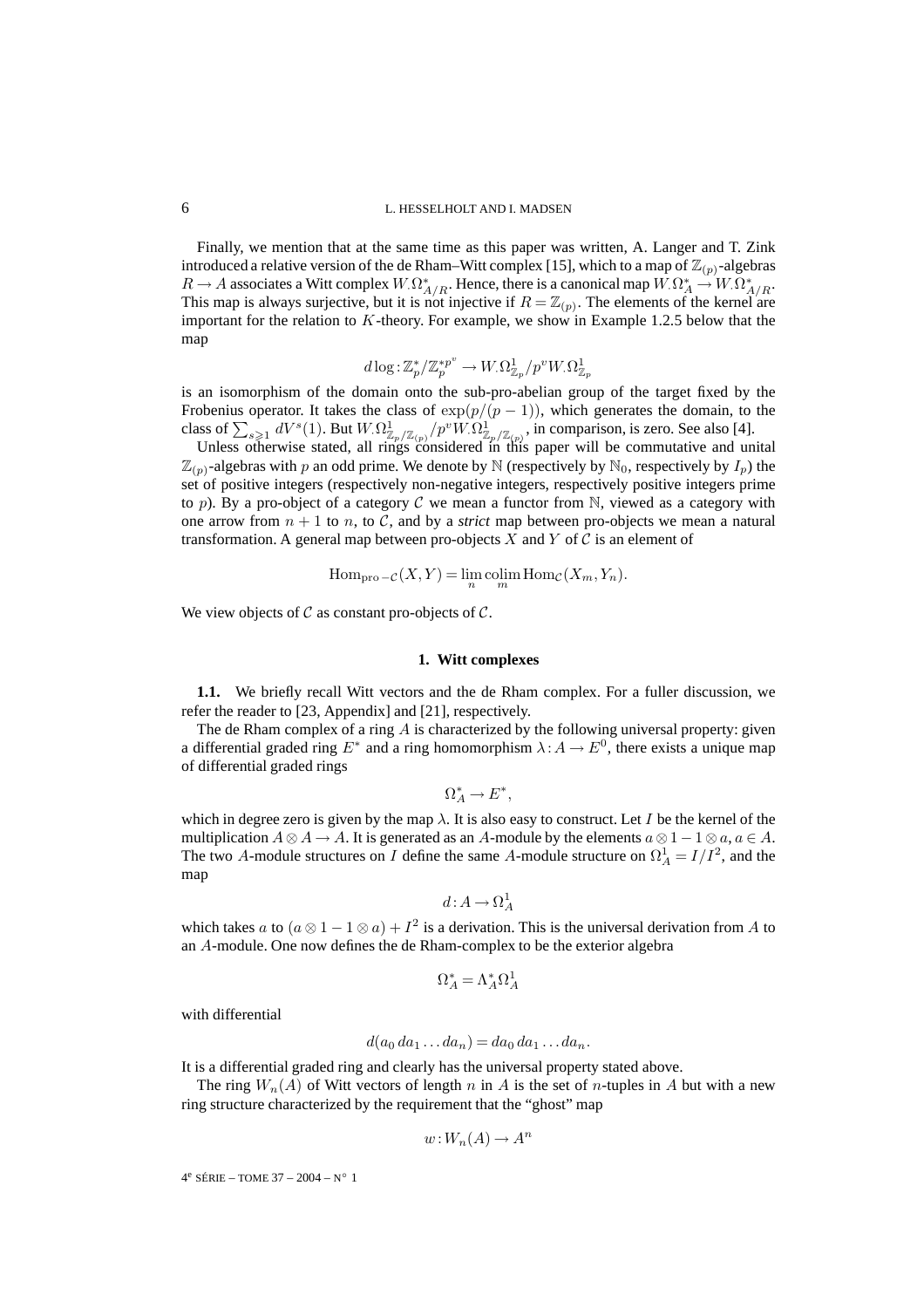Finally, we mention that at the same time as this paper was written, A. Langer and T. Zink introduced a relative version of the de Rham–Witt complex [15], which to a map of  $\mathbb{Z}_{(p)}$ -algebras  $R \to A$  associates a Witt complex  $W_{\cdot} \Omega^*_{A/R}$ . Hence, there is a canonical map  $W_{\cdot} \Omega^*_{A} \to W_{\cdot} \Omega^*_{A/R}$ . This map is always surjective, but it is not injective if  $R = \mathbb{Z}_{(p)}$ . The elements of the kernel are important for the relation to  $K$ -theory. For example, we show in Example 1.2.5 below that the map

$$
d\log\!:\! \mathbb{Z}_p^*/\mathbb{Z}_p^{*p^v} \rightarrow W_{\cdot}\Omega^1_{\mathbb{Z}_p}/p^vW_{\cdot}\Omega^1_{\mathbb{Z}_p}
$$

is an isomorphism of the domain onto the sub-pro-abelian group of the target fixed by the Frobenius operator. It takes the class of  $exp(p/(p-1))$ , which generates the domain, to the class of  $\sum_{s\geqslant 1} dV^s(1)$ . But  $W.\Omega^1_{\mathbb{Z}_p/\mathbb{Z}_{(p)}}/p^v W.\Omega^1_{\mathbb{Z}_p/\mathbb{Z}_{(p)}}$ , in comparison, is zero. See also [4].

Unless otherwise stated, all rings considered in this paper will be commutative and unital  $\mathbb{Z}_{(p)}$ -algebras with p an odd prime. We denote by N (respectively by N<sub>0</sub>, respectively by  $I_p$ ) the set of positive integers (respectively non-negative integers, respectively positive integers prime to p). By a pro-object of a category C we mean a functor from  $\mathbb N$ , viewed as a category with one arrow from  $n + 1$  to n, to C, and by a *strict* map between pro-objects we mean a natural transformation. A general map between pro-objects  $X$  and  $Y$  of  $C$  is an element of

$$
\operatorname{Hom}_{\text{pro} -\mathcal{C}}(X, Y) = \lim_{n} \operatorname{colim}_{m} \operatorname{Hom}_{\mathcal{C}}(X_m, Y_n).
$$

We view objects of  $\mathcal C$  as constant pro-objects of  $\mathcal C$ .

#### **1. Witt complexes**

**1.1.** We briefly recall Witt vectors and the de Rham complex. For a fuller discussion, we refer the reader to [23, Appendix] and [21], respectively.

The de Rham complex of a ring  $A$  is characterized by the following universal property: given a differential graded ring  $E^*$  and a ring homomorphism  $\lambda: A \to E^0$ , there exists a unique map of differential graded rings

 $\Omega^*_A \to E^*,$ 

which in degree zero is given by the map  $\lambda$ . It is also easy to construct. Let I be the kernel of the multiplication  $A \otimes A \to A$ . It is generated as an A-module by the elements  $a \otimes 1 - 1 \otimes a$ ,  $a \in A$ . The two A-module structures on I define the same A-module structure on  $\Omega_A^1 = I/I^2$ , and the map

$$
d: A \to \Omega^1_A
$$

which takes a to  $(a \otimes 1 - 1 \otimes a) + I^2$  is a derivation. This is the universal derivation from A to an A-module. One now defines the de Rham-complex to be the exterior algebra

$$
\Omega^*_A = \Lambda^*_A \Omega^1_A
$$

with differential

$$
d(a_0 da_1 \dots da_n) = da_0 da_1 \dots da_n.
$$

It is a differential graded ring and clearly has the universal property stated above.

The ring  $W_n(A)$  of Witt vectors of length n in A is the set of n-tuples in A but with a new ring structure characterized by the requirement that the "ghost" map

$$
w: W_n(A) \to A^n
$$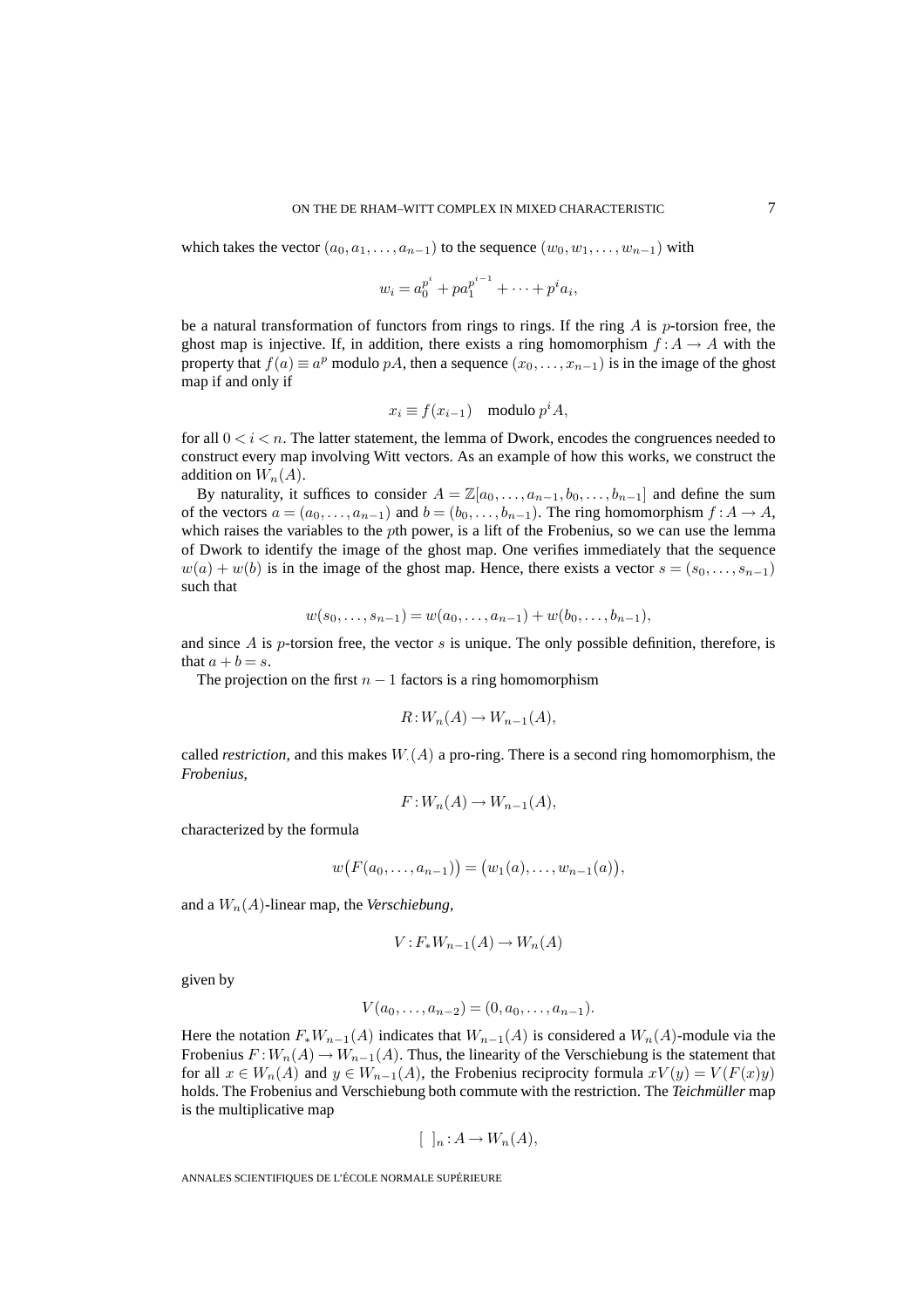which takes the vector  $(a_0, a_1, \ldots, a_{n-1})$  to the sequence  $(w_0, w_1, \ldots, w_{n-1})$  with

 $w_i = a_0^{p^i} + p a_1^{p^{i-1}} + \cdots + p^i a_i,$ 

be a natural transformation of functors from rings to rings. If the ring  $\vec{A}$  is p-torsion free, the ghost map is injective. If, in addition, there exists a ring homomorphism  $f: A \rightarrow A$  with the property that  $f(a) \equiv a^p$  modulo pA, then a sequence  $(x_0, \ldots, x_{n-1})$  is in the image of the ghost map if and only if

$$
x_i \equiv f(x_{i-1}) \mod p^i A,
$$

for all  $0 < i < n$ . The latter statement, the lemma of Dwork, encodes the congruences needed to construct every map involving Witt vectors. As an example of how this works, we construct the addition on  $W_n(A)$ .

By naturality, it suffices to consider  $A = \mathbb{Z}[a_0, \ldots, a_{n-1}, b_0, \ldots, b_{n-1}]$  and define the sum of the vectors  $a = (a_0, \ldots, a_{n-1})$  and  $b = (b_0, \ldots, b_{n-1})$ . The ring homomorphism  $f : A \to A$ , which raises the variables to the *pth* power, is a lift of the Frobenius, so we can use the lemma of Dwork to identify the image of the ghost map. One verifies immediately that the sequence  $w(a) + w(b)$  is in the image of the ghost map. Hence, there exists a vector  $s = (s_0, \ldots, s_{n-1})$ such that

$$
w(s_0,\ldots,s_{n-1})=w(a_0,\ldots,a_{n-1})+w(b_0,\ldots,b_{n-1}),
$$

and since  $A$  is  $p$ -torsion free, the vector  $s$  is unique. The only possible definition, therefore, is that  $a + b = s$ .

The projection on the first  $n - 1$  factors is a ring homomorphism

$$
R: W_n(A) \to W_{n-1}(A),
$$

called *restriction*, and this makes  $W(A)$  a pro-ring. There is a second ring homomorphism, the *Frobenius*,

$$
F: W_n(A) \to W_{n-1}(A),
$$

characterized by the formula

$$
w(F(a_0,...,a_{n-1}))=(w_1(a),...,w_{n-1}(a)),
$$

and a  $W_n(A)$ -linear map, the *Verschiebung*,

$$
V: F_*W_{n-1}(A) \to W_n(A)
$$

given by

$$
V(a_0,\ldots,a_{n-2})=(0,a_0,\ldots,a_{n-1}).
$$

Here the notation  $F_*W_{n-1}(A)$  indicates that  $W_{n-1}(A)$  is considered a  $W_n(A)$ -module via the Frobenius  $F:W_n(A) \to W_{n-1}(A)$ . Thus, the linearity of the Verschiebung is the statement that for all  $x \in W_n(A)$  and  $y \in W_{n-1}(A)$ , the Frobenius reciprocity formula  $xV(y) = V(F(x)y)$ holds. The Frobenius and Verschiebung both commute with the restriction. The *Teichmüller* map is the multiplicative map

$$
[\ ]_n : A \to W_n(A),
$$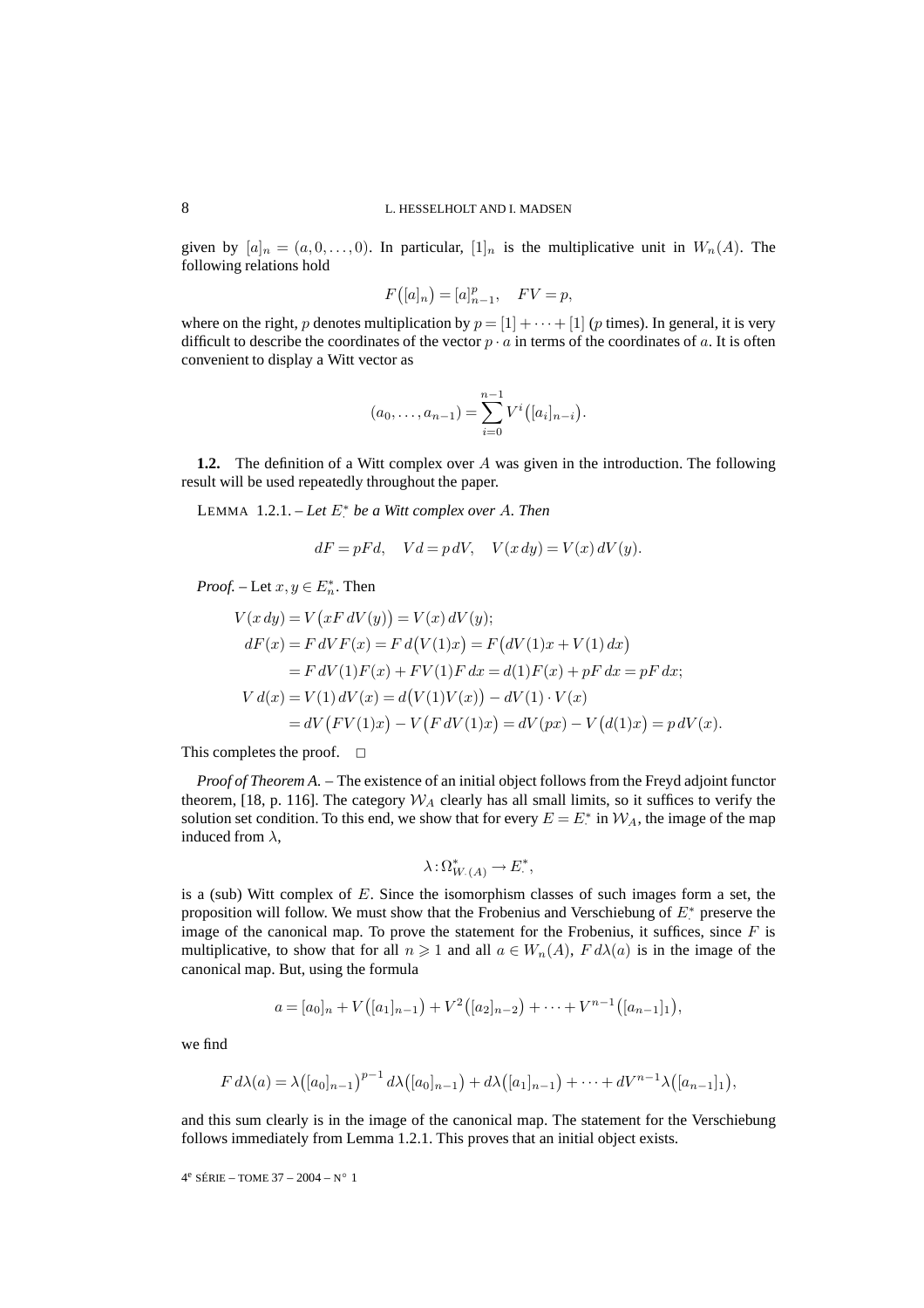given by  $[a]_n = (a, 0, \ldots, 0)$ . In particular,  $[1]_n$  is the multiplicative unit in  $W_n(A)$ . The following relations hold

$$
F([a]_n) = [a]_{n-1}^p, \quad FV = p,
$$

where on the right, p denotes multiplication by  $p = [1] + \cdots + [1]$  (p times). In general, it is very difficult to describe the coordinates of the vector  $p \cdot a$  in terms of the coordinates of a. It is often convenient to display a Witt vector as

$$
(a_0,\ldots,a_{n-1})=\sum_{i=0}^{n-1}V^i([a_i]_{n-i}).
$$

**1.2.** The definition of a Witt complex over A was given in the introduction. The following result will be used repeatedly throughout the paper.

LEMMA 1.2.1. – *Let* E<sup>∗</sup> · *be a Witt complex over* A*. Then*

$$
dF = pFd, \quad Vd = p dV, \quad V(x dy) = V(x) dV(y).
$$

*Proof.* – Let  $x, y \in E_n^*$ . Then

$$
V(x \, dy) = V(x \, dV(y)) = V(x) \, dV(y);
$$
  
\n
$$
dF(x) = F \, dV F(x) = F \, d(V(1)x) = F (dV(1)x + V(1) \, dx)
$$
  
\n
$$
= F \, dV(1)F(x) + FV(1)F \, dx = d(1)F(x) + pF \, dx = pF \, dx;
$$
  
\n
$$
V \, d(x) = V(1) \, dV(x) = d(V(1)V(x)) - dV(1) \cdot V(x)
$$
  
\n
$$
= dV (FV(1)x) - V (F \, dV(1)x) = dV(px) - V (d(1)x) = p \, dV(x).
$$

This completes the proof.  $\square$ 

*Proof of Theorem A.* – The existence of an initial object follows from the Freyd adjoint functor theorem, [18, p. 116]. The category  $W_A$  clearly has all small limits, so it suffices to verify the solution set condition. To this end, we show that for every  $E = E^*$  in  $\mathcal{W}_A$ , the image of the map induced from  $\lambda$ ,

$$
\lambda: \Omega^*_{W_{\cdot}(A)} \to E^*,
$$

is a (sub) Witt complex of  $E$ . Since the isomorphism classes of such images form a set, the proposition will follow. We must show that the Frobenius and Verschiebung of  $E^*$  preserve the image of the canonical map. To prove the statement for the Frobenius, it suffices, since  $F$  is multiplicative, to show that for all  $n \geq 1$  and all  $a \in W_n(A)$ ,  $F d\lambda(a)$  is in the image of the canonical map. But, using the formula

$$
a = [a_0]_n + V([a_1]_{n-1}) + V^2([a_2]_{n-2}) + \cdots + V^{n-1}([a_{n-1}]_1),
$$

we find

$$
F d\lambda(a) = \lambda([a_0]_{n-1})^{p-1} d\lambda([a_0]_{n-1}) + d\lambda([a_1]_{n-1}) + \cdots + dV^{n-1}\lambda([a_{n-1}]_1),
$$

and this sum clearly is in the image of the canonical map. The statement for the Verschiebung follows immediately from Lemma 1.2.1. This proves that an initial object exists.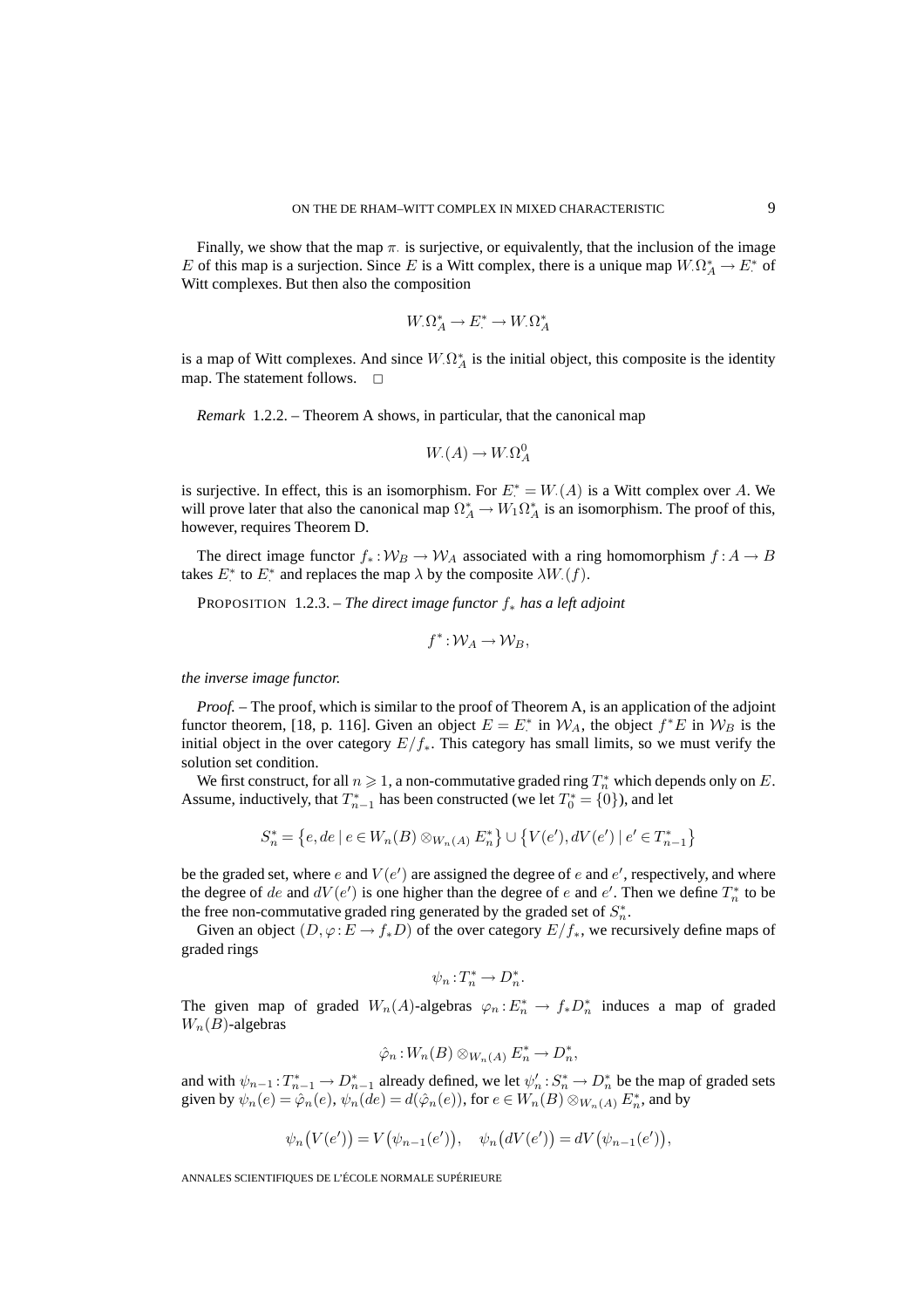Finally, we show that the map  $\pi$  is surjective, or equivalently, that the inclusion of the image E of this map is a surjection. Since E is a Witt complex, there is a unique map  $W.\Omega^*_A \to E^*$  of Witt complexes. But then also the composition

$$
W_{\cdot}\Omega^*_{A} \to E^* \to W_{\cdot}\Omega^*_{A}
$$

is a map of Witt complexes. And since  $W.\Omega^*_A$  is the initial object, this composite is the identity map. The statement follows.  $\square$ 

*Remark* 1.2.2. – Theorem A shows, in particular, that the canonical map

$$
W_{\cdot}(A) \to W_{\cdot} \Omega_A^0
$$

is surjective. In effect, this is an isomorphism. For  $E^* = W(A)$  is a Witt complex over A. We will prove later that also the canonical map  $\Omega^*_A \to W_1 \Omega^*_A$  is an isomorphism. The proof of this, however, requires Theorem D.

The direct image functor  $f_* : W_B \to W_A$  associated with a ring homomorphism  $f : A \to B$ takes  $E^*$  to  $E^*$  and replaces the map  $\lambda$  by the composite  $\lambda W(f)$ .

PROPOSITION 1.2.3. – *The direct image functor* f<sup>∗</sup> *has a left adjoint*

$$
f^*: \mathcal{W}_A \to \mathcal{W}_B,
$$

*the inverse image functor.*

*Proof.* – The proof, which is similar to the proof of Theorem A, is an application of the adjoint functor theorem, [18, p. 116]. Given an object  $E = E^*$  in  $W_A$ , the object  $f^*E$  in  $W_B$  is the initial object in the over category  $E/f_*$ . This category has small limits, so we must verify the solution set condition.

We first construct, for all  $n \geqslant 1$ , a non-commutative graded ring  $T^{*}_{n}$  which depends only on  $E.$ Assume, inductively, that  $T_{n-1}^*$  has been constructed (we let  $T_0^* = \{0\}$ ), and let

$$
S_n^* = \{e, de \mid e \in W_n(B) \otimes_{W_n(A)} E_n^*\} \cup \{V(e'), dV(e') \mid e' \in T_{n-1}^*\}
$$

be the graded set, where e and  $V(e')$  are assigned the degree of e and  $e'$ , respectively, and where the degree of de and  $dV(e')$  is one higher than the degree of e and e'. Then we define  $T_n^*$  to be the free non-commutative graded ring generated by the graded set of  $S_n^*$ .

Given an object  $(D, \varphi : E \to f_*D)$  of the over category  $E/f_*$ , we recursively define maps of graded rings

$$
\psi_n: T_n^* \to D_n^*.
$$

The given map of graded  $W_n(A)$ -algebras  $\varphi_n : E_n^* \to f_*D_n^*$  induces a map of graded  $W_n(B)$ -algebras

$$
\hat{\varphi}_n: W_n(B) \otimes_{W_n(A)} E_n^* \to D_n^*,
$$

and with  $\psi_{n-1}: T_{n-1}^* \to D_{n-1}^*$  already defined, we let  $\psi'_n: S_n^* \to D_n^*$  be the map of graded sets given by  $\psi_n(e) = \hat{\varphi}_n(e), \psi_n(de) = d(\hat{\varphi}_n(e)),$  for  $e \in W_n(B) \otimes_{W_n(A)} E_n^*$ , and by

$$
\psi_n(V(e')) = V(\psi_{n-1}(e')), \quad \psi_n(dV(e')) = dV(\psi_{n-1}(e')),
$$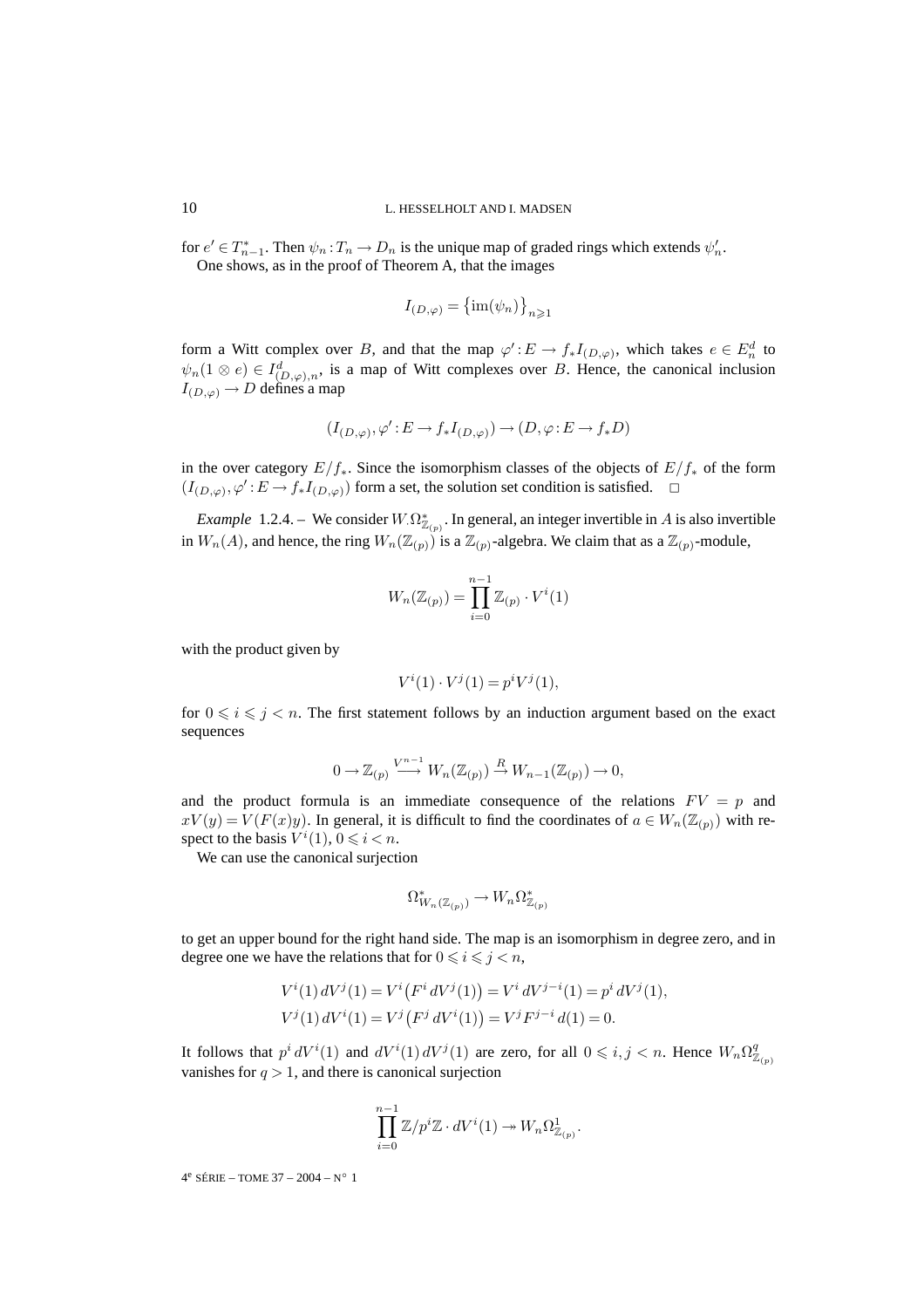for  $e' \in T_{n-1}^*$ . Then  $\psi_n : T_n \to D_n$  is the unique map of graded rings which extends  $\psi'_n$ . One shows, as in the proof of Theorem A, that the images

$$
I_{(D,\varphi)} = \left\{ \text{im}(\psi_n) \right\}_{n \geqslant 1}
$$

form a Witt complex over B, and that the map  $\varphi': E \to f_* I_{(D,\varphi)}$ , which takes  $e \in E_n^d$  to  $\psi_n(1 \otimes e) \in I^d_{(D,\varphi),n}$ , is a map of Witt complexes over B. Hence, the canonical inclusion  $I_{(D,\varphi)} \to D$  defines a map

$$
(I_{(D,\varphi)},\varphi'\!:\! E\rightarrow f_*I_{(D,\varphi)})\rightarrow (D,\varphi\!:\! E\rightarrow f_*D)
$$

in the over category  $E/f_*$ . Since the isomorphism classes of the objects of  $E/f_*$  of the form  $(I_{(D,\varphi)}, \varphi': E \to f_* I_{(D,\varphi)})$  form a set, the solution set condition is satisfied.  $\Box$ 

*Example* 1.2.4. – We consider  $W_{\cdot}\Omega_{\mathbb{Z}_{(p)}}^*$ . In general, an integer invertible in A is also invertible in  $W_n(A)$ , and hence, the ring  $W_n(\mathbb{Z}_{(p)})$  is a  $\mathbb{Z}_{(p)}$ -algebra. We claim that as a  $\mathbb{Z}_{(p)}$ -module,

$$
W_n(\mathbb{Z}_{(p)}) = \prod_{i=0}^{n-1} \mathbb{Z}_{(p)} \cdot V^i(1)
$$

with the product given by

$$
V^i(1) \cdot V^j(1) = p^i V^j(1),
$$

for  $0 \leq i \leq j \leq n$ . The first statement follows by an induction argument based on the exact sequences

$$
0 \to \mathbb{Z}_{(p)} \xrightarrow{V^{n-1}} W_n(\mathbb{Z}_{(p)}) \xrightarrow{R} W_{n-1}(\mathbb{Z}_{(p)}) \to 0,
$$

and the product formula is an immediate consequence of the relations  $FV = p$  and  $xV(y) = V(F(x)y)$ . In general, it is difficult to find the coordinates of  $a \in W_n(\mathbb{Z}_{(p)})$  with respect to the basis  $V^i(1)$ ,  $0 \le i < n$ .

We can use the canonical surjection

$$
\Omega^*_{W_n(\mathbb{Z}_{(p)})} \to W_n \Omega^*_{\mathbb{Z}_{(p)}}
$$

to get an upper bound for the right hand side. The map is an isomorphism in degree zero, and in degree one we have the relations that for  $0 \le i \le j < n$ ,

$$
V^{i}(1) dV^{j}(1) = V^{i}(F^{i} dV^{j}(1)) = V^{i} dV^{j-i}(1) = p^{i} dV^{j}(1),
$$
  
\n
$$
V^{j}(1) dV^{i}(1) = V^{j}(F^{j} dV^{i}(1)) = V^{j} F^{j-i} d(1) = 0.
$$

It follows that  $p^i dV^i(1)$  and  $dV^i(1) dV^j(1)$  are zero, for all  $0 \leq i, j < n$ . Hence  $W_n \Omega_{\mathbb{Z}_{(p)}}^q$ vanishes for  $q > 1$ , and there is canonical surjection

$$
\prod_{i=0}^{n-1} \mathbb{Z}/p^i \mathbb{Z} \cdot dV^i(1) \to W_n \Omega^1_{\mathbb{Z}_{(p)}}.
$$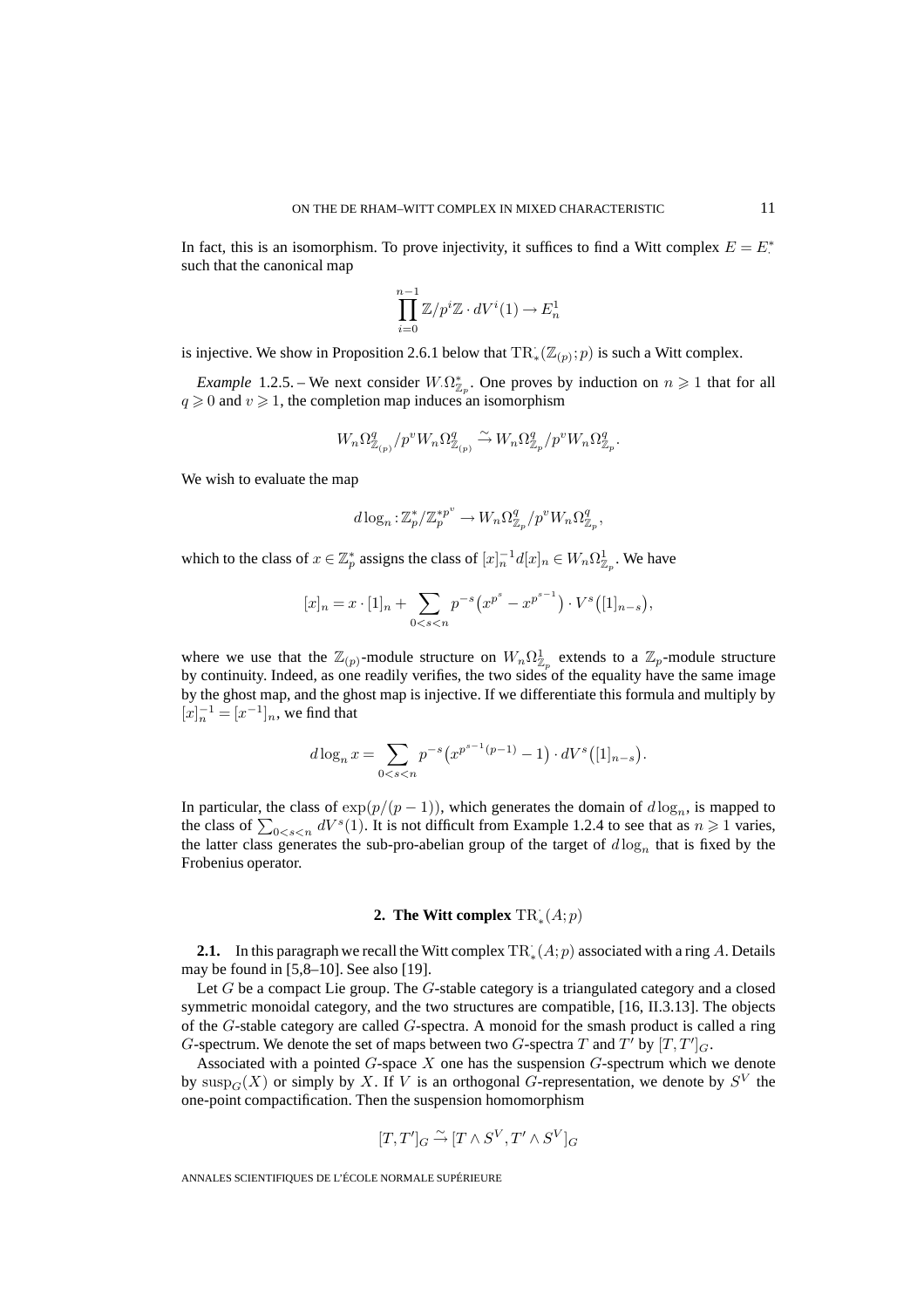In fact, this is an isomorphism. To prove injectivity, it suffices to find a Witt complex  $E = E^*$ . such that the canonical map

$$
\prod_{i=0}^{n-1} \mathbb{Z}/p^i \mathbb{Z} \cdot dV^i(1) \to E_n^1
$$

is injective. We show in Proposition 2.6.1 below that  $\text{TR}_{\ast}(\mathbb{Z}_{(p)}; p)$  is such a Witt complex.

*Example* 1.2.5. – We next consider  $W.\Omega^*_{\mathbb{Z}_p}$ . One proves by induction on  $n \geq 1$  that for all  $q \geq 0$  and  $v \geq 1$ , the completion map induces an isomorphism

$$
W_n\Omega^q_{\mathbb{Z}_{(p)}}/p^vW_n\Omega^q_{\mathbb{Z}_{(p)}}\stackrel{\sim}{\to}W_n\Omega^q_{\mathbb{Z}_p}/p^vW_n\Omega^q_{\mathbb{Z}_p}.
$$

We wish to evaluate the map

$$
d\log_n: \mathbb{Z}_p^*/\mathbb{Z}_p^{*p^v} \to W_n\Omega_{\mathbb{Z}_p}^q/p^vW_n\Omega_{\mathbb{Z}_p}^q,
$$

which to the class of  $x \in \mathbb{Z}_p^*$  assigns the class of  $[x]_n^{-1} d[x]_n \in W_n \Omega^1_{\mathbb{Z}_p}$ . We have

$$
[x]_n = x \cdot [1]_n + \sum_{0 < s < n} p^{-s} (x^{p^s} - x^{p^{s-1}}) \cdot V^s ([1]_{n-s}),
$$

where we use that the  $\mathbb{Z}_{(p)}$ -module structure on  $W_n \Omega^1_{\mathbb{Z}_p}$  extends to a  $\mathbb{Z}_p$ -module structure by continuity. Indeed, as one readily verifies, the two sides of the equality have the same image by the ghost map, and the ghost map is injective. If we differentiate this formula and multiply by  $[x]_n^{-1} = [x^{-1}]_n$ , we find that

$$
d\log_n x = \sum_{0 < s < n} p^{-s} \left( x^{p^{s-1}(p-1)} - 1 \right) \cdot dV^s \left( [1]_{n-s} \right).
$$

In particular, the class of  $exp(p/(p-1))$ , which generates the domain of  $d \log_n$ , is mapped to the class of  $\sum_{0 \le s \le n} dV^s(1)$ . It is not difficult from Example 1.2.4 to see that as  $n \ge 1$  varies, the latter class generates the sub-pro-abelian group of the target of  $d \log_n$  that is fixed by the Frobenius operator.

# **2.** The Witt complex  $TR_*^{\cdot}(A;p)$

**2.1.** In this paragraph we recall the Witt complex  $TR_*(A; p)$  associated with a ring A. Details may be found in [5,8–10]. See also [19].

Let  $G$  be a compact Lie group. The  $G$ -stable category is a triangulated category and a closed symmetric monoidal category, and the two structures are compatible, [16, II.3.13]. The objects of the  $G$ -stable category are called  $G$ -spectra. A monoid for the smash product is called a ring G-spectrum. We denote the set of maps between two G-spectra T and T' by  $[T, T']_G$ .

Associated with a pointed  $G$ -space  $X$  one has the suspension  $G$ -spectrum which we denote by  $\text{sup}_{G}(X)$  or simply by X. If V is an orthogonal G-representation, we denote by  $S<sup>V</sup>$  the one-point compactification. Then the suspension homomorphism

$$
[T,T']_G\stackrel{\sim}{\rightarrow}[T\wedge S^V,T'\wedge S^V]_G
$$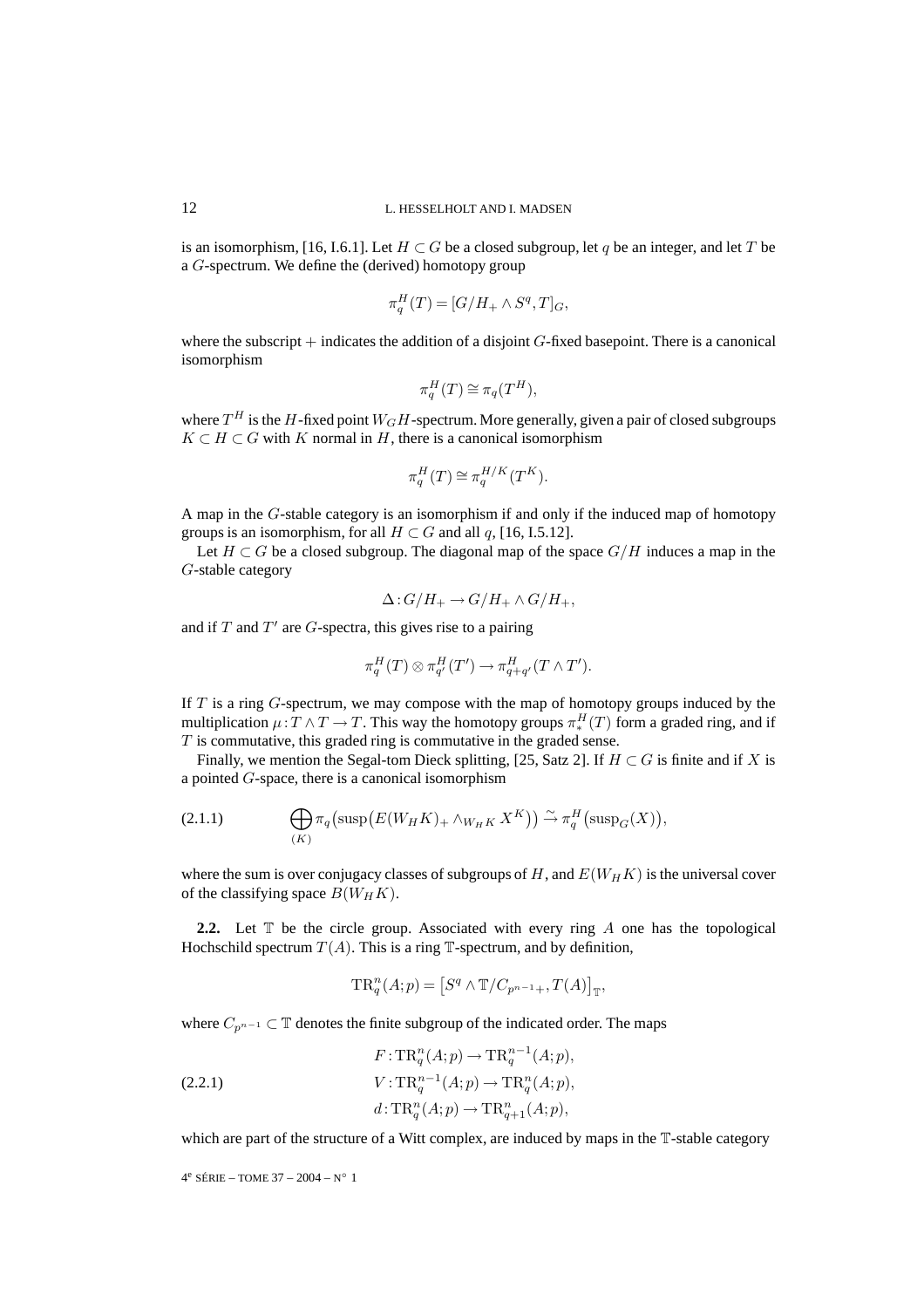is an isomorphism, [16, I.6.1]. Let  $H \subset G$  be a closed subgroup, let q be an integer, and let T be a G-spectrum. We define the (derived) homotopy group

$$
\pi_q^H(T) = [G/H_+ \wedge S^q, T]_G,
$$

where the subscript  $+$  indicates the addition of a disjoint  $G$ -fixed basepoint. There is a canonical isomorphism

$$
\pi_q^H(T) \cong \pi_q(T^H),
$$

where  $T^H$  is the H-fixed point  $W_GH$ -spectrum. More generally, given a pair of closed subgroups  $K \subset H \subset G$  with K normal in H, there is a canonical isomorphism

$$
\pi_q^H(T) \cong \pi_q^{H/K}(T^K).
$$

A map in the G-stable category is an isomorphism if and only if the induced map of homotopy groups is an isomorphism, for all  $H \subset G$  and all q, [16, I.5.12].

Let  $H \subset G$  be a closed subgroup. The diagonal map of the space  $G/H$  induces a map in the G-stable category

$$
\Delta: G/H_+ \to G/H_+ \wedge G/H_+,
$$

and if  $T$  and  $T'$  are  $G$ -spectra, this gives rise to a pairing

$$
\pi_q^H(T) \otimes \pi_{q'}^H(T') \to \pi_{q+q'}^H(T \wedge T').
$$

If  $T$  is a ring  $G$ -spectrum, we may compose with the map of homotopy groups induced by the multiplication  $\mu: T \wedge T \to T$ . This way the homotopy groups  $\pi_*^H(T)$  form a graded ring, and if  $T$  is commutative, this graded ring is commutative in the graded sense.

Finally, we mention the Segal-tom Dieck splitting, [25, Satz 2]. If  $H \subset G$  is finite and if X is a pointed G-space, there is a canonical isomorphism

(2.1.1) 
$$
\bigoplus_{(K)} \pi_q\big(\text{susp}\big(E(W_HK)_+ \wedge_{W_HK} X^K\big)\big) \xrightarrow{\sim} \pi_q^H\big(\text{susp}_G(X)\big),
$$

where the sum is over conjugacy classes of subgroups of H, and  $E(W_HK)$  is the universal cover of the classifying space  $B(W_H K)$ .

**2.2.** Let  $\mathbb{T}$  be the circle group. Associated with every ring A one has the topological Hochschild spectrum  $T(A)$ . This is a ring  $\mathbb T$ -spectrum, and by definition,

$$
\operatorname{TR}_q^n(A;p) = \left[ S^q \wedge \mathbb{T}/C_{p^{n-1}+}, T(A) \right]_{\mathbb{T}},
$$

where  $C_{p^{n-1}}$  ⊂ T denotes the finite subgroup of the indicated order. The maps

(2.2.1) 
$$
F: \operatorname{TR}_q^n(A;p) \to \operatorname{TR}_q^{n-1}(A;p),
$$

$$
V: \operatorname{TR}_q^{n-1}(A;p) \to \operatorname{TR}_q^n(A;p),
$$

$$
d: \operatorname{TR}_q^n(A;p) \to \operatorname{TR}_{q+1}^n(A;p),
$$

which are part of the structure of a Witt complex, are induced by maps in the  $\mathbb{T}$ -stable category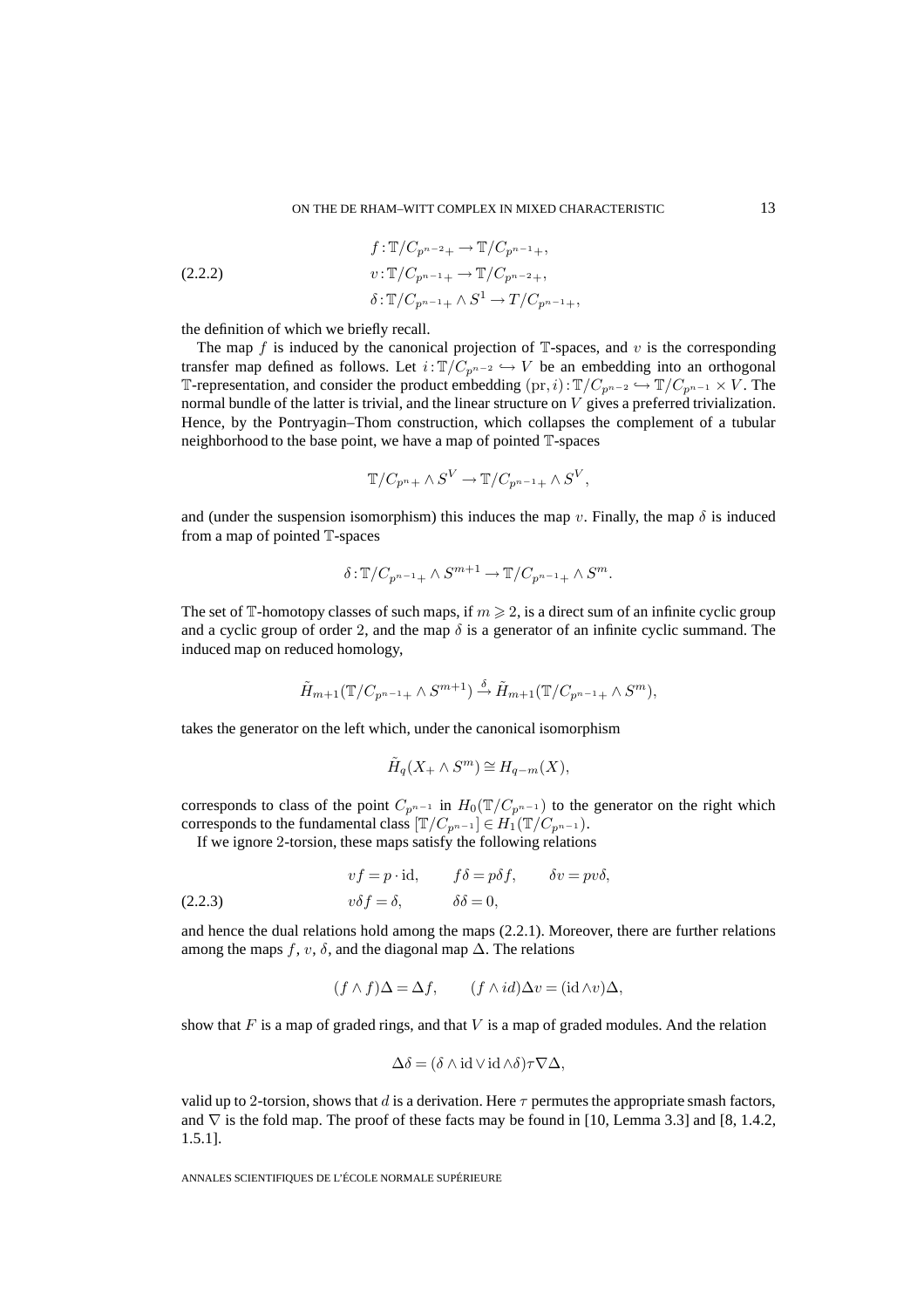(2.2.2) 
$$
f: \mathbb{T}/C_{p^{n-2}+} \to \mathbb{T}/C_{p^{n-1}+},
$$

$$
v: \mathbb{T}/C_{p^{n-1}+} \to \mathbb{T}/C_{p^{n-2}+},
$$

$$
\delta: \mathbb{T}/C_{p^{n-1}+} \wedge S^1 \to T/C_{p^{n-1}+},
$$

the definition of which we briefly recall.

The map f is induced by the canonical projection of  $\mathbb{T}$ -spaces, and v is the corresponding transfer map defined as follows. Let  $i:\mathbb{T}/C_{p^{n-2}} \hookrightarrow V$  be an embedding into an orthogonal T-representation, and consider the product embedding  $(\text{pr}, i)$  :  $\mathbb{T}/C_{p^{n-2}} \hookrightarrow \mathbb{T}/C_{p^{n-1}} \times V$ . The normal bundle of the latter is trivial, and the linear structure on V gives a preferred trivialization. Hence, by the Pontryagin–Thom construction, which collapses the complement of a tubular neighborhood to the base point, we have a map of pointed T-spaces

$$
\mathbb{T}/C_{p^n+} \wedge S^V \to \mathbb{T}/C_{p^{n-1}+} \wedge S^V,
$$

and (under the suspension isomorphism) this induces the map v. Finally, the map  $\delta$  is induced from a map of pointed T-spaces

$$
\delta: \mathbb{T}/C_{p^{n-1}+} \wedge S^{m+1} \to \mathbb{T}/C_{p^{n-1}+} \wedge S^m.
$$

The set of T-homotopy classes of such maps, if  $m \ge 2$ , is a direct sum of an infinite cyclic group and a cyclic group of order 2, and the map  $\delta$  is a generator of an infinite cyclic summand. The induced map on reduced homology,

$$
\tilde{H}_{m+1}(\mathbb{T}/C_{p^{n-1}+}\wedge S^{m+1})\stackrel{\delta}{\to} \tilde{H}_{m+1}(\mathbb{T}/C_{p^{n-1}+}\wedge S^{m}),
$$

takes the generator on the left which, under the canonical isomorphism

$$
\tilde{H}_q(X_+ \wedge S^m) \cong H_{q-m}(X),
$$

corresponds to class of the point  $C_{p^{n-1}}$  in  $H_0(\mathbb{T}/C_{p^{n-1}})$  to the generator on the right which corresponds to the fundamental class  $[\mathbb{T}/C_{p^{n-1}}] \in H_1(\mathbb{T}/C_{p^{n-1}})$ .

If we ignore 2-torsion, these maps satisfy the following relations

(2.2.3) 
$$
vf = p \cdot id, \qquad f\delta = p\delta f, \qquad \delta v = pv\delta,
$$

$$
v\delta f = \delta, \qquad \delta\delta = 0,
$$

and hence the dual relations hold among the maps (2.2.1). Moreover, there are further relations among the maps f, v,  $\delta$ , and the diagonal map  $\Delta$ . The relations

$$
(f \wedge f)\Delta = \Delta f, \qquad (f \wedge id)\Delta v = (\mathrm{id} \wedge v)\Delta,
$$

show that  $F$  is a map of graded rings, and that  $V$  is a map of graded modules. And the relation

$$
\Delta \delta = (\delta \wedge \mathrm{id} \vee \mathrm{id} \wedge \delta) \tau \nabla \Delta,
$$

valid up to 2-torsion, shows that d is a derivation. Here  $\tau$  permutes the appropriate smash factors, and  $\nabla$  is the fold map. The proof of these facts may be found in [10, Lemma 3.3] and [8, 1.4.2, 1.5.1].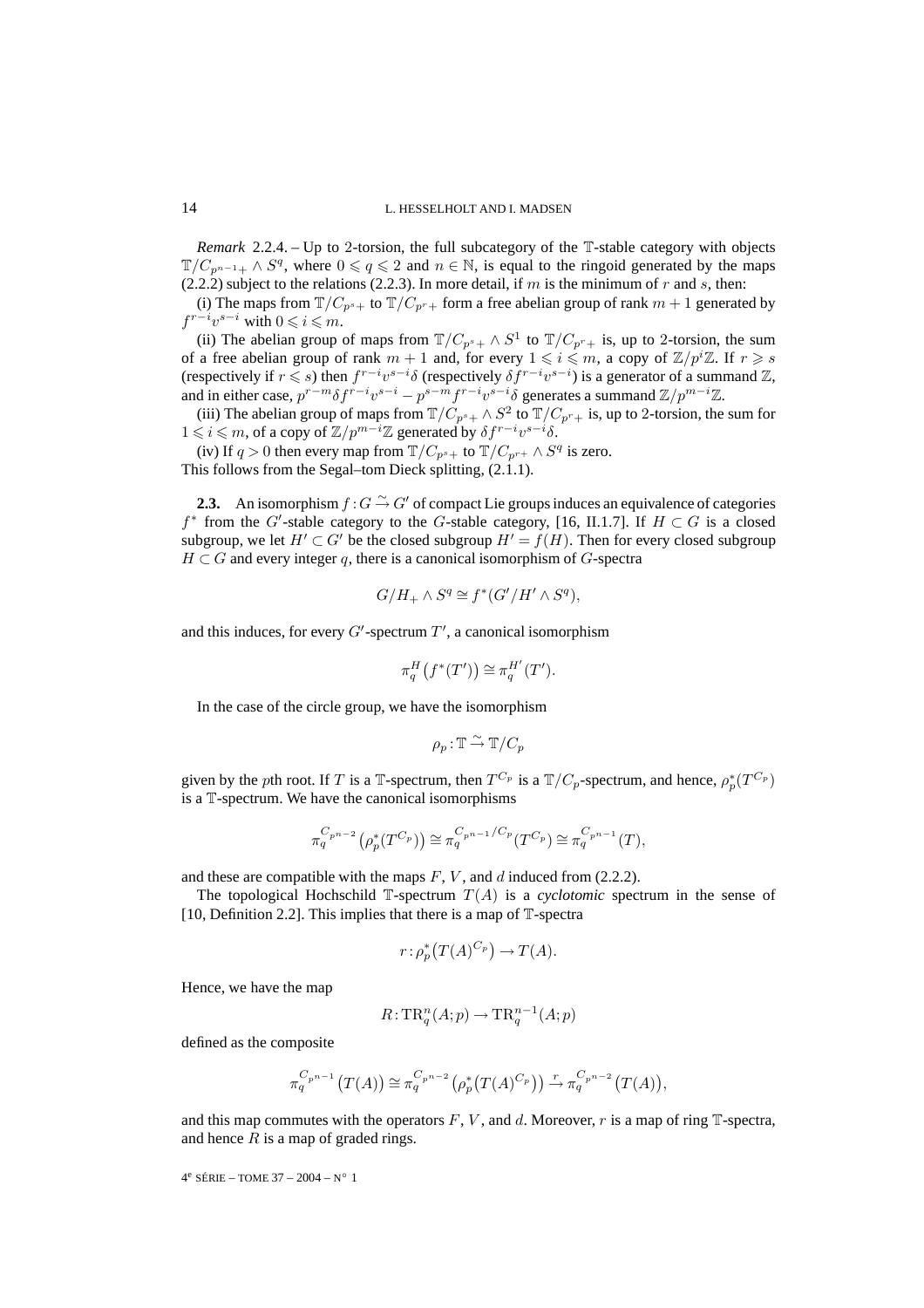*Remark* 2.2.4. – Up to 2-torsion, the full subcategory of the T-stable category with objects  $\mathbb{T}/C_{p^{n-1}+}\wedge S^q$ , where  $0\leqslant q\leqslant 2$  and  $n\in \mathbb{N}$ , is equal to the ringoid generated by the maps  $(2.2.2)$  subject to the relations  $(2.2.3)$ . In more detail, if m is the minimum of r and s, then:

(i) The maps from  $\mathbb{T}/C_{p^s+}$  to  $\mathbb{T}/C_{p^r+}$  form a free abelian group of rank  $m+1$  generated by  $f^{r-i}v^{s-i}$  with  $0 \leq i \leq m$ .

(ii) The abelian group of maps from  $T/C_{p^s+} \wedge S^1$  to  $T/C_{p^r+}$  is, up to 2-torsion, the sum of a free abelian group of rank  $m + 1$  and, for every  $1 \leqslant i \leqslant m$ , a copy of  $\mathbb{Z}/p^i\mathbb{Z}$ . If  $r \geqslant s$ (respectively if  $r \leq s$ ) then  $f^{r-i}v^{s-i}\delta$  (respectively  $\delta f^{r-i}v^{s-i}$ ) is a generator of a summand  $\mathbb{Z}$ , and in either case,  $p^{r-m} \delta f^{r-i} v^{s-i} - p^{s-m} f^{r-i} v^{s-i} \delta$  generates a summand  $\mathbb{Z}/p^{m-i} \mathbb{Z}$ .

(iii) The abelian group of maps from  $\mathbb{T}/C_{p^s+} \wedge S^2$  to  $\mathbb{T}/C_{p^r+}$  is, up to 2-torsion, the sum for  $1 \leq i \leq m$ , of a copy of  $\mathbb{Z}/p^{m-i}\mathbb{Z}$  generated by  $\delta f^{r-i}v^{s-i}\delta$ .

(iv) If  $q > 0$  then every map from  $T/C_{p^s+}$  to  $T/C_{p^{r+}} \wedge S^q$  is zero. This follows from the Segal–tom Dieck splitting, (2.1.1).

**2.3.** An isomorphism  $f: G \to G'$  of compact Lie groups induces an equivalence of categories f<sup>\*</sup> from the G'-stable category to the G-stable category, [16, II.1.7]. If  $H \subset G$  is a closed subgroup, we let  $H' \subset G'$  be the closed subgroup  $H' = f(H)$ . Then for every closed subgroup  $H \subset G$  and every integer q, there is a canonical isomorphism of G-spectra

$$
G/H_+ \wedge S^q \cong f^*(G'/H' \wedge S^q),
$$

and this induces, for every  $G'$ -spectrum  $T'$ , a canonical isomorphism

$$
\pi_q^H(f^*(T')) \cong \pi_q^{H'}(T').
$$

In the case of the circle group, we have the isomorphism

$$
\rho_p: \mathbb{T} \stackrel{\sim}{\to} \mathbb{T}/C_p
$$

given by the pth root. If T is a T-spectrum, then  $T^{C_p}$  is a  $T/C_p$ -spectrum, and hence,  $\rho_p^*(T^{C_p})$ is a T-spectrum. We have the canonical isomorphisms

$$
\pi_q^{C_{p^{n-2}}}(\rho_p^*(T^{C_p})) \cong \pi_q^{C_{p^{n-1}}/C_p}(T^{C_p}) \cong \pi_q^{C_{p^{n-1}}}(T),
$$

and these are compatible with the maps  $F$ ,  $V$ , and  $d$  induced from (2.2.2).

The topological Hochschild  $\mathbb{T}$ -spectrum  $T(A)$  is a *cyclotomic* spectrum in the sense of [10, Definition 2.2]. This implies that there is a map of  $\mathbb{T}$ -spectra

$$
r \colon \rho_p^* \big( T(A)^{C_p} \big) \to T(A).
$$

Hence, we have the map

$$
R: \mathrm{TR}^n_q(A;p) \to \mathrm{TR}^{n-1}_q(A;p)
$$

defined as the composite

$$
\pi_q^{C_{p^{n-1}}}(T(A)) \cong \pi_q^{C_{p^{n-2}}}(\rho_p^*(T(A)^{C_p})) \stackrel{r}{\to} \pi_q^{C_{p^{n-2}}}(T(A)),
$$

and this map commutes with the operators  $F$ ,  $V$ , and  $d$ . Moreover,  $r$  is a map of ring  $\mathbb{T}$ -spectra, and hence  $R$  is a map of graded rings.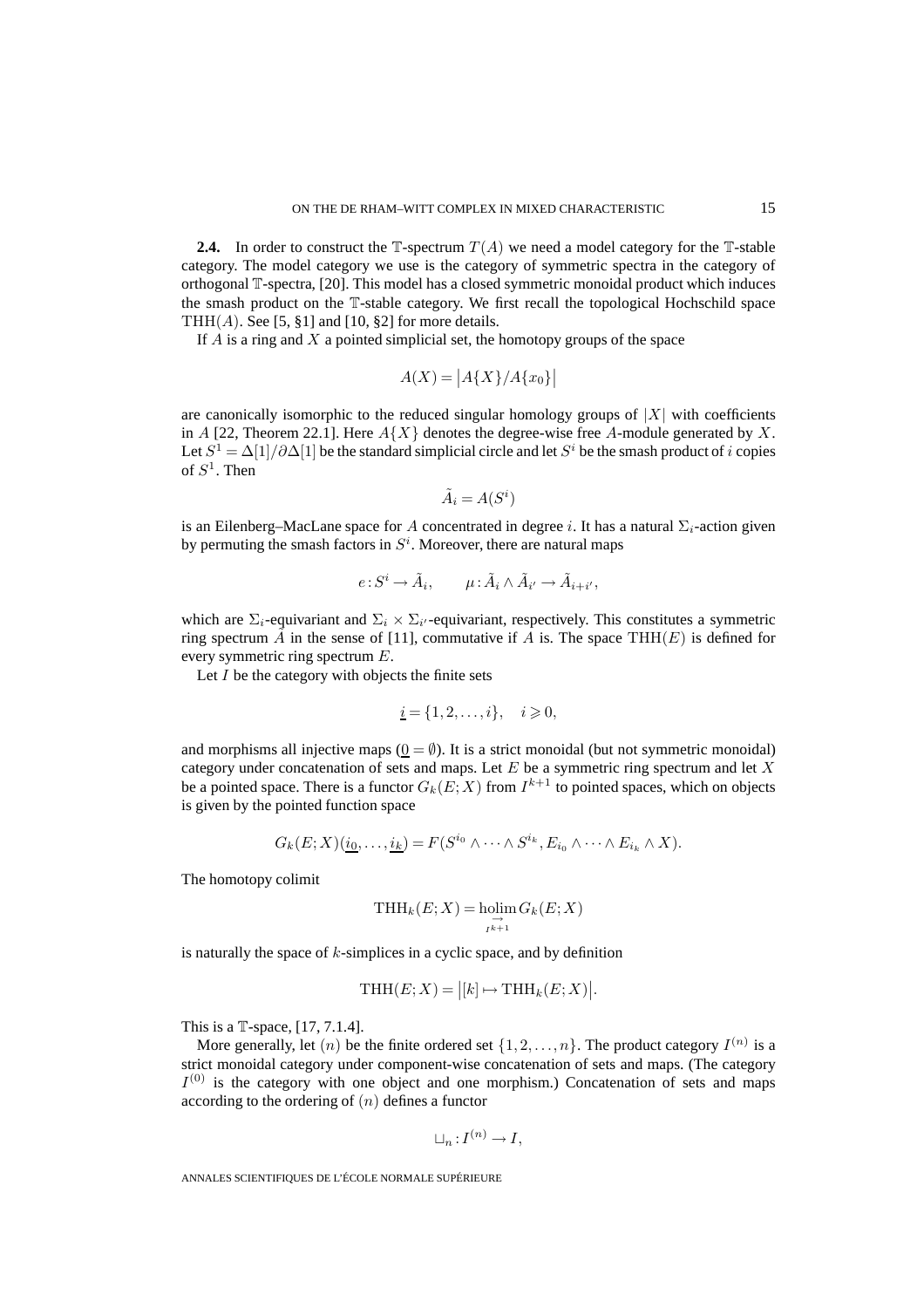**2.4.** In order to construct the  $\mathbb{T}$ -spectrum  $T(A)$  we need a model category for the  $\mathbb{T}$ -stable category. The model category we use is the category of symmetric spectra in the category of orthogonal T-spectra, [20]. This model has a closed symmetric monoidal product which induces the smash product on the T-stable category. We first recall the topological Hochschild space THH $(A)$ . See [5, §1] and [10, §2] for more details.

If  $A$  is a ring and  $X$  a pointed simplicial set, the homotopy groups of the space

$$
A(X) = |A\{X\}/A\{x_0\}|
$$

are canonically isomorphic to the reduced singular homology groups of  $|X|$  with coefficients in A [22, Theorem 22.1]. Here  $A\{X\}$  denotes the degree-wise free A-module generated by X. Let  $S^1 = \Delta[1]/\partial \Delta[1]$  be the standard simplicial circle and let  $S^i$  be the smash product of i copies of  $S^1$ . Then

$$
\tilde{A}_i = A(S^i)
$$

is an Eilenberg–MacLane space for A concentrated in degree i. It has a natural  $\Sigma_i$ -action given by permuting the smash factors in  $S<sup>i</sup>$ . Moreover, there are natural maps

$$
e: S^i \to \tilde{A}_i, \qquad \mu: \tilde{A}_i \wedge \tilde{A}_{i'} \to \tilde{A}_{i+i'},
$$

which are  $\Sigma_i$ -equivariant and  $\Sigma_i \times \Sigma_{i'}$ -equivariant, respectively. This constitutes a symmetric ring spectrum  $\hat{A}$  in the sense of [11], commutative if A is. The space THH(E) is defined for every symmetric ring spectrum E.

Let  $I$  be the category with objects the finite sets

$$
\underline{i} = \{1, 2, \dots, i\}, \quad i \geqslant 0,
$$

and morphisms all injective maps  $(0 = \emptyset)$ . It is a strict monoidal (but not symmetric monoidal) category under concatenation of sets and maps. Let  $E$  be a symmetric ring spectrum and let  $X$ be a pointed space. There is a functor  $G_k(E; X)$  from  $I^{k+1}$  to pointed spaces, which on objects is given by the pointed function space

$$
G_k(E;X)(\underline{i_0},\ldots,\underline{i_k})=F(S^{i_0}\wedge\cdots\wedge S^{i_k},E_{i_0}\wedge\cdots\wedge E_{i_k}\wedge X).
$$

The homotopy colimit

$$
\mathrm{THH}_k(E;X) = \underset{I^{k+1}}{\mathrm{holim}}\, G_k(E;X)
$$

is naturally the space of  $k$ -simplices in a cyclic space, and by definition

$$
\text{THH}(E;X) = |[k] \mapsto \text{THH}_k(E;X)|.
$$

This is a T-space, [17, 7.1.4].

More generally, let  $(n)$  be the finite ordered set  $\{1, 2, \ldots, n\}$ . The product category  $I^{(n)}$  is a strict monoidal category under component-wise concatenation of sets and maps. (The category  $I^{(0)}$  is the category with one object and one morphism.) Concatenation of sets and maps according to the ordering of  $(n)$  defines a functor

$$
\sqcup_n: I^{(n)} \to I,
$$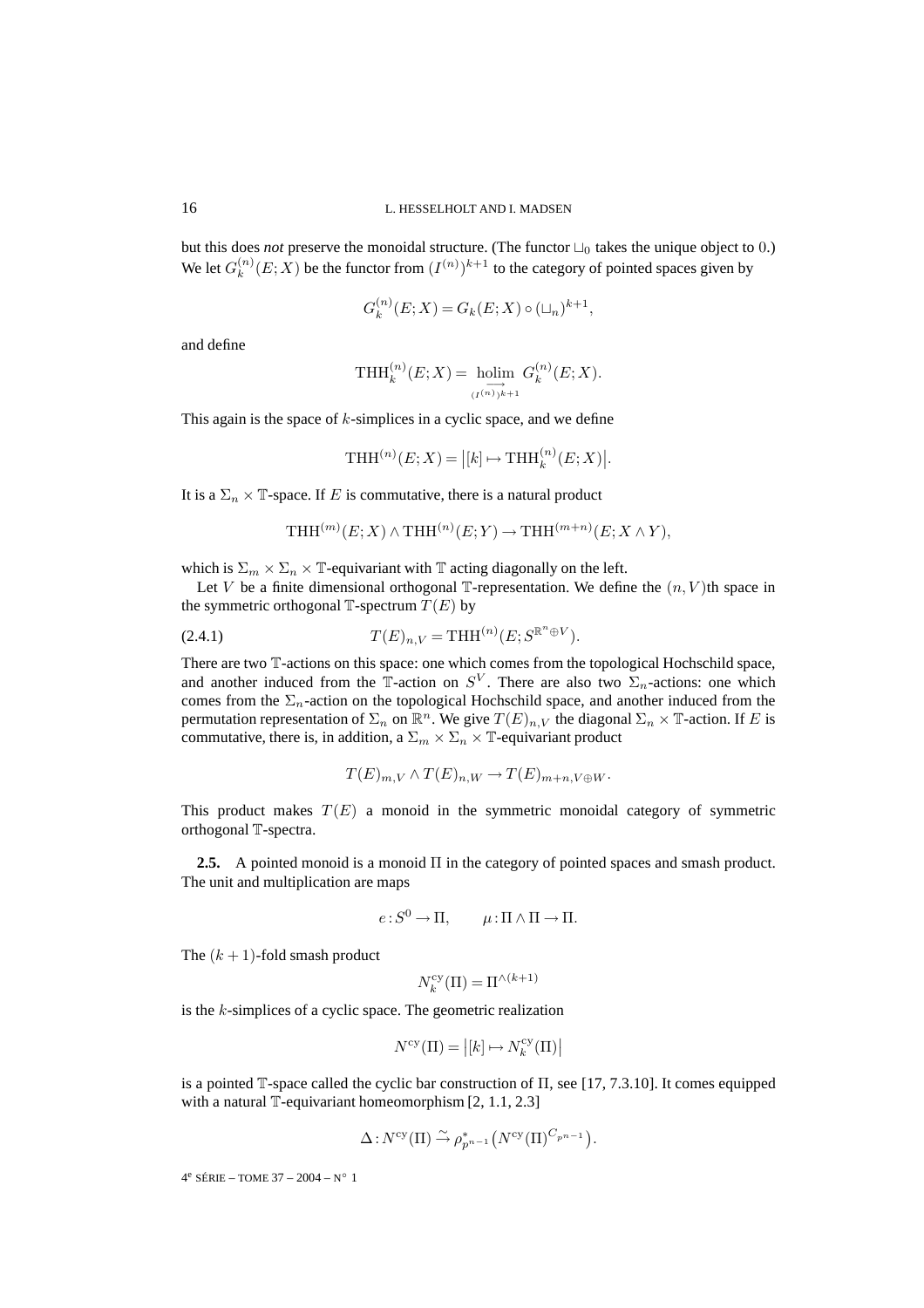but this does *not* preserve the monoidal structure. (The functor  $\Box_0$  takes the unique object to 0.) We let  $G_k^{(n)}(E;X)$  be the functor from  $(I^{(n)})^{k+1}$  to the category of pointed spaces given by

$$
G_k^{(n)}(E;X) = G_k(E;X) \circ (\sqcup_n)^{k+1},
$$

and define

$$
\operatorname{THH}_k^{(n)}(E;X) = \underset{(I^{(n)})^{k+1}}{\operatorname{holim}} G_k^{(n)}(E;X).
$$

This again is the space of  $k$ -simplices in a cyclic space, and we define

$$
\text{THH}^{(n)}(E;X) = |[k] \mapsto \text{THH}_k^{(n)}(E;X)|.
$$

It is a  $\Sigma_n \times \mathbb{T}$ -space. If E is commutative, there is a natural product

$$
\operatorname{THH}^{(m)}(E;X) \wedge \operatorname{THH}^{(n)}(E;Y) \to \operatorname{THH}^{(m+n)}(E;X \wedge Y),
$$

which is  $\Sigma_m \times \Sigma_n \times \mathbb{T}$ -equivariant with  $\mathbb{T}$  acting diagonally on the left.

Let V be a finite dimensional orthogonal  $\mathbb{T}$ -representation. We define the  $(n, V)$ th space in the symmetric orthogonal  $\mathbb{T}$ -spectrum  $T(E)$  by

(2.4.1) 
$$
T(E)_{n,V} = THH^{(n)}(E; S^{\mathbb{R}^n \oplus V}).
$$

There are two T-actions on this space: one which comes from the topological Hochschild space, and another induced from the T-action on  $S^V$ . There are also two  $\Sigma_n$ -actions: one which comes from the  $\Sigma_n$ -action on the topological Hochschild space, and another induced from the permutation representation of  $\Sigma_n$  on  $\mathbb{R}^n$ . We give  $T(E)_{n,V}$  the diagonal  $\Sigma_n \times \mathbb{T}$ -action. If E is commutative, there is, in addition, a  $\Sigma_m \times \Sigma_n \times \mathbb{T}$ -equivariant product

$$
T(E)_{m,V} \wedge T(E)_{n,W} \to T(E)_{m+n,V \oplus W}.
$$

This product makes  $T(E)$  a monoid in the symmetric monoidal category of symmetric orthogonal T-spectra.

**2.5.** A pointed monoid is a monoid Π in the category of pointed spaces and smash product. The unit and multiplication are maps

$$
e: S^0 \to \Pi, \qquad \mu: \Pi \wedge \Pi \to \Pi.
$$

The  $(k + 1)$ -fold smash product

$$
N_k^{\text{cy}}(\Pi)=\Pi^{\wedge(k+1)}
$$

is the  $k$ -simplices of a cyclic space. The geometric realization

$$
N^{\text{cy}}(\Pi) = |[k] \mapsto N_k^{\text{cy}}(\Pi)|
$$

is a pointed T-space called the cyclic bar construction of  $\Pi$ , see [17, 7.3.10]. It comes equipped with a natural  $\mathbb{T}$ -equivariant homeomorphism [2, 1.1, 2.3]

$$
\Delta N^{\text{cy}}(\Pi) \stackrel{\sim}{\rightarrow} \rho_{p^{n-1}}^* (N^{\text{cy}}(\Pi)^{C_{p^{n-1}}}).
$$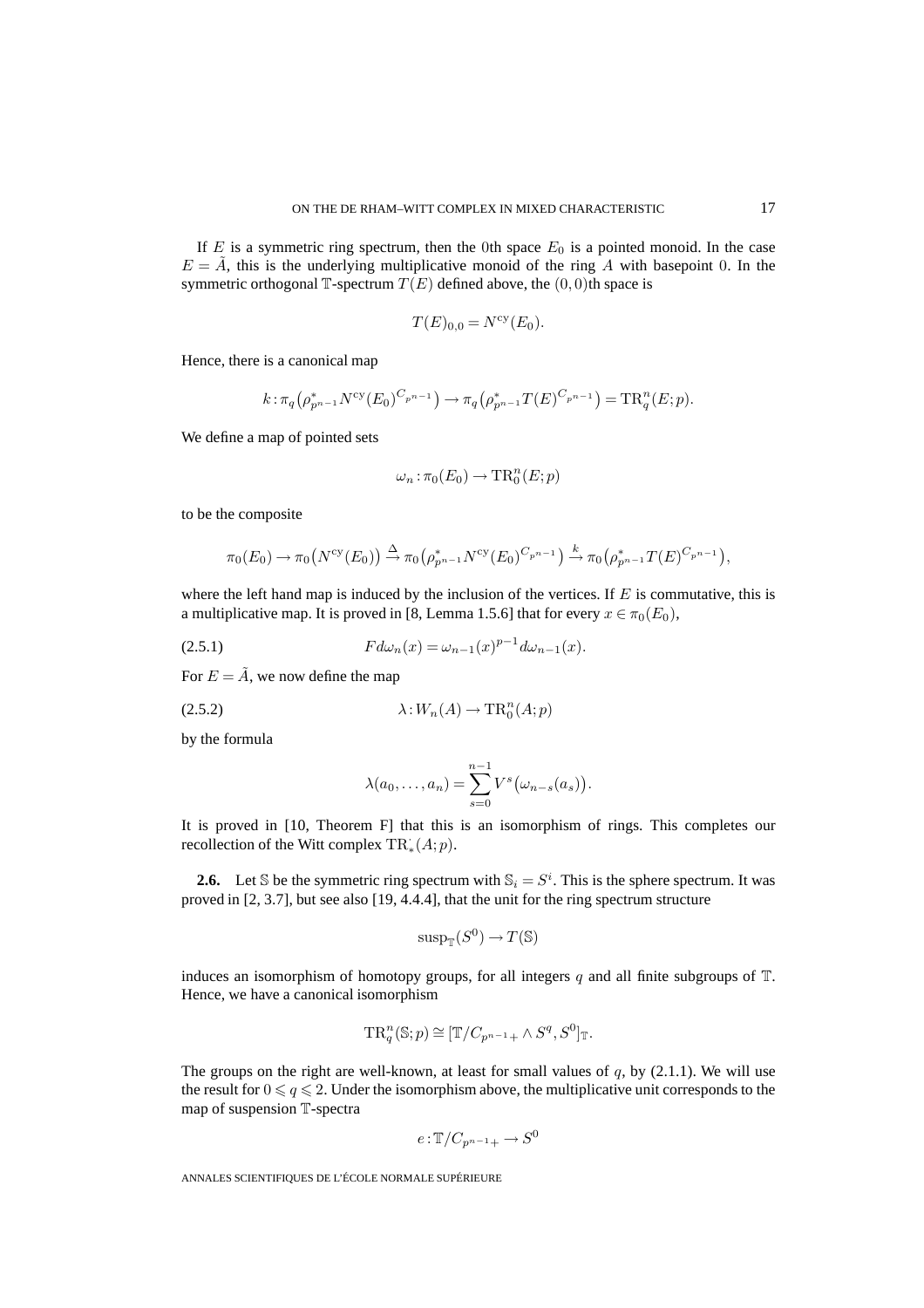If E is a symmetric ring spectrum, then the 0th space  $E_0$  is a pointed monoid. In the case  $E = A$ , this is the underlying multiplicative monoid of the ring A with basepoint 0. In the symmetric orthogonal T-spectrum  $T(E)$  defined above, the  $(0, 0)$ th space is

$$
T(E)_{0,0} = N^{\text{cy}}(E_0).
$$

Hence, there is a canonical map

$$
k: \pi_q(\rho_{p^{n-1}}^* N^{\text{cy}}(E_0)^{C_{p^{n-1}}}) \to \pi_q(\rho_{p^{n-1}}^* T(E)^{C_{p^{n-1}}}) = \text{TR}_q^n(E; p).
$$

We define a map of pointed sets

$$
\omega_n : \pi_0(E_0) \to \operatorname{TR}_0^n(E; p)
$$

to be the composite

$$
\pi_0(E_0) \to \pi_0(N^{\text{cy}}(E_0)) \xrightarrow{\Delta} \pi_0(\rho_{p^{n-1}}^* N^{\text{cy}}(E_0)^{C_{p^{n-1}}}) \xrightarrow{k} \pi_0(\rho_{p^{n-1}}^* T(E)^{C_{p^{n-1}}}),
$$

where the left hand map is induced by the inclusion of the vertices. If  $E$  is commutative, this is a multiplicative map. It is proved in [8, Lemma 1.5.6] that for every  $x \in \pi_0(E_0)$ ,

F dωn(x) = ω<sup>n</sup>−<sup>1</sup>(x) <sup>p</sup>−<sup>1</sup> (2.5.1) dω<sup>n</sup>−<sup>1</sup>(x).

For  $E = \tilde{A}$ , we now define the map

$$
\lambda: W_n(A) \to \text{TR}^n_0(A; p)
$$

by the formula

$$
\lambda(a_0,\ldots,a_n) = \sum_{s=0}^{n-1} V^s(\omega_{n-s}(a_s)).
$$

It is proved in [10, Theorem F] that this is an isomorphism of rings. This completes our recollection of the Witt complex  $\text{TR}^{\cdot}_*(A;p)$ .

**2.6.** Let S be the symmetric ring spectrum with  $S_i = S^i$ . This is the sphere spectrum. It was proved in [2, 3.7], but see also [19, 4.4.4], that the unit for the ring spectrum structure

$$
\operatorname{sup}_{\mathbb{T}}(S^0) \to T(\mathbb{S})
$$

induces an isomorphism of homotopy groups, for all integers q and all finite subgroups of  $\mathbb{T}$ . Hence, we have a canonical isomorphism

$$
\operatorname{TR}_q^n(\mathbb{S};p) \cong [\mathbb{T}/C_{p^{n-1}+} \wedge S^q, S^0]_{\mathbb{T}}.
$$

The groups on the right are well-known, at least for small values of  $q$ , by (2.1.1). We will use the result for  $0 \leqslant q \leqslant 2$ . Under the isomorphism above, the multiplicative unit corresponds to the map of suspension T-spectra

$$
e: \mathbb{T}/C_{p^{n-1}+} \to S^0
$$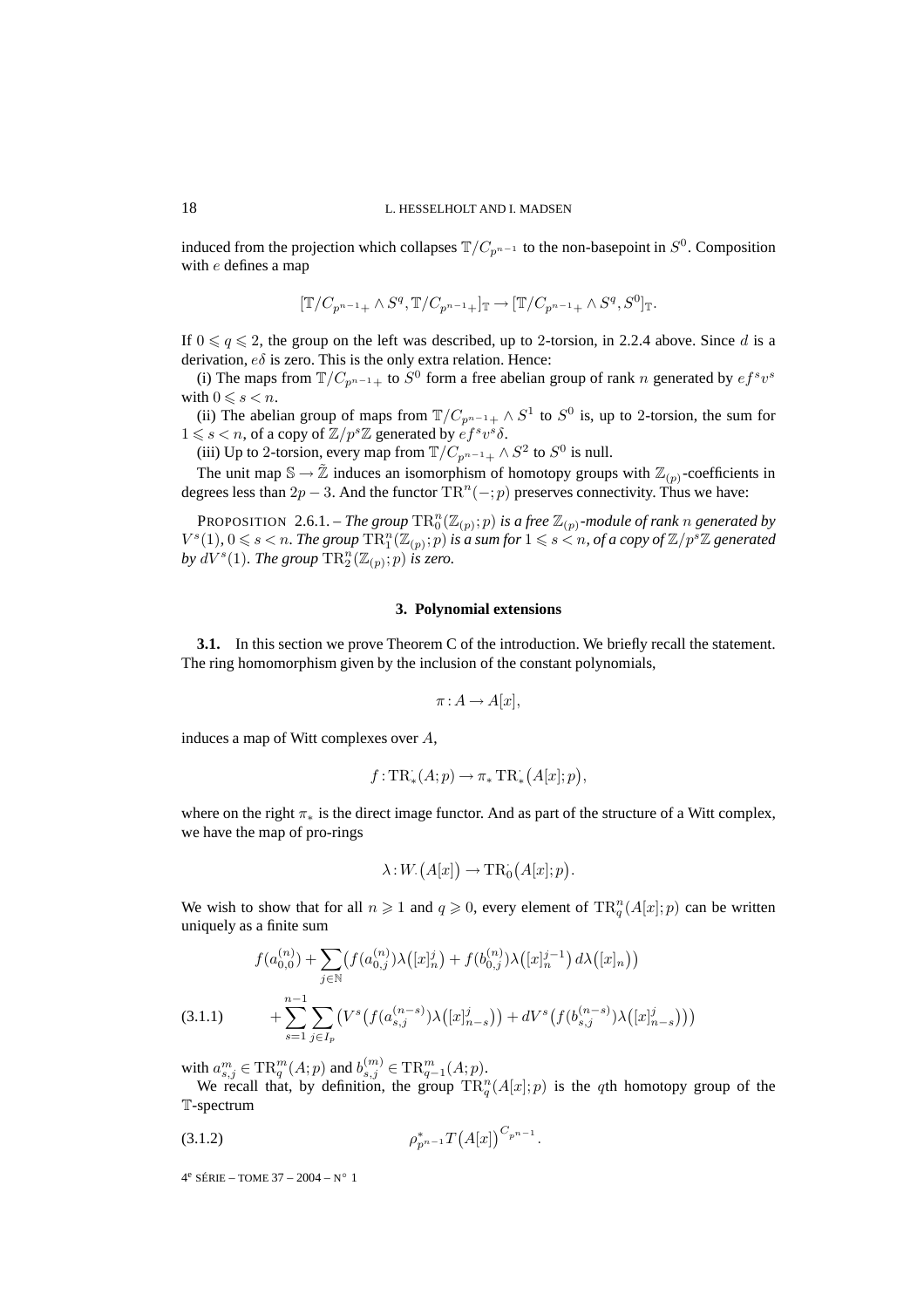induced from the projection which collapses  $\mathbb{T}/C_{p^{n-1}}$  to the non-basepoint in  $S^0$ . Composition with e defines a map

$$
[\mathbb{T}/C_{p^{n-1}+}\wedge S^q,\mathbb{T}/C_{p^{n-1}+}]_{\mathbb{T}}\to [\mathbb{T}/C_{p^{n-1}+}\wedge S^q,S^0]_{\mathbb{T}}.
$$

If  $0 \leq q \leq 2$ , the group on the left was described, up to 2-torsion, in 2.2.4 above. Since d is a derivation,  $e\delta$  is zero. This is the only extra relation. Hence:

(i) The maps from  $T/C_{p^{n-1}+}$  to  $S^0$  form a free abelian group of rank n generated by  $ef^s v^s$ with  $0 \le s < n$ .

(ii) The abelian group of maps from  $\mathbb{T}/C_{p^{n-1}+} \wedge S^1$  to  $S^0$  is, up to 2-torsion, the sum for  $1 \le s < n$ , of a copy of  $\mathbb{Z}/p^s\mathbb{Z}$  generated by  $\overset{\sim}{e}f^s v^s \delta$ .

(iii) Up to 2-torsion, every map from  $\mathbb{T}/C_{p^{n-1}+}\wedge S^2$  to  $S^0$  is null.

The unit map  $\mathbb{S} \to \tilde{\mathbb{Z}}$  induces an isomorphism of homotopy groups with  $\mathbb{Z}_{(p)}$ -coefficients in degrees less than  $2p - 3$ . And the functor  $\text{TR}^n(-; p)$  preserves connectivity. Thus we have:

PROPOSITION 2.6.1. – *The group*  $\text{TR}^n_0(\mathbb{Z}_{(p)}; p)$  *is a free*  $\mathbb{Z}_{(p)}$ *-module of rank* n *generated by*  $V^s(1)$ ,  $0 \le s < n$ . The group  $\text{TR}_1^n(\mathbb{Z}_{(p)}; p)$  is a sum for  $1 \le s < n$ , of a copy of  $\mathbb{Z}/p^s\mathbb{Z}$  generated by  $dV^s(1)$ . The group  $\text{TR}^n_2(\mathbb{Z}_{(p)};p)$  is zero.

#### **3. Polynomial extensions**

**3.1.** In this section we prove Theorem C of the introduction. We briefly recall the statement. The ring homomorphism given by the inclusion of the constant polynomials,

$$
\pi: A \to A[x],
$$

induces a map of Witt complexes over A,

$$
f: \mathrm{TR}^{\cdot}_*(A;p) \to \pi_* \mathrm{TR}^{\cdot}_*(A[x];p),
$$

where on the right  $\pi_*$  is the direct image functor. And as part of the structure of a Witt complex, we have the map of pro-rings

$$
\lambda: W. (A[x]) \to \mathrm{TR}^{\cdot}_0 (A[x]; p).
$$

We wish to show that for all  $n \geq 1$  and  $q \geq 0$ , every element of  $\text{TR}^n_q(A[x]; p)$  can be written uniquely as a finite sum

$$
f(a_{0,0}^{(n)}) + \sum_{j \in \mathbb{N}} \left( f(a_{0,j}^{(n)}) \lambda([x]_n^j) + f(b_{0,j}^{(n)}) \lambda([x]_n^{j-1}) d\lambda([x]_n) \right)
$$
  
(3.1.1) 
$$
+ \sum_{s=1}^{n-1} \sum_{j \in I_p} \left( V^s \left( f(a_{s,j}^{(n-s)}) \lambda([x]_{n-s}^j) \right) + dV^s \left( f(b_{s,j}^{(n-s)}) \lambda([x]_{n-s}^j) \right) \right)
$$

with  $a_{s,j}^m \in \text{TR}_{q}^{m}(A;p)$  and  $b_{s,j}^{(m)} \in \text{TR}_{q-1}^{m}(A;p)$ .<br>We recall that, by definition, the group  $\text{TR}_{q}^{n}(A[x];p)$  is the qth homotopy group of the T-spectrum

$$
\rho_{p^{n-1}}^* T(A[x])^{C_{p^{n-1}}}.
$$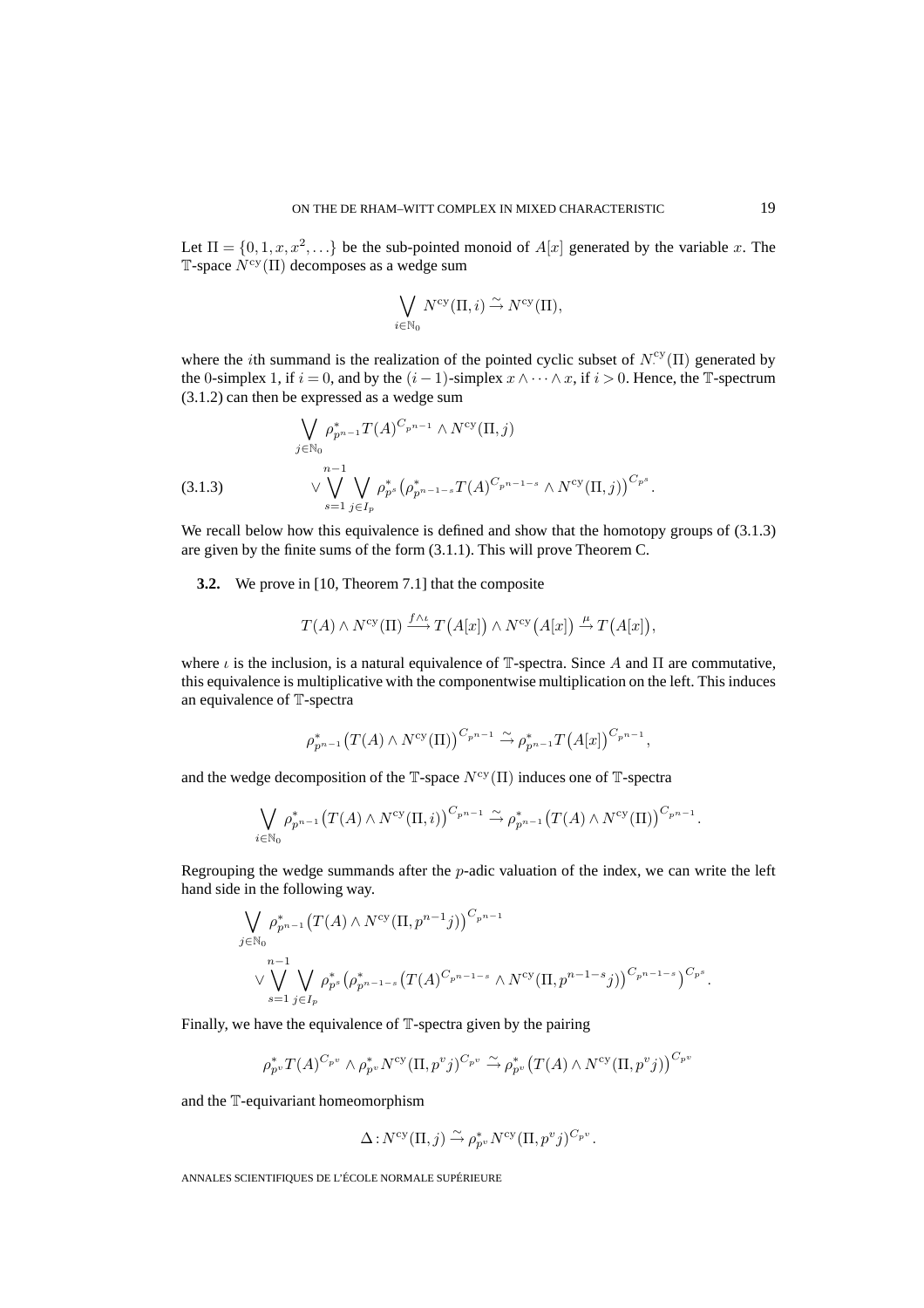Let  $\Pi = \{0, 1, x, x^2, \ldots\}$  be the sub-pointed monoid of  $A[x]$  generated by the variable x. The T-space  $N^{cy}(\Pi)$  decomposes as a wedge sum

$$
\bigvee_{i \in \mathbb{N}_0} N^{\text{cy}}(\Pi, i) \stackrel{\sim}{\to} N^{\text{cy}}(\Pi),
$$

where the *i*th summand is the realization of the pointed cyclic subset of  $N_{\cdot}^{\text{cy}}(II)$  generated by the 0-simplex 1, if  $i = 0$ , and by the  $(i - 1)$ -simplex  $x \wedge \cdots \wedge x$ , if  $i > 0$ . Hence, the T-spectrum (3.1.2) can then be expressed as a wedge sum

$$
\bigvee_{j \in \mathbb{N}_0} \rho_{p^{n-1}}^* T(A)^{C_{p^{n-1}}} \wedge N^{\text{cy}}(\Pi, j)
$$
\n(3.1.3) 
$$
\vee \bigvee_{s=1}^{n-1} \bigvee_{j \in I_p} \rho_{p^s}^* \big(\rho_{p^{n-1-s}}^* T(A)^{C_{p^{n-1-s}}} \wedge N^{\text{cy}}(\Pi, j)\big)^{C_{p^s}}.
$$

We recall below how this equivalence is defined and show that the homotopy groups of  $(3.1.3)$ are given by the finite sums of the form (3.1.1). This will prove Theorem C.

**3.2.** We prove in [10, Theorem 7.1] that the composite

$$
T(A) \wedge N^{\text{cy}}(\Pi) \xrightarrow{f \wedge \iota} T(A[x]) \wedge N^{\text{cy}}(A[x]) \xrightarrow{\mu} T(A[x]),
$$

where  $\iota$  is the inclusion, is a natural equivalence of T-spectra. Since A and  $\Pi$  are commutative, this equivalence is multiplicative with the componentwise multiplication on the left. This induces an equivalence of T-spectra

$$
\rho_{p^{n-1}}^*(T(A) \wedge N^{\text{cy}}(\Pi))^{C_{p^{n-1}}} \overset{\sim}{\to} \rho_{p^{n-1}}^*T(A[x])^{C_{p^{n-1}}},
$$

and the wedge decomposition of the T-space  $N^{\text{cy}}(\Pi)$  induces one of T-spectra

$$
\bigvee_{i\in\mathbb{N}_0}\rho_{p^{n-1}}^*\big(T(A)\wedge N^{\text{cy}}(\Pi,i)\big)^{C_{p^{n-1}}}\stackrel{\sim}{\to}\rho_{p^{n-1}}^*\big(T(A)\wedge N^{\text{cy}}(\Pi)\big)^{C_{p^{n-1}}}.
$$

Regrouping the wedge summands after the p-adic valuation of the index, we can write the left hand side in the following way.

$$
\bigvee_{j \in \mathbb{N}_0} \rho_{p^{n-1}}^* (T(A) \wedge N^{\text{cy}} (\Pi, p^{n-1} j))^{C_{p^{n-1}}} \vee \bigvee_{s=1}^{n-1} \bigvee_{j \in I_p} \rho_{p^s}^* \big(\rho_{p^{n-1-s}}^* (T(A)^{C_{p^{n-1-s}}} \wedge N^{\text{cy}} (\Pi, p^{n-1-s} j))^{C_{p^{n-1-s}}} \big)^{C_{p^s}}.
$$

Finally, we have the equivalence of T-spectra given by the pairing

$$
\rho_{p^v}^* T(A)^{C_{p^v}} \wedge \rho_{p^v}^* N^{\text{cy}}(\Pi, p^v j)^{C_{p^v}} \xrightarrow{\sim} \rho_{p^v}^* (T(A) \wedge N^{\text{cy}}(\Pi, p^v j))^{C_{p^v}}
$$

and the T-equivariant homeomorphism

$$
\Delta N^{\text{cy}}(\Pi, j) \xrightarrow{\sim} \rho_{p^v}^* N^{\text{cy}}(\Pi, p^v j)^{C_{p^v}}.
$$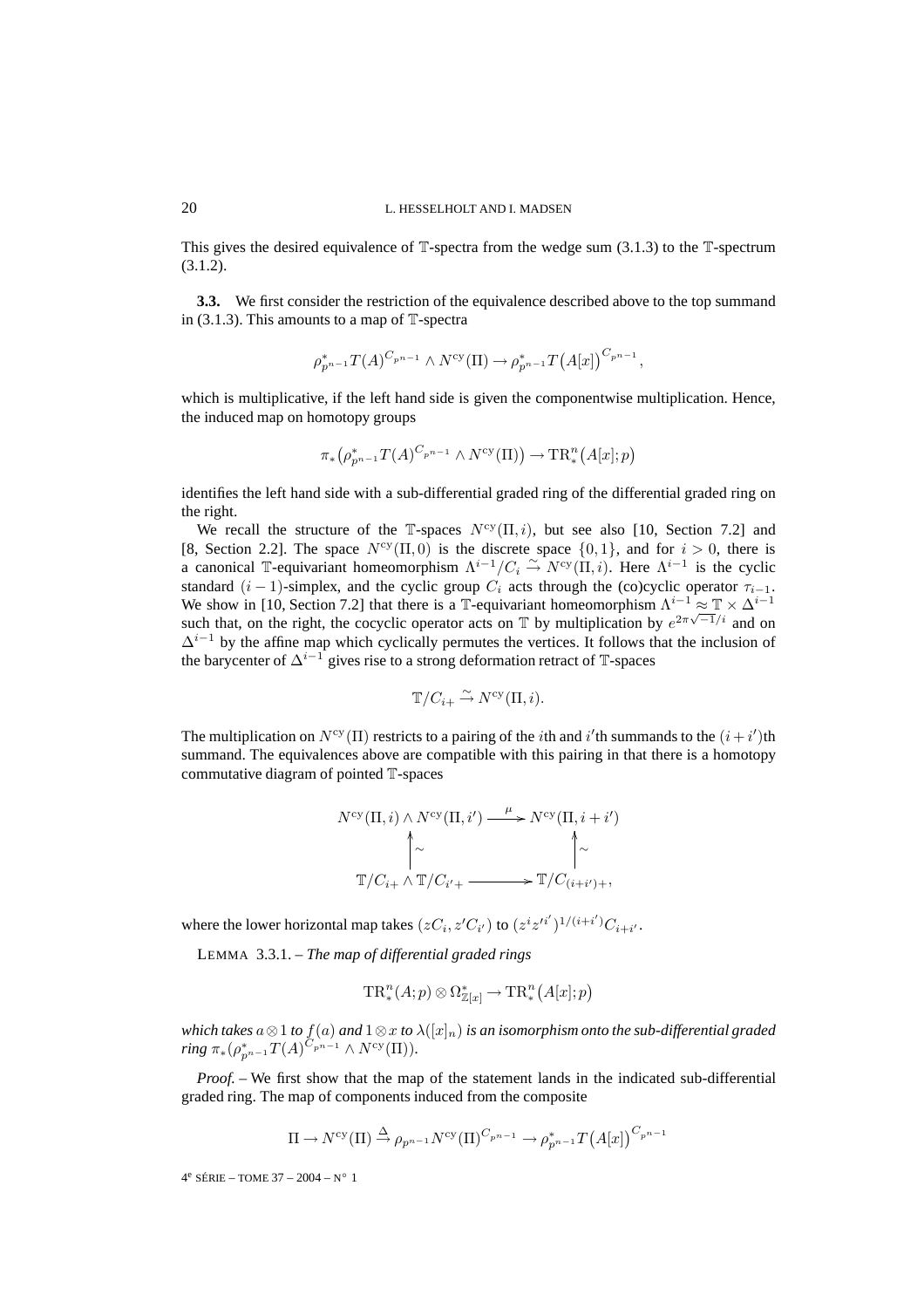This gives the desired equivalence of  $\mathbb{T}$ -spectra from the wedge sum (3.1.3) to the  $\mathbb{T}$ -spectrum (3.1.2).

**3.3.** We first consider the restriction of the equivalence described above to the top summand in  $(3.1.3)$ . This amounts to a map of  $\mathbb{T}$ -spectra

$$
\rho_{p^{n-1}}^* T(A)^{C_{p^{n-1}}} \wedge N^{\text{cy}}(\Pi) \to \rho_{p^{n-1}}^* T(A[x])^{C_{p^{n-1}}},
$$

which is multiplicative, if the left hand side is given the componentwise multiplication. Hence, the induced map on homotopy groups

$$
\pi_*\left(\rho_{p^{n-1}}^*T(A)^{C_{p^{n-1}}}\wedge N^{\text{cy}}(\Pi)\right)\to\text{TR}^n_*(A[x];p)
$$

identifies the left hand side with a sub-differential graded ring of the differential graded ring on the right.

We recall the structure of the T-spaces  $N^{\text{cy}}(\Pi, i)$ , but see also [10, Section 7.2] and [8, Section 2.2]. The space  $N^{\text{cy}}(\Pi, 0)$  is the discrete space  $\{0, 1\}$ , and for  $i > 0$ , there is a canonical T-equivariant homeomorphism  $\Lambda^{i-1}/C_i \overset{\sim}{\to} N^{cy}(\Pi, i)$ . Here  $\Lambda^{i-1}$  is the cyclic standard  $(i - 1)$ -simplex, and the cyclic group  $C_i$  acts through the (co)cyclic operator  $\tau_{i-1}$ . We show in [10, Section 7.2] that there is a T-equivariant homeomorphism  $\Lambda^{i-1} \approx \mathbb{T} \times \Delta^{i-1}$ such that, on the right, the cocyclic operator acts on  $\mathbb T$  by multiplication by  $e^{2\pi\sqrt{-1}/i}$  and on  $\Delta^{i-1}$  by the affine map which cyclically permutes the vertices. It follows that the inclusion of the barycenter of  $\Delta^{i-1}$  gives rise to a strong deformation retract of T-spaces

$$
\mathbb{T}/C_{i+} \xrightarrow{\sim} N^{\text{cy}}(\Pi, i).
$$

The multiplication on  $N^{\text{cy}}(\Pi)$  restricts to a pairing of the *i*th and *i'* th summands to the  $(i + i')$ th summand. The equivalences above are compatible with this pairing in that there is a homotopy commutative diagram of pointed T-spaces

$$
N^{\text{cy}}(\Pi, i) \land N^{\text{cy}}(\Pi, i') \xrightarrow{\mu} N^{\text{cy}}(\Pi, i + i')
$$

$$
\uparrow \sim \qquad \qquad \uparrow \sim \qquad \qquad \uparrow \sim
$$

$$
\mathbb{T}/C_{i+} \land \mathbb{T}/C_{i'+} \xrightarrow{\qquad \qquad \mathbb{T}/C_{(i+i')+},}
$$

where the lower horizontal map takes  $(zC_i, z'C_{i'})$  to  $(z^i z'^{i'})^{1/(i+i')}C_{i+i'}$ .

LEMMA 3.3.1. – *The map of differential graded rings*

$$
\mathrm{TR}^n_*(A;p) \otimes \Omega^*_{\mathbb{Z}[x]} \to \mathrm{TR}^n_*(A[x];p)
$$

*which takes*  $a \otimes 1$  *to*  $f(a)$  *and*  $1 \otimes x$  *to*  $\lambda([x]_n)$  *is an isomorphism onto the sub-differential graded*  $ring \pi_*(\rho_{p^{n-1}}^*T(A)^{\tilde{C}_{p^{n-1}}}\wedge N^{\text{cy}}(\Pi)).$ 

*Proof. –* We first show that the map of the statement lands in the indicated sub-differential graded ring. The map of components induced from the composite

$$
\Pi \to N^{\text{cy}}(\Pi) \xrightarrow{\Delta} \rho_{p^{n-1}} N^{\text{cy}}(\Pi)^{C_{p^{n-1}}} \to \rho_{p^{n-1}}^* T(A[x])^{C_{p^{n-1}}}
$$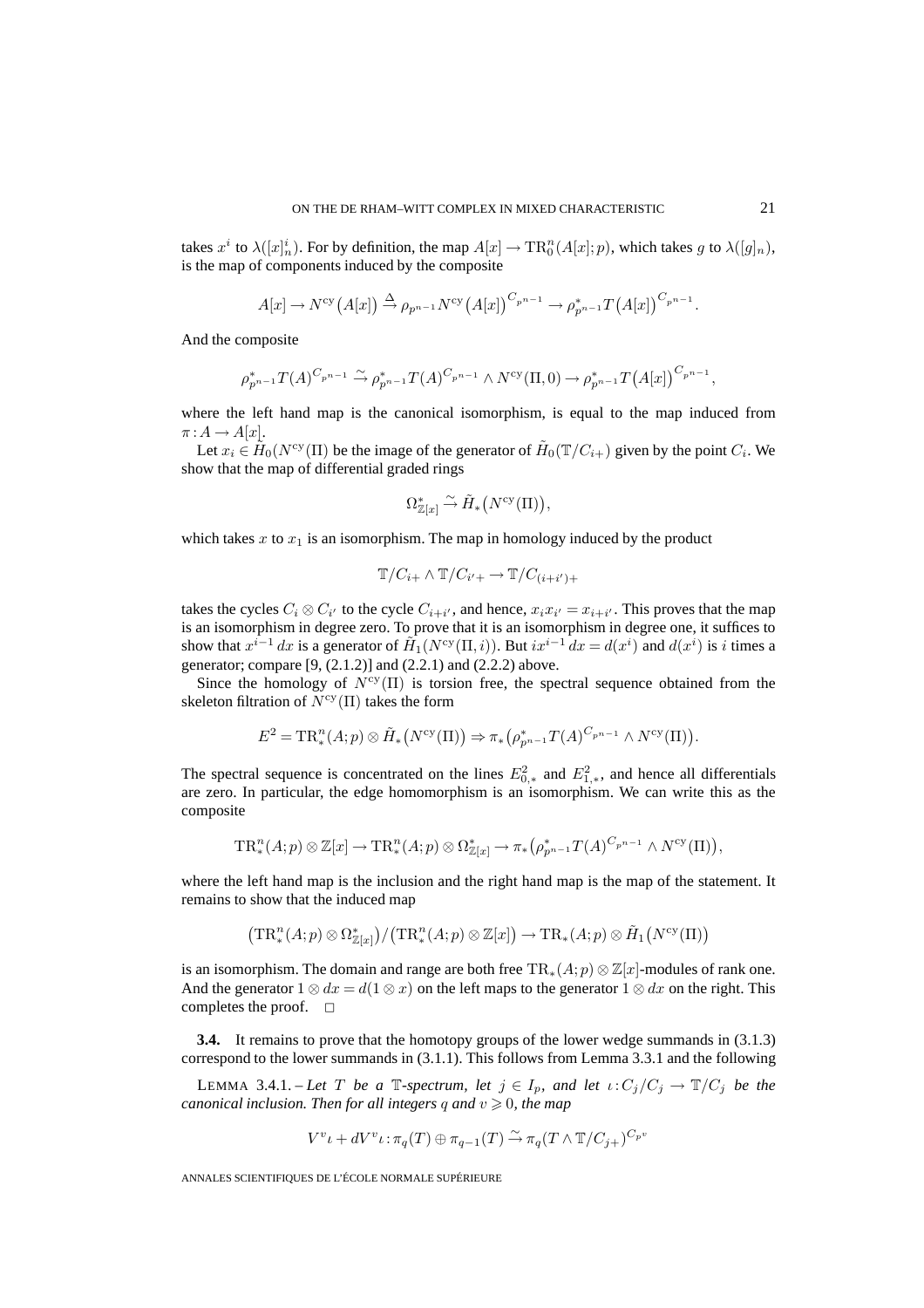takes  $x^i$  to  $\lambda([x]_n^i)$ . For by definition, the map  $A[x] \to \text{TR}^n_0(A[x]; p)$ , which takes g to  $\lambda([g]_n)$ , is the map of components induced by the composite

$$
A[x] \to N^{\text{cy}}(A[x]) \xrightarrow{\Delta} \rho_{p^{n-1}} N^{\text{cy}}(A[x])^{C_{p^{n-1}}} \to \rho_{p^{n-1}}^{*}T(A[x])^{C_{p^{n-1}}}.
$$

And the composite

$$
\rho_{p^{n-1}}^{*}T(A)^{C_{p^{n-1}}}\stackrel{\sim}{\to}\rho_{p^{n-1}}^{*}T(A)^{C_{p^{n-1}}}\wedge N^{\text{cy}}(\Pi,0)\to\rho_{p^{n-1}}^{*}T(A[x])^{C_{p^{n-1}}},
$$

where the left hand map is the canonical isomorphism, is equal to the map induced from  $\pi: A \to A[x].$ 

Let  $x_i \in \tilde{H}_0(N^{\text{cy}}(\Pi))$  be the image of the generator of  $\tilde{H}_0(\mathbb{T}/C_{i+})$  given by the point  $C_i$ . We show that the map of differential graded rings

$$
\Omega^*_{\mathbb{Z}[x]} \xrightarrow{\sim} \tilde{H}_*\left(N^{\text{cy}}(\Pi)\right),
$$

which takes x to  $x_1$  is an isomorphism. The map in homology induced by the product

$$
\mathbb{T}/C_{i+} \wedge \mathbb{T}/C_{i'+} \to \mathbb{T}/C_{(i+i')+}
$$

takes the cycles  $C_i \otimes C_{i'}$  to the cycle  $C_{i+i'}$ , and hence,  $x_i x_{i'} = x_{i+i'}$ . This proves that the map is an isomorphism in degree zero. To prove that it is an isomorphism in degree one, it suffices to show that  $x^{i-1} dx$  is a generator of  $\tilde{H}_1(N^{cy}(\Pi, i))$ . But  $ix^{i-1} dx = d(x^i)$  and  $d(x^i)$  is i times a generator; compare [9, (2.1.2)] and (2.2.1) and (2.2.2) above.

Since the homology of  $N^{\text{cy}}(\Pi)$  is torsion free, the spectral sequence obtained from the skeleton filtration of  $N^{\text{cy}}(\Pi)$  takes the form

$$
E^2 = \mathrm{TR}^n_*(A;p) \otimes \tilde{H}_*\left(N^{\mathrm{cy}}(\Pi)\right) \Rightarrow \pi_*\left(\rho_{p^{n-1}}^*T(A)^{C_{p^{n-1}}}\wedge N^{\mathrm{cy}}(\Pi)\right).
$$

The spectral sequence is concentrated on the lines  $E_{0,*}^2$  and  $E_{1,*}^2$ , and hence all differentials are zero. In particular, the edge homomorphism is an isomorphism. We can write this as the composite

$$
\mathrm{TR}^n_*(A;p)\otimes \mathbb{Z}[x]\to \mathrm{TR}^n_*(A;p)\otimes \Omega^*_{\mathbb{Z}[x]}\to \pi_*(\rho_{p^{n-1}}^*T(A)^{C_{p^{n-1}}}\wedge N^{\mathrm{cy}}(\Pi)),
$$

where the left hand map is the inclusion and the right hand map is the map of the statement. It remains to show that the induced map

$$
\left(\mathrm{TR}^n_*(A;p)\otimes \Omega_{\mathbb{Z}[x]}^*\right)/\left(\mathrm{TR}^n_*(A;p)\otimes \mathbb{Z}[x]\right)\to \mathrm{TR}_*(A;p)\otimes \tilde{H}_1\left(N^{\text{cy}}(\Pi)\right)
$$

is an isomorphism. The domain and range are both free  $TR_*(A;p) \otimes \mathbb{Z}[x]$ -modules of rank one. And the generator  $1 \otimes dx = d(1 \otimes x)$  on the left maps to the generator  $1 \otimes dx$  on the right. This completes the proof.  $\square$ 

**3.4.** It remains to prove that the homotopy groups of the lower wedge summands in (3.1.3) correspond to the lower summands in (3.1.1). This follows from Lemma 3.3.1 and the following

LEMMA 3.4.1. – Let T be a  $\mathbb{T}$ -spectrum, let  $j \in I_p$ , and let  $\iota$ :  $C_j/C_j \to \mathbb{T}/C_j$  be the *canonical inclusion. Then for all integers* q and  $v \ge 0$ , the map

$$
V^{v} \iota + dV^{v} \iota : \pi_{q}(T) \oplus \pi_{q-1}(T) \xrightarrow{\sim} \pi_{q}(T \wedge \mathbb{T}/C_{j+})^{C_{p^{v}}}
$$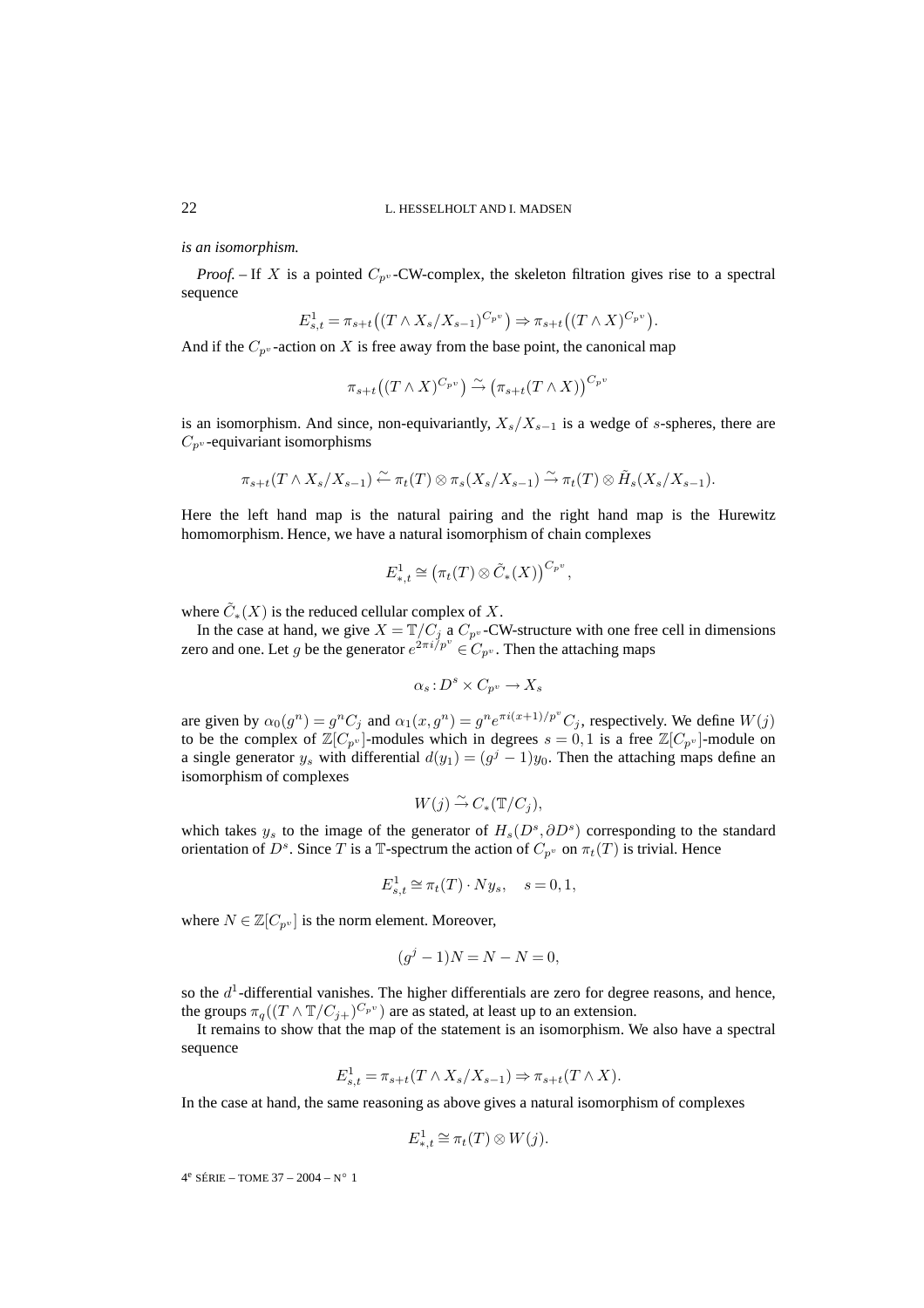*is an isomorphism.*

*Proof.* – If X is a pointed  $C_{p^v}$ -CW-complex, the skeleton filtration gives rise to a spectral sequence

$$
E_{s,t}^1 = \pi_{s+t}((T \wedge X_s/X_{s-1})^{C_{p^v}}) \Rightarrow \pi_{s+t}((T \wedge X)^{C_{p^v}}).
$$

And if the  $C_{p^v}$ -action on X is free away from the base point, the canonical map

 $\pi_{s+t}((T\wedge X)^{C_{p^v}})\stackrel{\sim}{\rightarrow} (\pi_{s+t}(T\wedge X))^{C_{p^v}}$ 

is an isomorphism. And since, non-equivariantly,  $X_s/X_{s-1}$  is a wedge of s-spheres, there are  $C_{p^v}$ -equivariant isomorphisms

$$
\pi_{s+t}(T \wedge X_s/X_{s-1}) \stackrel{\sim}{\leftarrow} \pi_t(T) \otimes \pi_s(X_s/X_{s-1}) \stackrel{\sim}{\rightarrow} \pi_t(T) \otimes \tilde{H}_s(X_s/X_{s-1}).
$$

Here the left hand map is the natural pairing and the right hand map is the Hurewitz homomorphism. Hence, we have a natural isomorphism of chain complexes

$$
E_{*,t}^1 \cong (\pi_t(T) \otimes \tilde{C}_*(X))^{C_{p^v}},
$$

where  $\tilde{C}_*(X)$  is the reduced cellular complex of X.

In the case at hand, we give  $X = \mathbb{T}/C_j$  a  $C_{p^v}$ -CW-structure with one free cell in dimensions zero and one. Let g be the generator  $e^{2\pi i/p^v} \in C_{p^v}$ . Then the attaching maps

$$
\alpha_s: D^s \times C_{p^v} \to X_s
$$

are given by  $\alpha_0(g^n) = g^n C_j$  and  $\alpha_1(x, g^n) = g^n e^{\pi i(x+1)/p^v} C_j$ , respectively. We define  $W(j)$ to be the complex of  $\mathbb{Z}[C_{p^v}]$ -modules which in degrees  $s = 0, 1$  is a free  $\mathbb{Z}[C_{p^v}]$ -module on a single generator  $y_s$  with differential  $d(y_1)=(g^j - 1)y_0$ . Then the attaching maps define an isomorphism of complexes

$$
W(j) \stackrel{\sim}{\rightarrow} C_*(\mathbb{T}/C_j),
$$

which takes  $y_s$  to the image of the generator of  $H_s(D^s, \partial D^s)$  corresponding to the standard orientation of  $D^s$ . Since T is a T-spectrum the action of  $C_{p^v}$  on  $\pi_t(T)$  is trivial. Hence

$$
E_{s,t}^1 \cong \pi_t(T) \cdot Ny_s, \quad s = 0, 1,
$$

where  $N \in \mathbb{Z}[C_{p^v}]$  is the norm element. Moreover,

$$
(g^j - 1)N = N - N = 0,
$$

so the  $d<sup>1</sup>$ -differential vanishes. The higher differentials are zero for degree reasons, and hence, the groups  $\pi_q((T \wedge \mathbb{T}/C_{j+})^{C_{p^v}})$  are as stated, at least up to an extension.

It remains to show that the map of the statement is an isomorphism. We also have a spectral sequence

$$
E_{s,t}^1 = \pi_{s+t}(T \wedge X_s / X_{s-1}) \Rightarrow \pi_{s+t}(T \wedge X).
$$

In the case at hand, the same reasoning as above gives a natural isomorphism of complexes

$$
E^1_{*,t} \cong \pi_t(T) \otimes W(j).
$$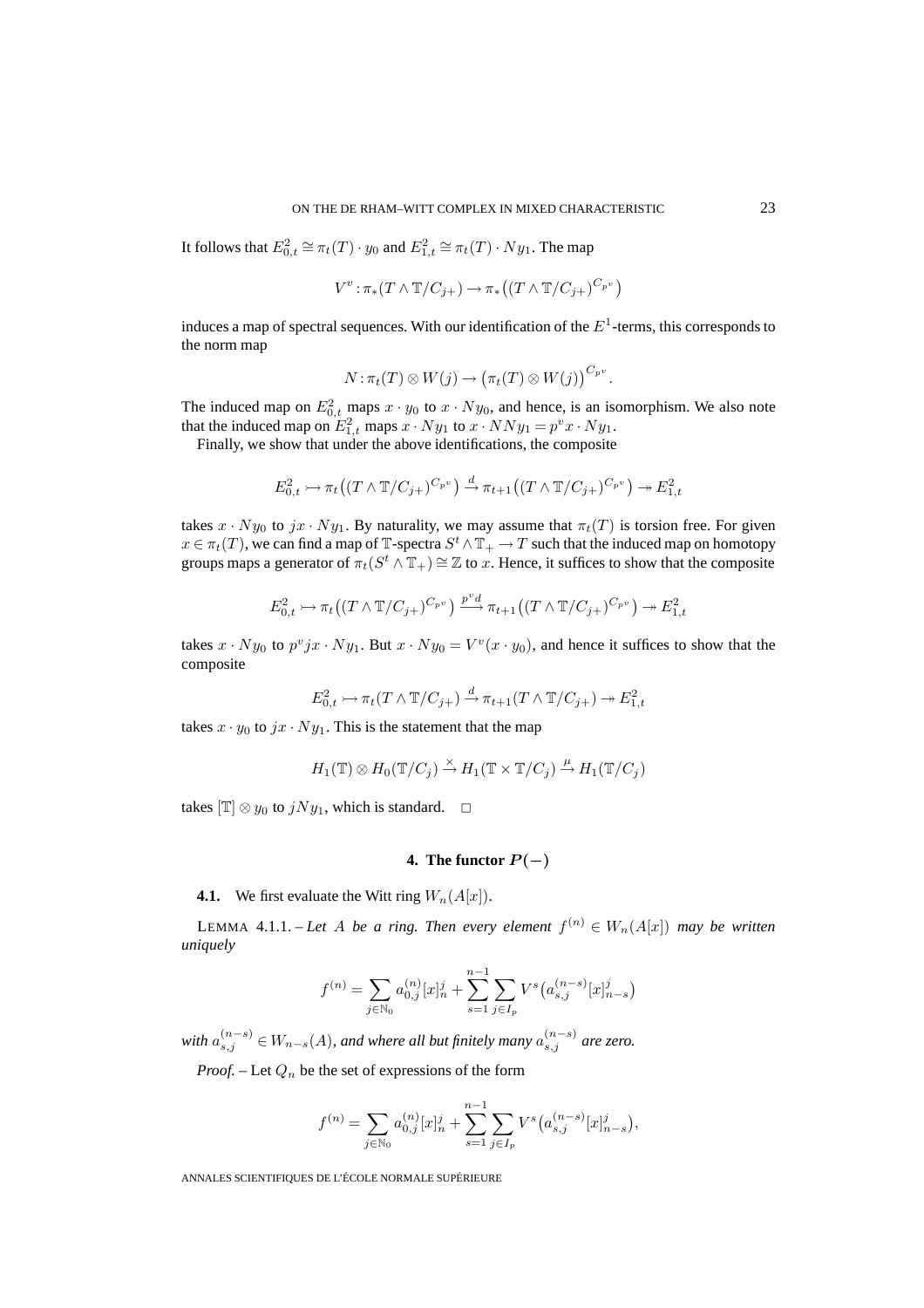It follows that  $E_{0,t}^2 \cong \pi_t(T) \cdot y_0$  and  $E_{1,t}^2 \cong \pi_t(T) \cdot Ny_1$ . The map

$$
V^v : \pi_*(T \wedge \mathbb{T}/C_{j+}) \to \pi_*((T \wedge \mathbb{T}/C_{j+})^{C_{p^v}})
$$

induces a map of spectral sequences. With our identification of the  $E<sup>1</sup>$ -terms, this corresponds to the norm map

$$
N: \pi_t(T) \otimes W(j) \to (\pi_t(T) \otimes W(j))^{C_{p^v}}.
$$

The induced map on  $E_{0,t}^2$  maps  $x \cdot y_0$  to  $x \cdot Ny_0$ , and hence, is an isomorphism. We also note that the induced map on  $E_{1,t}^2$  maps  $x \cdot Ny_1$  to  $x \cdot NNy_1 = p^v x \cdot Ny_1$ .

Finally, we show that under the above identifications, the composite

$$
E_{0,t}^2 \rightarrow \pi_t((T \wedge \mathbb{T}/C_{j+})^{C_{p^v}}) \xrightarrow{d} \pi_{t+1}((T \wedge \mathbb{T}/C_{j+})^{C_{p^v}}) \rightarrow E_{1,t}^2
$$

takes  $x \cdot Ny_0$  to  $jx \cdot Ny_1$ . By naturality, we may assume that  $\pi_t(T)$  is torsion free. For given  $x \in \pi_t(T)$ , we can find a map of T-spectra  $S^t \wedge T_+ \to T$  such that the induced map on homotopy groups maps a generator of  $\pi_t(S^t \wedge \mathbb{T}_+) \cong \mathbb{Z}$  to x. Hence, it suffices to show that the composite

$$
E_{0,t}^2 \rightarrowtail \pi_t((T \wedge \mathbb{T}/C_{j+})^{C_{p^v}}) \xrightarrow{p^v d} \pi_{t+1}((T \wedge \mathbb{T}/C_{j+})^{C_{p^v}}) \rightarrowtail E_{1,t}^2
$$

takes  $x \cdot Ny_0$  to  $p^v jx \cdot Ny_1$ . But  $x \cdot Ny_0 = V^v(x \cdot y_0)$ , and hence it suffices to show that the composite

$$
E_{0,t}^2 \rightarrowtail \pi_t(T \wedge \mathbb{T}/C_{j+}) \stackrel{d}{\rightarrow} \pi_{t+1}(T \wedge \mathbb{T}/C_{j+}) \rightarrowtail E_{1,t}^2
$$

takes  $x \cdot y_0$  to  $jx \cdot Ny_1$ . This is the statement that the map

$$
H_1(\mathbb{T}) \otimes H_0(\mathbb{T}/C_j) \stackrel{\times}{\to} H_1(\mathbb{T} \times \mathbb{T}/C_j) \stackrel{\mu}{\to} H_1(\mathbb{T}/C_j)
$$

takes  $\mathbb{T} \otimes y_0$  to  $jNy_1$ , which is standard.  $\Box$ 

# **4.** The functor  $P(-)$

### **4.1.** We first evaluate the Witt ring  $W_n(A[x])$ .

LEMMA 4.1.1. – Let A be a ring. Then every element  $f^{(n)} \in W_n(A[x])$  may be written *uniquely*

$$
f^{(n)} = \sum_{j \in \mathbb{N}_0} a_{0,j}^{(n)} [x]_n^j + \sum_{s=1}^{n-1} \sum_{j \in I_p} V^s (a_{s,j}^{(n-s)} [x]_{n-s}^j)
$$

with  $a_{s,j}^{(n-s)} \in W_{n-s}(A)$ , and where all but finitely many  $a_{s,j}^{(n-s)}$  are zero.

*Proof.* – Let  $Q_n$  be the set of expressions of the form

$$
f^{(n)} = \sum_{j \in \mathbb{N}_0} a_{0,j}^{(n)} [x]_n^j + \sum_{s=1}^{n-1} \sum_{j \in I_p} V^s (a_{s,j}^{(n-s)} [x]_{n-s}^j),
$$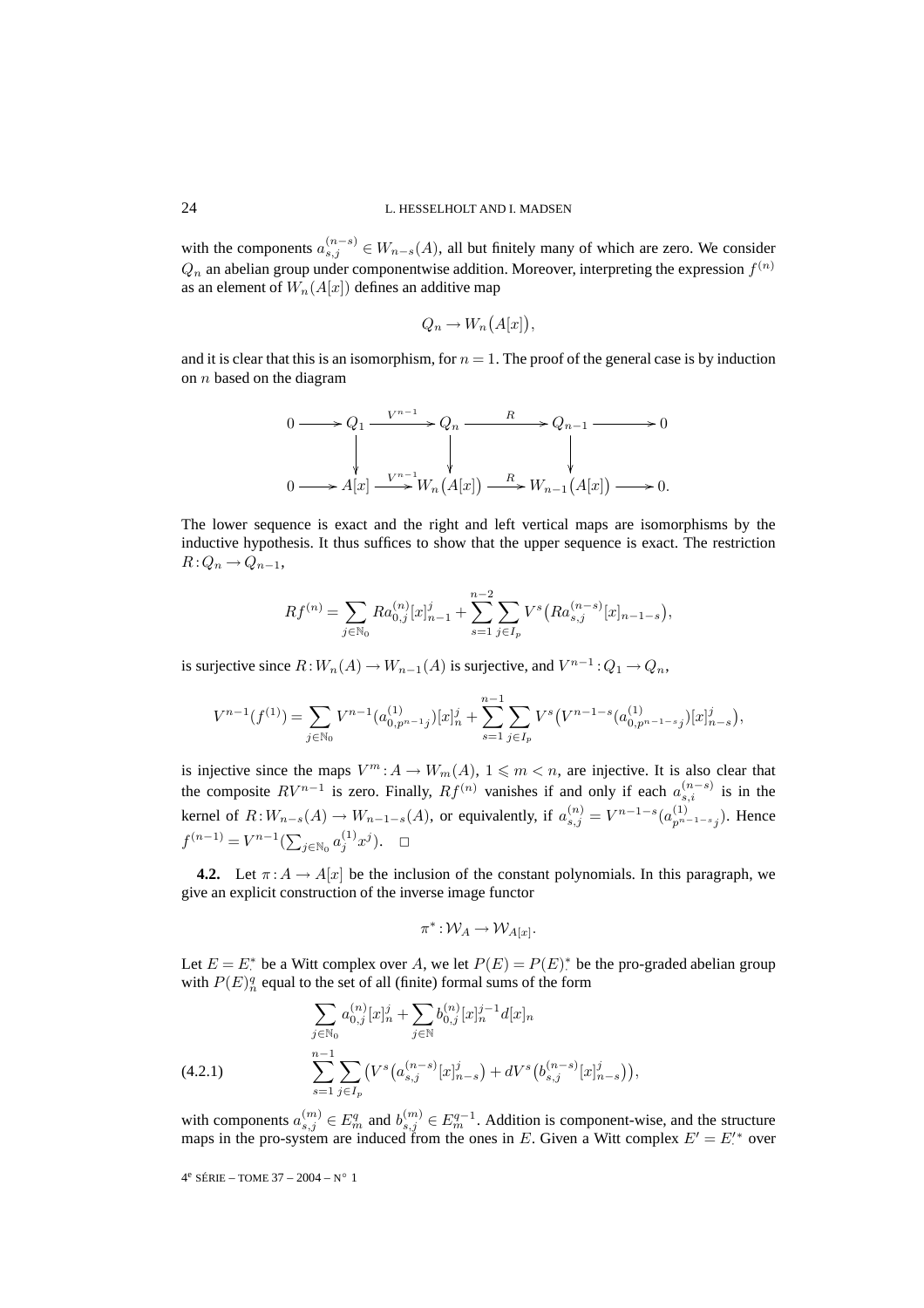with the components  $a_{s,j}^{(n-s)} \in W_{n-s}(A)$ , all but finitely many of which are zero. We consider  $Q_n$  an abelian group under componentwise addition. Moreover, interpreting the expression  $f^{(n)}$ as an element of  $W_n(A[x])$  defines an additive map

$$
Q_n \to W_n(A[x]),
$$

and it is clear that this is an isomorphism, for  $n = 1$ . The proof of the general case is by induction on  $n$  based on the diagram

$$
0 \longrightarrow Q_1 \xrightarrow{V^{n-1}} Q_n \xrightarrow{R} Q_{n-1} \longrightarrow 0
$$
  
\n
$$
\downarrow \qquad \qquad \downarrow
$$
  
\n
$$
0 \longrightarrow A[x] \xrightarrow{V^{n-1}} W_n(A[x]) \xrightarrow{R} W_{n-1}(A[x]) \longrightarrow 0.
$$

The lower sequence is exact and the right and left vertical maps are isomorphisms by the inductive hypothesis. It thus suffices to show that the upper sequence is exact. The restriction  $R:Q_n \to Q_{n-1},$ 

$$
Rf^{(n)} = \sum_{j \in \mathbb{N}_0} Ra_{0,j}^{(n)} [x]_{n-1}^j + \sum_{s=1}^{n-2} \sum_{j \in I_p} V^s (Ra_{s,j}^{(n-s)} [x]_{n-1-s}),
$$

is surjective since  $R:W_n(A) \to W_{n-1}(A)$  is surjective, and  $V^{n-1}:Q_1 \to Q_n$ ,

$$
V^{n-1}(f^{(1)}) = \sum_{j \in \mathbb{N}_0} V^{n-1}(a_{0,p^{n-1}j}^{(1)})[x]_n^j + \sum_{s=1}^{n-1} \sum_{j \in I_p} V^s \left( V^{n-1-s}(a_{0,p^{n-1-s}j}^{(1)})[x]_{n-s}^j \right),
$$

is injective since the maps  $V^m: A \to W_m(A)$ ,  $1 \leq m < n$ , are injective. It is also clear that the composite  $RV^{n-1}$  is zero. Finally,  $Rf^{(n)}$  vanishes if and only if each  $a_{s,i}^{(n-s)}$  is in the kernel of  $R:W_{n-s}(A) \to W_{n-1-s}(A)$ , or equivalently, if  $a_{s,j}^{(n)} = V^{n-1-s}(a_{p^{n-1-s}j}^{(1)})$ . Hence  $f^{(n-1)} = V^{n-1}(\sum_{j \in \mathbb{N}_0} a_j^{(1)} x^j). \quad \Box$ 

**4.2.** Let  $\pi: A \to A[x]$  be the inclusion of the constant polynomials. In this paragraph, we give an explicit construction of the inverse image functor

$$
\pi^* \!:\! \mathcal{W}_A \!\to\! \mathcal{W}_{A[x]}.
$$

Let  $E = E^*$  be a Witt complex over A, we let  $P(E) = P(E)^*$  be the pro-graded abelian group with  $P(E)_{n}^{q}$  equal to the set of all (finite) formal sums of the form

$$
\sum_{j \in \mathbb{N}_0} a_{0,j}^{(n)} [x]_n^j + \sum_{j \in \mathbb{N}} b_{0,j}^{(n)} [x]_n^{j-1} d[x]_n
$$
\n
$$
(4.2.1) \qquad \sum_{s=1}^{n-1} \sum_{j \in I_p} \left( V^s \big( a_{s,j}^{(n-s)} [x]_{n-s}^j \big) + dV^s \big( b_{s,j}^{(n-s)} [x]_{n-s}^j \big) \right),
$$

with components  $a_{s,j}^{(m)} \in E_m^q$  and  $b_{s,j}^{(m)} \in E_m^{q-1}$ . Addition is component-wise, and the structure maps in the pro-system are induced from the ones in E. Given a Witt complex  $E' = E'^*$  over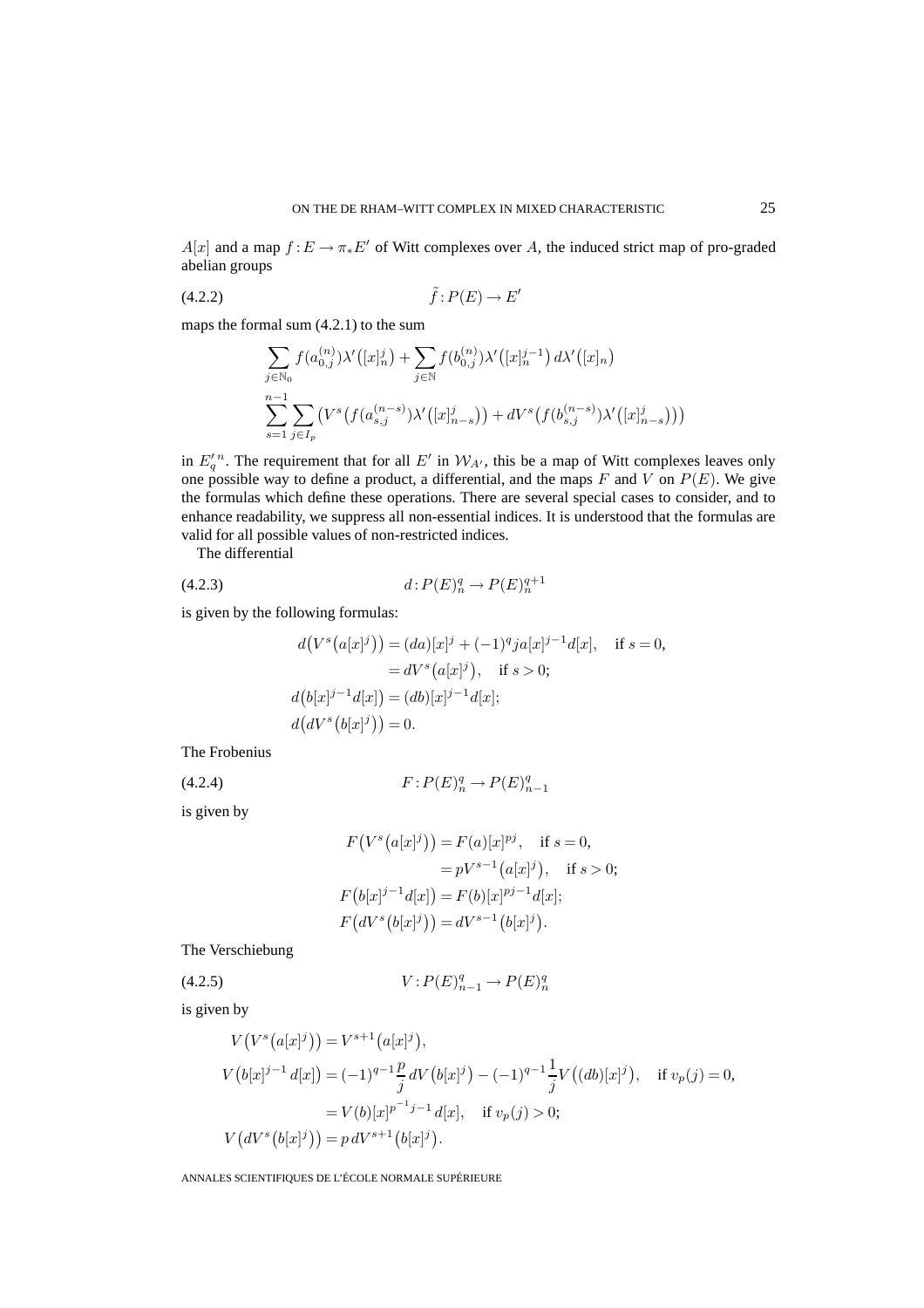$A[x]$  and a map  $f: E \to \pi_* E'$  of Witt complexes over A, the induced strict map of pro-graded abelian groups

$$
(4.2.2) \quad \tilde{f}: P(E) \to E'
$$

maps the formal sum (4.2.1) to the sum

$$
\sum_{j \in \mathbb{N}_0} f(a_{0,j}^{(n)}) \lambda'([x]_n^j) + \sum_{j \in \mathbb{N}} f(b_{0,j}^{(n)}) \lambda'([x]_n^{j-1}) d\lambda'([x]_n)
$$
  

$$
\sum_{s=1}^{n-1} \sum_{j \in I_p} (V^s(f(a_{s,j}^{(n-s)}) \lambda'([x]_{n-s}^j)) + dV^s(f(b_{s,j}^{(n-s)}) \lambda'([x]_{n-s}^j)))
$$

in  $E_q'^n$ . The requirement that for all  $E'$  in  $W_{A'}$ , this be a map of Witt complexes leaves only one possible way to define a product, a differential, and the maps F and V on  $P(E)$ . We give the formulas which define these operations. There are several special cases to consider, and to enhance readability, we suppress all non-essential indices. It is understood that the formulas are valid for all possible values of non-restricted indices.

The differential

(4.2.3) 
$$
d: P(E)^q_n \to P(E)^{q+1}_n
$$

is given by the following formulas:

$$
d(Vs(a[x]j)) = (da)[x]j + (-1)qja[x]j-1d[x], if s = 0,= dVs(a[x]j), if s > 0;
$$
d(b[x]j-1d[x]) = (db)[x]j-1d[x];d(dVs(b[x]j)) = 0.
$$
$$

The Frobenius

(4.2.4) 
$$
F: P(E)^q_n \to P(E)^q_{n-1}
$$

is given by

$$
F(Vs(a[x]j)) = F(a)[x]pj, \text{ if } s = 0,
$$
  
=  $pVs-1(a[x]j)$ , if  $s > 0$ ;  
 $F(b[x]j-1d[x]) = F(b)[x]pj-1d[x];$   
 $F(dVs(b[x]j)) = dVs-1(b[x]j).$ 

The Verschiebung

(4.2.5) 
$$
V: P(E)_{n-1}^q \to P(E)_n^q
$$

is given by

$$
V(Vs(a[x]j)) = Vs+1(a[x]j),
$$
  
\n
$$
V(b[x]j-1 d[x]) = (-1)q-1 \frac{p}{j} dV(b[x]j) - (-1)q-1 \frac{1}{j} V((db)[x]j), \text{ if } v_p(j) = 0,
$$
  
\n
$$
= V(b)[x]^{p^{-1}j-1} d[x], \text{ if } v_p(j) > 0;
$$
  
\n
$$
V(dVs(b[x]j)) = p dVs+1(b[x]j).
$$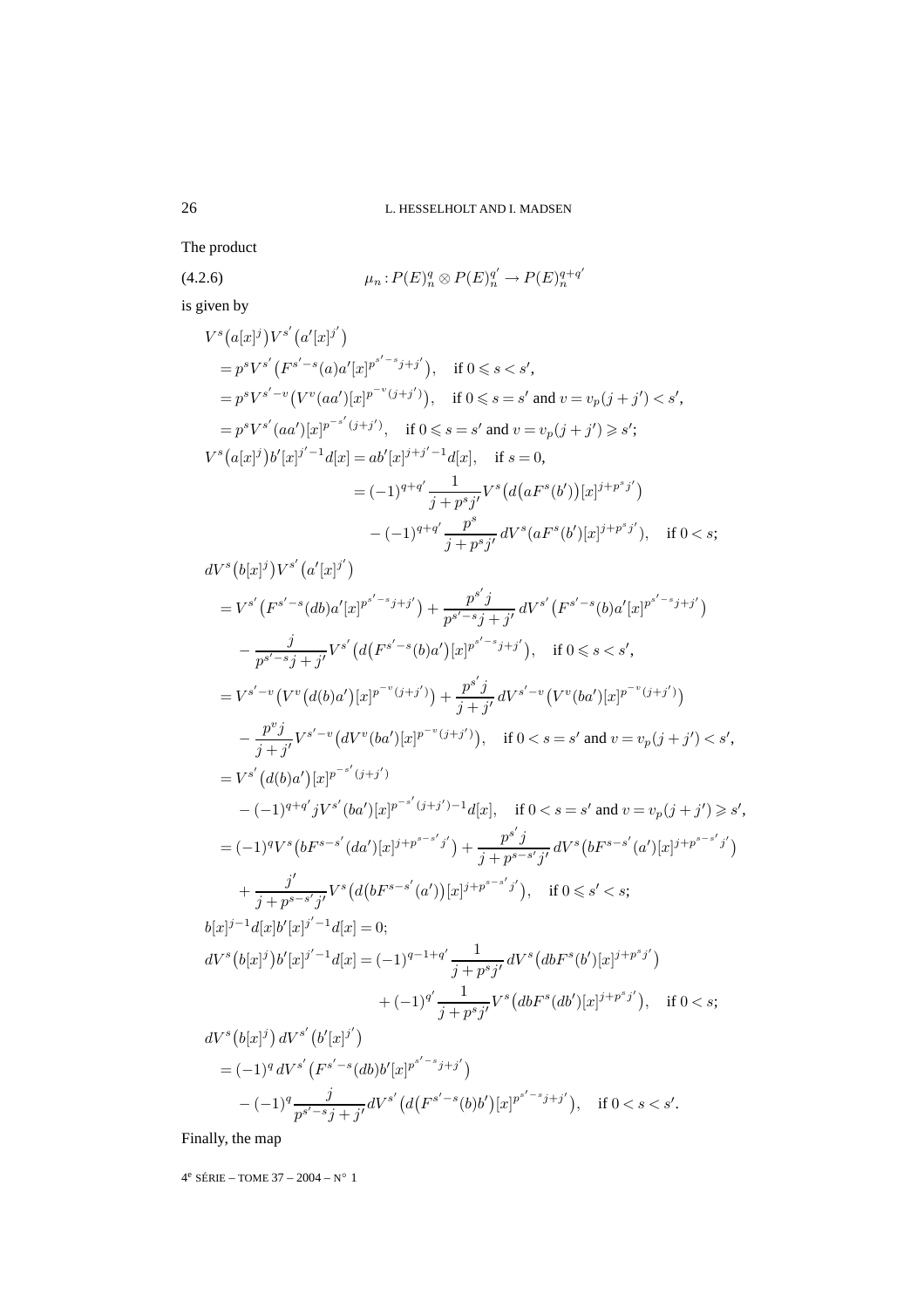The product

(4.2.6) 
$$
\mu_n : P(E)_n^q \otimes P(E)_n^{q'} \to P(E)_n^{q+q'}
$$

is given by

$$
V^{s}(a[x]^{j})V^{s'}(a'[x]^{j'})
$$
  
\n
$$
=p^{s}V^{s'}(F^{s'-s}(a)a'[x]^{p^{s'-s}j+j'}), \text{ if } 0 \le s < s',
$$
  
\n
$$
=p^{s}V^{s'-v}(V^{v}(aa')[x]^{p^{-v}(j+j')}), \text{ if } 0 \le s = s' \text{ and } v = v_{p}(j+j') < s',
$$
  
\n
$$
=p^{s}V^{s'}(aa')[x]^{p^{-s'}(j+j')}, \text{ if } 0 \le s = s' \text{ and } v = v_{p}(j+j') \ge s';
$$
  
\n
$$
V^{s}(a[x]^{j})b'[x]^{j'-1}d[x] = ab'[x]^{j+j'-1}d[x], \text{ if } s = 0,
$$
  
\n
$$
= (-1)^{q+q'}\frac{1}{j+p^{s}j'}V^{s}(d(aF^{s}(b'))[x]^{j+p^{s}j'})
$$
  
\n
$$
-(-1)^{q+q'}\frac{p^{s}}{j+p^{s}j'}dV^{s}(aF^{s}(b')[x]^{j+p^{s}j'}), \text{ if } 0 < s;
$$
  
\n
$$
dV^{s}(b[x]^{j})V^{s'}(a'[x]^{j'})
$$
  
\n
$$
=V^{s'}(F^{s'-s}(db)a'[x]^{p^{s'-s}j+j'})+\frac{p^{s'}j}{p^{s'-s}j+j'}dV^{s'}(F^{s'-s}(b)a'[x]^{p^{s'-s}j+j'})
$$
  
\n
$$
-\frac{j}{p^{s'-s}j+j'}V^{s'}(d(F^{s'-s}(b)a')[x]^{p^{s'-s}j+j'}), \text{ if } 0 \le s < s',
$$
  
\n
$$
=V^{s'-v}(V^{v}(d(b)a')[x]^{p^{-v}(j+j')})+\frac{p^{s'}j}{j+j'}dV^{s'-v}(V^{v}(ba')[x]^{p^{-v}(j+j')})
$$
  
\n
$$
-\frac{p^{v}j}{j+j'}V^{s'-v}(dV^{v}(ba')[x]^{p^{-v}(j+j')}), \text{ if } 0 < s = s' \text{ and } v = v_{p}(j+j') < s
$$

$$
-\frac{p^{v}j}{j+j'}V^{s'-v}(dV^{v}(ba')[x]^{p^{-v}(j+j')}), \quad \text{if } 0 < s = s' \text{ and } v = v_p(j+j') < s',
$$
\n
$$
= V^{s'}(d(b)a')[x]^{p^{-s'}(j+j')}
$$
\n
$$
-(-1)^{q+q'}jV^{s'}(ba')[x]^{p^{-s'}(j+j')-1}d[x], \quad \text{if } 0 < s = s' \text{ and } v = v_p(j+j') \ge s',
$$
\n
$$
= (-1)^{q}V^{s}(bF^{s-s'}(da')[x]^{j+p^{s-s'}j'}) + \frac{p^{s'}j}{j+p^{s-s'}j'}dV^{s}(bF^{s-s'}(a')[x]^{j+p^{s-s'}j'})
$$
\n
$$
+\frac{j'}{j+p^{s-s'}j'}V^{s}(d(bF^{s-s'}(a'))[x]^{j+p^{s-s'}j'}), \quad \text{if } 0 \le s' < s;
$$
\n
$$
b[x]^{j-1}d[x]b'[x]^{j'-1}d[x] = 0;
$$
\n
$$
dV^{s}(b[x]^{j})b'[x]^{j'-1}d[x] = (-1)^{q-1+q'}\frac{1}{j+p^{s}j'}dV^{s}(dbF^{s}(b')[x]^{j+p^{s}j'}), \quad \text{if } 0 < s;
$$

$$
dV^{s}(b[x]^{j}) dV^{s'}(b'[x]^{j'})
$$
  
=  $(-1)^{q} dV^{s'}(F^{s'-s}(db)b'[x]^{p^{s'-s}j+j'})$   
 $-(-1)^{q} \frac{j}{p^{s'-s}j+j'} dV^{s'}(d(F^{s'-s}(b)b')[x]^{p^{s'-s}j+j'}), \text{ if } 0 < s < s'.$ 

Finally, the map

 $4^e$  SÉRIE – TOME  $37 - 2004 - N^{\circ}$  1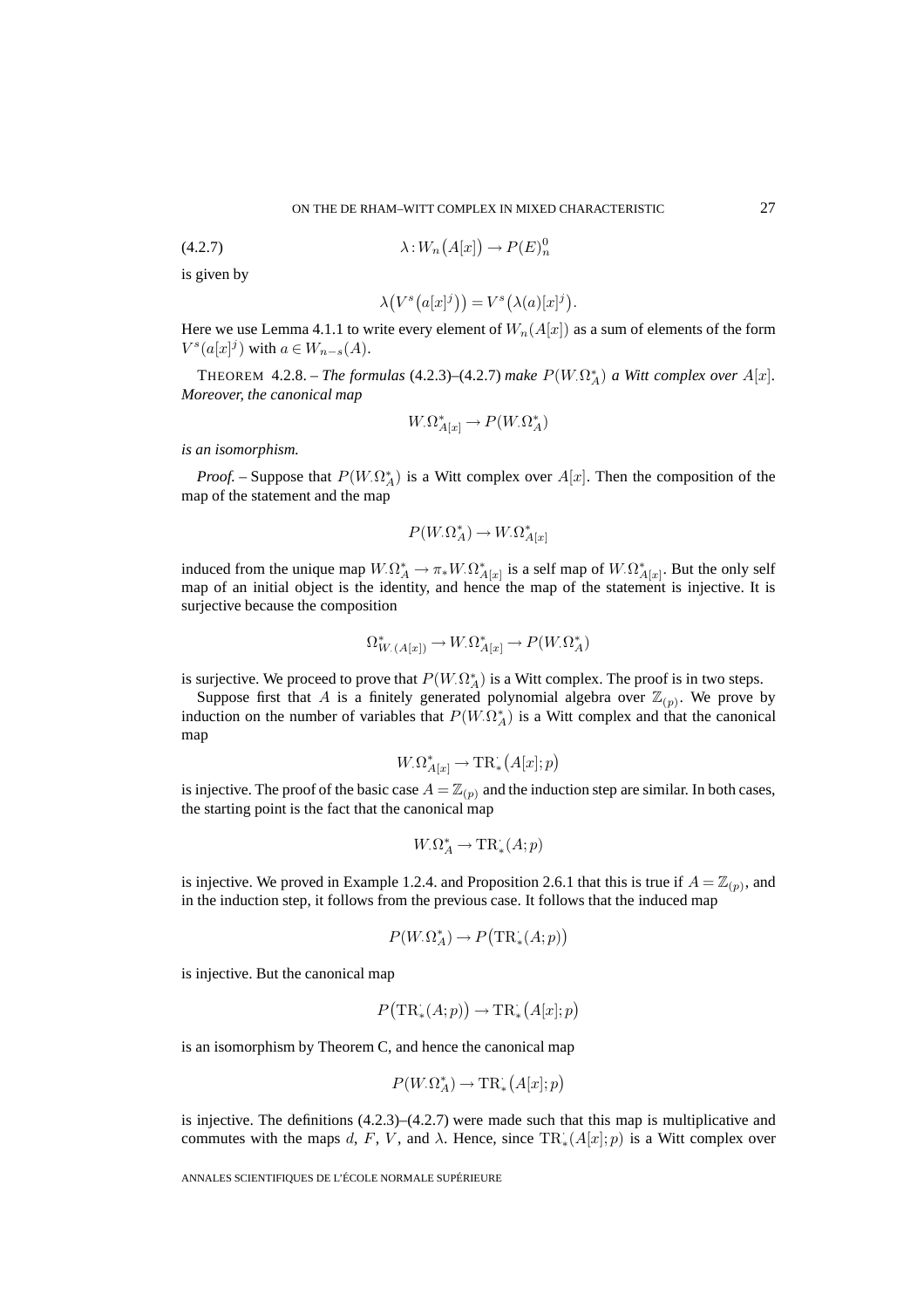$$
\lambda: W_n\big(A[x]\big) \longrightarrow P(E)^0_n
$$

is given by

$$
\lambda(V^s\big(a[x]^j\big)\big) = V^s\big(\lambda(a)[x]^j\big).
$$

Here we use Lemma 4.1.1 to write every element of  $W_n(A[x])$  as a sum of elements of the form  $V^s(a[x]^j)$  with  $a \in W_{n-s}(A)$ .

THEOREM  $4.2.8.$  – *The formulas*  $(4.2.3)$ – $(4.2.7)$  *make*  $P(W.\Omega_A^*)$  *a Witt complex over*  $A[x]$ *. Moreover, the canonical map*

$$
W_{\cdot} \Omega^*_{A[x]} \to P(W_{\cdot} \Omega^*_A)
$$

*is an isomorphism.*

*Proof.* – Suppose that  $P(W.\Omega_A^*)$  is a Witt complex over  $A[x]$ . Then the composition of the map of the statement and the map

$$
P(W_{\cdot} \Omega_A^*) \to W_{\cdot} \Omega_{A[x]}^*
$$

induced from the unique map  $W_{\cdot}\Omega^*_{A} \to \pi_*W_{\cdot}\Omega^*_{A[x]}$  is a self map of  $W_{\cdot}\Omega^*_{A[x]}$ . But the only self map of an initial object is the identity, and hence the map of the statement is injective. It is surjective because the composition

$$
\Omega^*_{W_{\cdot}(A[x])} \to W_{\cdot}\Omega^*_{A[x]} \to P(W_{\cdot}\Omega^*_{A})
$$

is surjective. We proceed to prove that  $P(W_{\cdot}\Omega_A^*)$  is a Witt complex. The proof is in two steps.

Suppose first that A is a finitely generated polynomial algebra over  $\mathbb{Z}_{(p)}$ . We prove by induction on the number of variables that  $P(W.\Omega_A^*)$  is a Witt complex and that the canonical map

$$
W_{\cdot} \Omega^*_{A[x]} \to \mathrm{TR}^{\cdot}_{*}(A[x]; p)
$$

is injective. The proof of the basic case  $A = \mathbb{Z}_{(p)}$  and the induction step are similar. In both cases, the starting point is the fact that the canonical map

$$
W_{\cdot}\Omega^*_{A} \to \mathrm{TR}^{\cdot}_{*}(A;p)
$$

is injective. We proved in Example 1.2.4. and Proposition 2.6.1 that this is true if  $A = \mathbb{Z}_{(p)}$ , and in the induction step, it follows from the previous case. It follows that the induced map

$$
P(W_{\cdot}\Omega_A^*) \to P\big(\mathrm{TR}^{\cdot}_*(A;p)\big)
$$

is injective. But the canonical map

$$
P\big(\mathrm{TR}^\cdot_*(A;p)\big) \to \mathrm{TR}^\cdot_*\big(A[x];p\big)
$$

is an isomorphism by Theorem C, and hence the canonical map

$$
P(W_{\cdot}\Omega_A^*) \to \mathrm{TR}^*_{*}\big(A[x];p\big)
$$

is injective. The definitions  $(4.2.3)$ – $(4.2.7)$  were made such that this map is multiplicative and commutes with the maps d, F, V, and  $\lambda$ . Hence, since  $TR_*^{\cdot}(A[x]; p)$  is a Witt complex over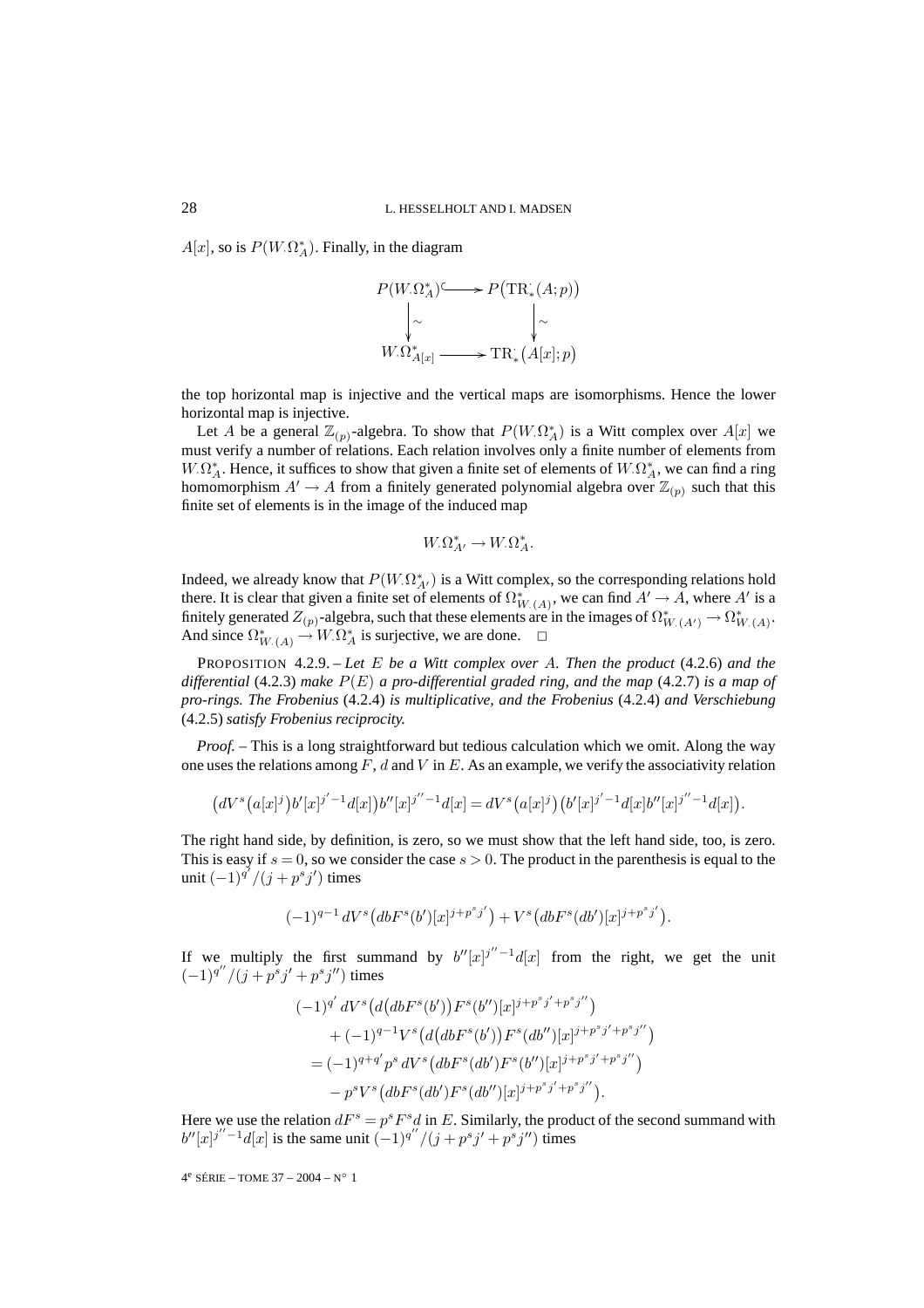$A[x]$ , so is  $P(W.\Omega_A^*)$ . Finally, in the diagram



the top horizontal map is injective and the vertical maps are isomorphisms. Hence the lower horizontal map is injective.

Let A be a general  $\mathbb{Z}_{(p)}$ -algebra. To show that  $P(W.\Omega_A^*)$  is a Witt complex over  $A[x]$  we must verify a number of relations. Each relation involves only a finite number of elements from  $W.\Omega^*_A$ . Hence, it suffices to show that given a finite set of elements of  $W.\Omega^*_A$ , we can find a ring homomorphism  $A' \to A$  from a finitely generated polynomial algebra over  $\mathbb{Z}_{(p)}$  such that this finite set of elements is in the image of the induced map

$$
W_{\cdot}\Omega^*_{A'} \to W_{\cdot}\Omega^*_{A^{\cdot}}
$$

Indeed, we already know that  $P(W_{\cdot} \Omega_{A'}^*)$  is a Witt complex, so the corresponding relations hold there. It is clear that given a finite set of elements of  $\Omega^*_{W(A)}$ , we can find  $A' \to A$ , where  $A'$  is a finitely generated  $Z_{(p)}$ -algebra, such that these elements are in the images of  $\Omega^*_{W,(A')} \to \Omega^*_{W,(A)}$ . And since  $\Omega^*_{W \cdot (A)} \to W \cdot \Omega^*_{A}$  is surjective, we are done.  $\square$ 

PROPOSITION 4.2.9. – *Let* E *be a Witt complex over* A*. Then the product* (4.2.6) *and the differential* (4.2.3) *make* P(E) *a pro-differential graded ring, and the map* (4.2.7) *is a map of pro-rings. The Frobenius* (4.2.4) *is multiplicative, and the Frobenius* (4.2.4) *and Verschiebung* (4.2.5) *satisfy Frobenius reciprocity.*

*Proof. –* This is a long straightforward but tedious calculation which we omit. Along the way one uses the relations among  $F$ , d and V in E. As an example, we verify the associativity relation

$$
(dVs(a[x]j)b'[x]j'-1d[x])b''[x]j''-1d[x] = dVs(a[x]j) (b'[x]j'-1d[x]b''[x]j''-1d[x]).
$$

The right hand side, by definition, is zero, so we must show that the left hand side, too, is zero. This is easy if  $s = 0$ , so we consider the case  $s > 0$ . The product in the parenthesis is equal to the unit  $(-1)^{q'}/(j + p^s j')$  times

$$
(-1)^{q-1} \, dV^s \big( db F^s(b') [x]^{j+p^s j'} \big) + V^s \big( db F^s (db') [x]^{j+p^s j'} \big).
$$

If we multiply the first summand by  $b''[x]^{j''-1}d[x]$  from the right, we get the unit  $(-1)^{q''}/(j + p^{s}j' + p^{s}j'')$  times

$$
\begin{aligned} & (-1)^{q'} dV^s \big( d\big( dbF^s(b')\big) F^s(b'') [x]^{j+p^sj'+p^sj''} \big) \\ & + (-1)^{q-1} V^s \big( d\big( dbF^s(b')\big) F^s (db'') [x]^{j+p^sj'+p^sj''} \big) \\ & = (-1)^{q+q'} p^s \, dV^s \big( dbF^s (db')F^s(b'') [x]^{j+p^sj'+p^sj''} \big) \\ &- p^s V^s \big( dbF^s (db')F^s (db'') [x]^{j+p^sj'+p^sj''} \big). \end{aligned}
$$

Here we use the relation  $dF^s = p^s F^s d$  in E. Similarly, the product of the second summand with  $b''[x]^{j''-1}d[x]$  is the same unit  $(-1)^{q''}/(j+p^sj'+p^sj'')$  times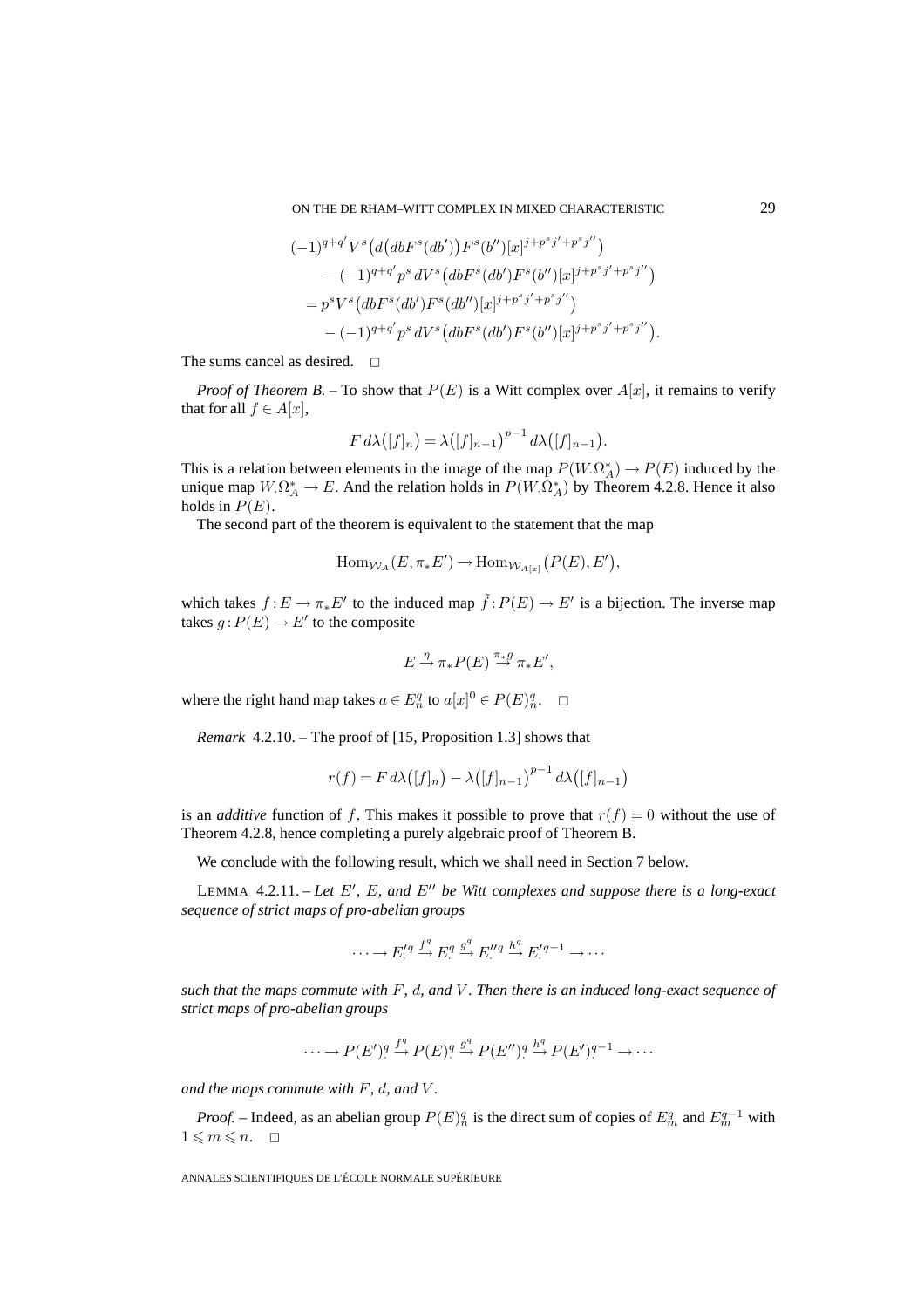$$
\begin{split} &(-1)^{q+q'}V^s\big(d\big(dbF^s(db')\big)F^s(b'')[x]^{j+p^sj'+p^sj''}\big) \\ &-(-1)^{q+q'}p^s\,dV^s\big(dbF^s(db')F^s(b'')[x]^{j+p^sj'+p^sj''}\big) \\ &=p^sV^s\big(dbF^s(db')F^s(db')[x]^{j+p^sj'+p^sj''}\big) \\ &-(-1)^{q+q'}p^s\,dV^s\big(dbF^s(db')F^s(b'')[x]^{j+p^sj'+p^sj''}\big). \end{split}
$$

The sums cancel as desired.  $\square$ 

*Proof of Theorem B.* – To show that  $P(E)$  is a Witt complex over  $A[x]$ , it remains to verify that for all  $f \in A[x]$ ,

$$
F d\lambda([f]_n) = \lambda([f]_{n-1})^{p-1} d\lambda([f]_{n-1}).
$$

This is a relation between elements in the image of the map  $P(W.\Omega_A^*) \to P(E)$  induced by the unique map  $W.\Omega^*_A \to E$ . And the relation holds in  $P(W.\Omega^*_A)$  by Theorem 4.2.8. Hence it also holds in  $P(E)$ .

The second part of the theorem is equivalent to the statement that the map

$$
\mathrm{Hom}_{\mathcal{W}_A}(E, \pi_* E') \to \mathrm{Hom}_{\mathcal{W}_{A[x]}}(P(E), E'),
$$

which takes  $f: E \to \pi_* E'$  to the induced map  $\tilde{f}: P(E) \to E'$  is a bijection. The inverse map takes  $g: P(E) \to E'$  to the composite

$$
E \stackrel{\eta}{\rightarrow} \pi_* P(E) \stackrel{\pi_* g}{\rightarrow} \pi_* E',
$$

where the right hand map takes  $a \in E_n^q$  to  $a[x]^0 \in P(E)_n^q$ .  $\Box$ 

*Remark* 4.2.10. – The proof of [15, Proposition 1.3] shows that

$$
r(f) = F d\lambda ((f|_{n}) - \lambda ((f|_{n-1})^{p-1} d\lambda ((f|_{n-1}))
$$

is an *additive* function of f. This makes it possible to prove that  $r(f) = 0$  without the use of Theorem 4.2.8, hence completing a purely algebraic proof of Theorem B.

We conclude with the following result, which we shall need in Section 7 below.

LEMMA 4.2.11. – Let E', E, and E'' be Witt complexes and suppose there is a long-exact *sequence of strict maps of pro-abelian groups*

$$
\cdots \longrightarrow E^{\prime q}_{\cdot} \stackrel{f^q}{\longrightarrow} E^q_{\cdot} \stackrel{g^q}{\longrightarrow} E^{\prime q}_{\cdot} \stackrel{h^q}{\longrightarrow} E^{\prime q-1}_{\cdot} \longrightarrow \cdots
$$

*such that the maps commute with* F*,* d*, and* V *. Then there is an induced long-exact sequence of strict maps of pro-abelian groups*

$$
\cdots \to P(E')^q \overset{f^q}{\to} P(E)^q \overset{g^q}{\to} P(E'')^q \overset{h^q}{\to} P(E')^{q-1} \to \cdots
$$

*and the maps commute with* F*,* d*, and* V *.*

*Proof.* – Indeed, as an abelian group  $P(E)^q$  is the direct sum of copies of  $E^q_m$  and  $E^{q-1}_m$  with  $1 \leqslant m \leqslant n. \quad \Box$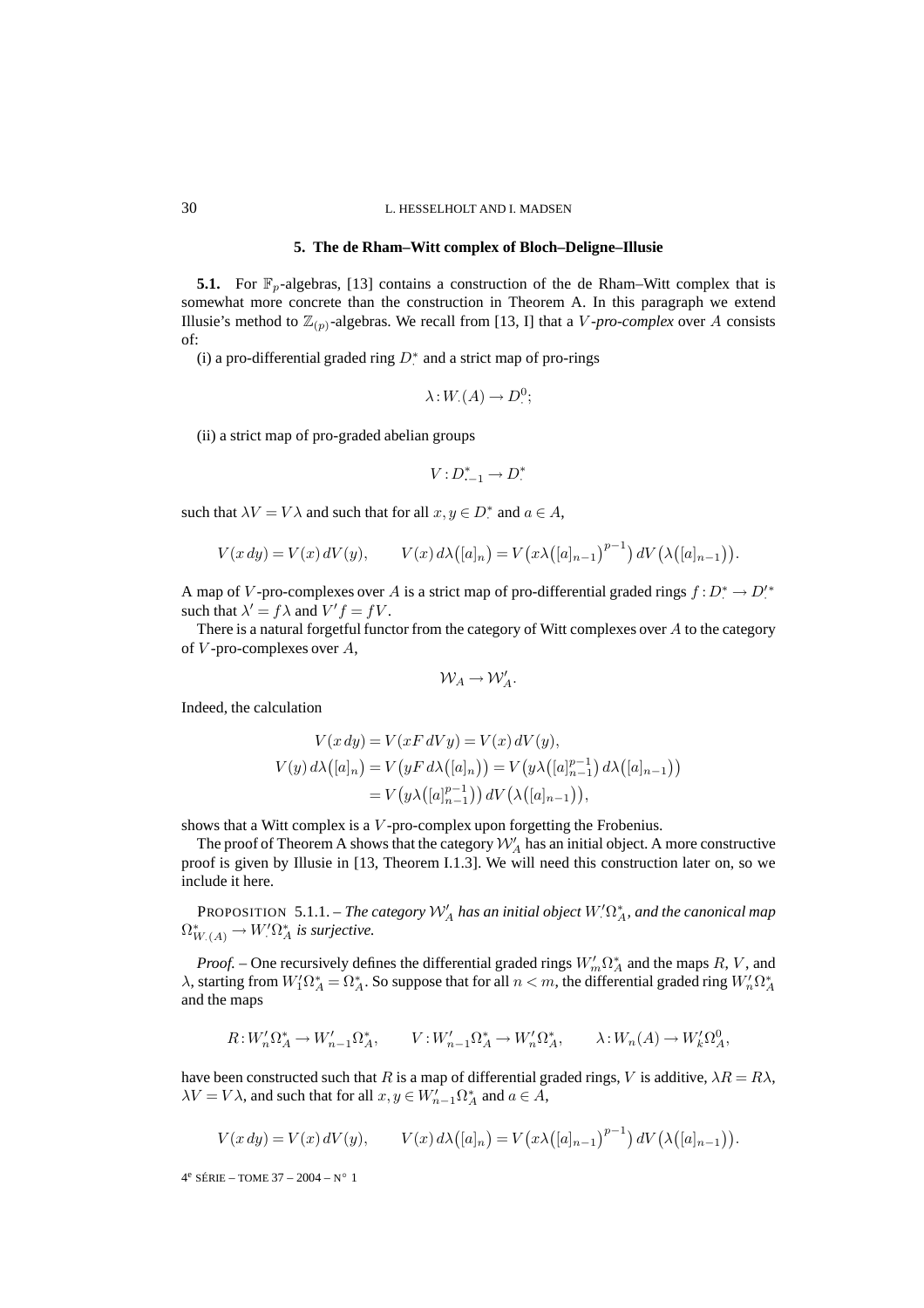#### **5. The de Rham–Witt complex of Bloch–Deligne–Illusie**

**5.1.** For  $\mathbb{F}_p$ -algebras, [13] contains a construction of the de Rham–Witt complex that is somewhat more concrete than the construction in Theorem A. In this paragraph we extend Illusie's method to  $\mathbb{Z}_{(p)}$ -algebras. We recall from [13, I] that a *V*-pro-complex over A consists of:

(i) a pro-differential graded ring  $D^*$  and a strict map of pro-rings

$$
\lambda: W_{\cdot}(A) \to D^0_{\cdot};
$$

(ii) a strict map of pro-graded abelian groups

$$
V: D_{-1}^* \to D^*
$$

such that  $\lambda V = V \lambda$  and such that for all  $x, y \in D^*$  and  $a \in A$ ,

$$
V(x\,dy) = V(x)\,dV(y), \qquad V(x)\,d\lambda([a]_n) = V(x\lambda([a]_{n-1})^{p-1})\,dV(\lambda([a]_{n-1})).
$$

A map of V-pro-complexes over A is a strict map of pro-differential graded rings  $f: D^* \to D'^*$ such that  $\lambda' = f\lambda$  and  $V'f = fV$ .

There is a natural forgetful functor from the category of Witt complexes over A to the category of  $V$ -pro-complexes over  $A$ ,

$$
\mathcal{W}_A \to \mathcal{W}'_A.
$$

Indeed, the calculation

$$
V(x \, dy) = V(xF \, dVy) = V(x) \, dV(y),
$$
  
\n
$$
V(y) \, d\lambda([a]_n) = V(yF \, d\lambda([a]_n)) = V(y\lambda([a]_{n-1}^{p-1}) \, d\lambda([a]_{n-1}))
$$
  
\n
$$
= V(y\lambda([a]_{n-1}^{p-1})) \, dV(\lambda([a]_{n-1})),
$$

shows that a Witt complex is a V -pro-complex upon forgetting the Frobenius.

The proof of Theorem A shows that the category  $\mathcal{W}_A'$  has an initial object. A more constructive proof is given by Illusie in [13, Theorem I.1.3]. We will need this construction later on, so we include it here.

PROPOSITION 5.1.1. – *The category*  $W'_A$  *has an initial object*  $W'_A$ <sup>\*</sup>, and the canonical map  $\Omega^*_{W_{\cdot}(A)} \to W_{\cdot}' \Omega^*_A$  is surjective.

*Proof.* – One recursively defines the differential graded rings  $W'_m \Omega^*_A$  and the maps R, V, and  $\lambda$ , starting from  $W_1'\Omega_A^*=\Omega_A^*$ . So suppose that for all  $n < m$ , the differential graded ring  $W_n'\Omega_A^*$ and the maps

$$
R: W'_n \Omega_A^* \to W'_{n-1} \Omega_A^*, \qquad V: W'_{n-1} \Omega_A^* \to W'_n \Omega_A^*, \qquad \lambda: W_n(A) \to W'_k \Omega_A^0,
$$

have been constructed such that R is a map of differential graded rings, V is additive,  $\lambda R = R\lambda$ ,  $\lambda V = V \lambda$ , and such that for all  $x, y \in W'_{n-1} \Omega^*_A$  and  $a \in A$ ,

$$
V(x\,dy) = V(x)\,dV(y), \qquad V(x)\,d\lambda([a]_n) = V(x\lambda([a]_{n-1})^{p-1})\,dV(\lambda([a]_{n-1})).
$$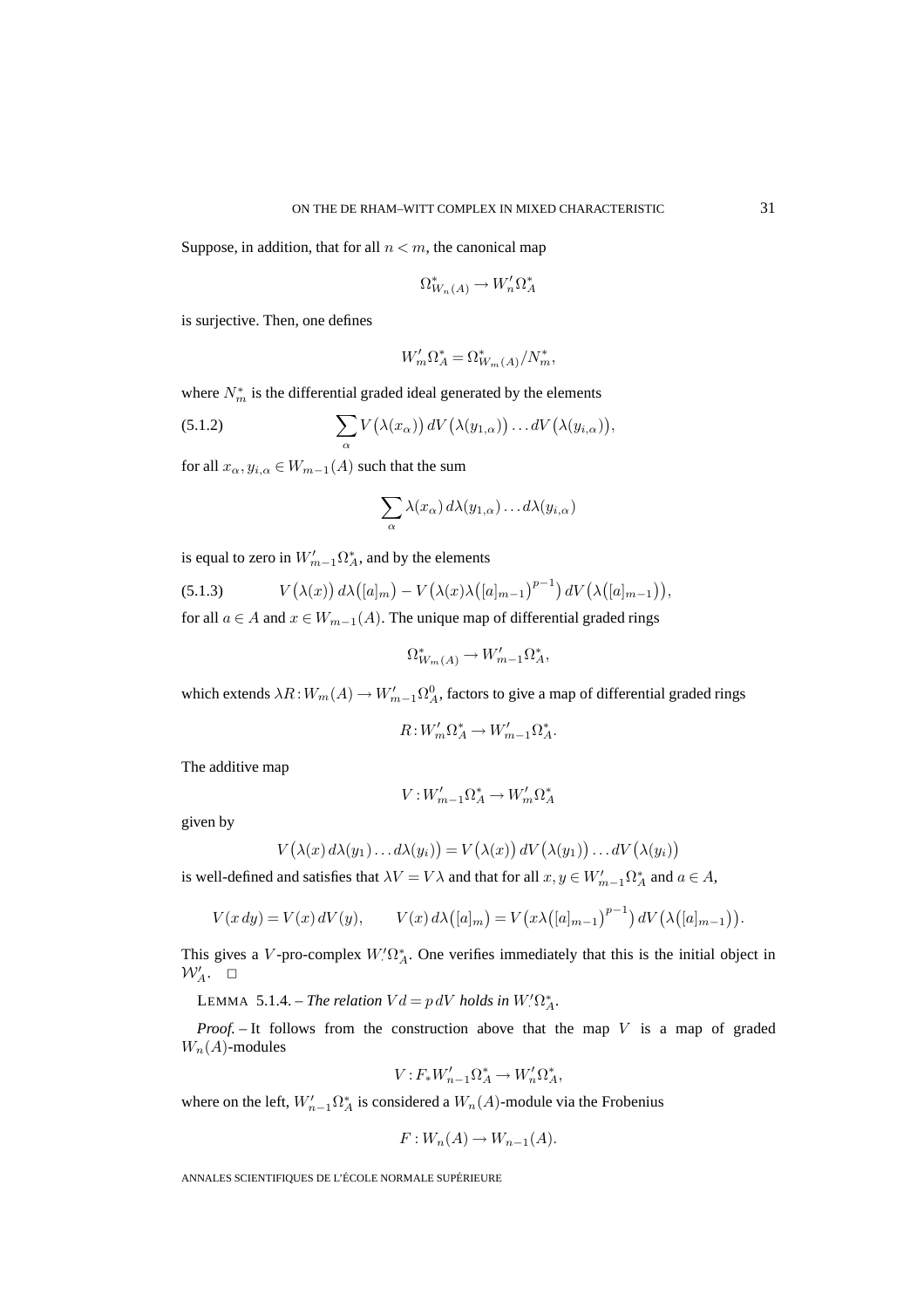Suppose, in addition, that for all  $n < m$ , the canonical map

$$
\Omega^*_{W_n(A)} \to W'_n \Omega^*_A
$$

is surjective. Then, one defines

$$
W'_m \Omega^*_A = \Omega^*_{W_m(A)}/N^*_m,
$$

where  $N_m^*$  is the differential graded ideal generated by the elements

(5.1.2) 
$$
\sum_{\alpha} V(\lambda(x_{\alpha})) dV(\lambda(y_{1,\alpha})) \dots dV(\lambda(y_{i,\alpha})),
$$

for all  $x_{\alpha}, y_{i,\alpha} \in W_{m-1}(A)$  such that the sum

$$
\sum_{\alpha} \lambda(x_{\alpha}) d\lambda(y_{1,\alpha}) \dots d\lambda(y_{i,\alpha})
$$

is equal to zero in  $W'_{m-1}\Omega^*_A$ , and by the elements

(5.1.3) 
$$
V(\lambda(x)) d\lambda([a]_m) - V(\lambda(x)\lambda([a]_{m-1})^{p-1}) dV(\lambda([a]_{m-1})),
$$

for all  $a \in A$  and  $x \in W_{m-1}(A)$ . The unique map of differential graded rings

$$
\Omega^*_{W_m(A)} \to W'_{m-1}\Omega^*_A,
$$

which extends  $\lambda R: W_m(A) \to W'_{m-1}\Omega^0_A$ , factors to give a map of differential graded rings

$$
R: W'_m \Omega^*_A \to W'_{m-1} \Omega^*_A.
$$

The additive map

$$
V: W'_{m-1}\Omega^*_A \to W'_m \Omega^*_A
$$

given by

$$
V(\lambda(x) d\lambda(y_1) \dots d\lambda(y_i)) = V(\lambda(x)) dV(\lambda(y_1)) \dots dV(\lambda(y_i))
$$

is well-defined and satisfies that  $\lambda V = V \lambda$  and that for all  $x, y \in W'_{m-1} \Omega_A^*$  and  $a \in A$ ,

$$
V(x\,dy) = V(x)\,dV(y), \qquad V(x)\,d\lambda([a]_m) = V(x\lambda([a]_{m-1})^{p-1})\,dV(\lambda([a]_{m-1})).
$$

This gives a V-pro-complex  $W' \Omega^*_A$ . One verifies immediately that this is the initial object in  $\mathcal{W}'_A.$   $\Box$ 

LEMMA 5.1.4. – *The relation*  $Vd = p dV$  *holds in*  $W'\Omega_A^*$ .

*Proof.* – It follows from the construction above that the map V is a map of graded  $W_n(A)$ -modules

$$
V: F_*W_{n-1}'\Omega_A^* \to W_n'\Omega_A^*,
$$

where on the left,  $W'_{n-1} \Omega^*_A$  is considered a  $W_n(A)$ -module via the Frobenius

$$
F: W_n(A) \to W_{n-1}(A).
$$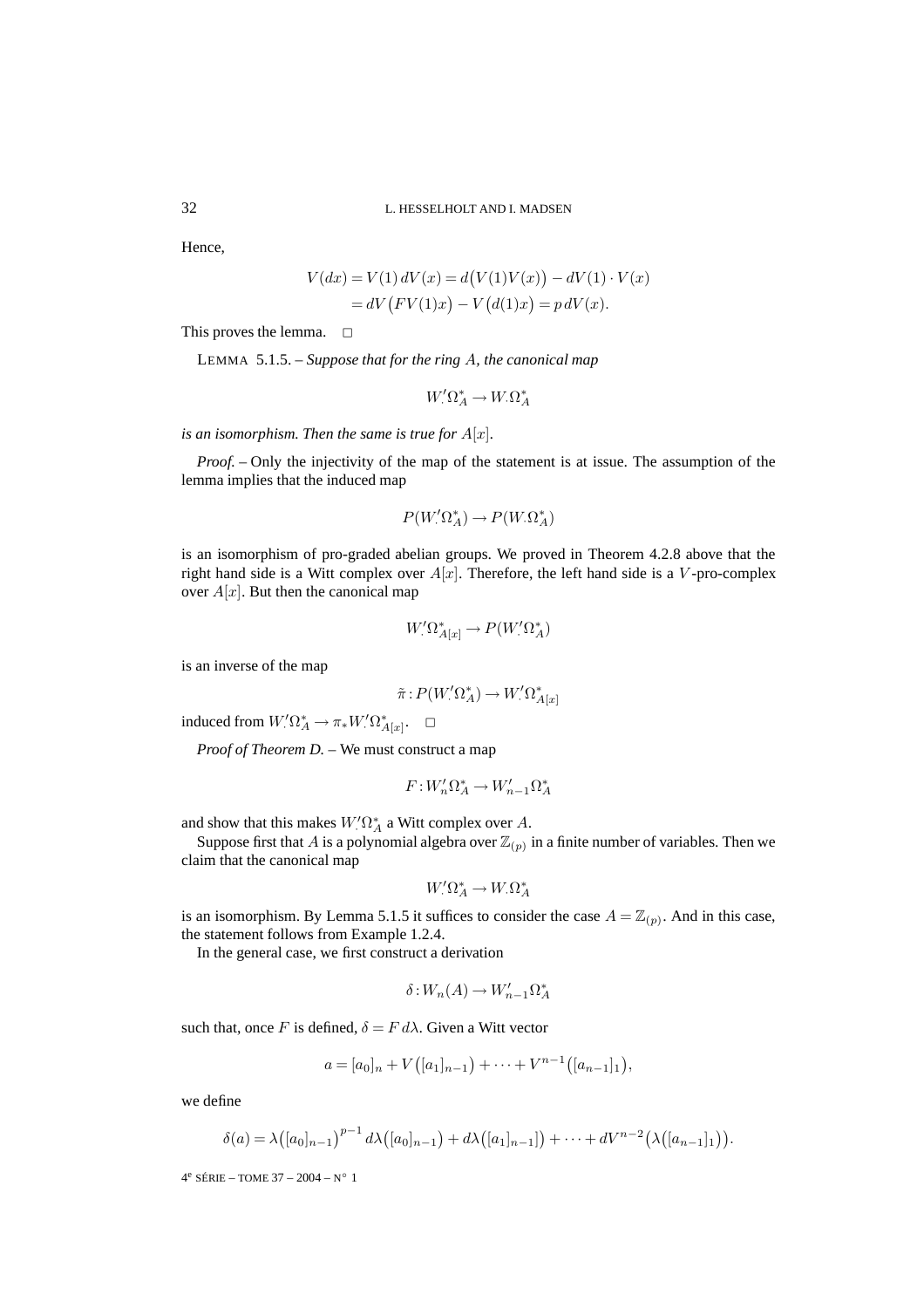Hence,

$$
V(dx) = V(1) dV(x) = d(V(1)V(x)) - dV(1) \cdot V(x)
$$
  
= dV (FV(1)x) – V(d(1)x) = p dV(x).

This proves the lemma.  $\square$ 

LEMMA 5.1.5. – *Suppose that for the ring* A*, the canonical map*

$$
W'\Omega^*_A \to W_{\cdot}\Omega^*_A
$$

*is an isomorphism. Then the same is true for*  $A[x]$ *.* 

*Proof. –* Only the injectivity of the map of the statement is at issue. The assumption of the lemma implies that the induced map

$$
P(W' \Omega_A^*) \to P(W \Omega_A^*)
$$

is an isomorphism of pro-graded abelian groups. We proved in Theorem 4.2.8 above that the right hand side is a Witt complex over  $A[x]$ . Therefore, the left hand side is a V-pro-complex over  $A[x]$ . But then the canonical map

$$
W'_{\cdot} \Omega^*_{A[x]} \to P(W'_{\cdot} \Omega^*_A)
$$

is an inverse of the map

$$
\tilde{\pi}: P(W'\Omega^*_A) \to W'\Omega^*_{A[x]}
$$

induced from  $W'\Omega^*_A \to \pi_*W'\Omega^*_{A[x]}$ .  $\Box$ 

*Proof of Theorem D. –* We must construct a map

$$
F: W'_n \Omega^*_A \to W'_{n-1} \Omega^*_A
$$

and show that this makes  $W'\Omega^*_A$  a Witt complex over A.

Suppose first that A is a polynomial algebra over  $\mathbb{Z}_{(p)}$  in a finite number of variables. Then we claim that the canonical map

$$
W_{.}^{\prime}\Omega_{A}^{*} \to W_{.}\Omega_{A}^{*}
$$

is an isomorphism. By Lemma 5.1.5 it suffices to consider the case  $A = \mathbb{Z}_{(p)}$ . And in this case, the statement follows from Example 1.2.4.

In the general case, we first construct a derivation

$$
\delta: W_n(A) \to W'_{n-1}\Omega^*_A
$$

such that, once F is defined,  $\delta = F d\lambda$ . Given a Witt vector

$$
a = [a_0]_n + V([a_1]_{n-1}) + \cdots + V^{n-1}([a_{n-1}]_1),
$$

we define

$$
\delta(a) = \lambda \big( [a_0]_{n-1} \big)^{p-1} d\lambda \big( [a_0]_{n-1} \big) + d\lambda \big( [a_1]_{n-1} \big] \big) + \cdots + dV^{n-2} \big( \lambda \big( [a_{n-1}]_1 \big) \big).
$$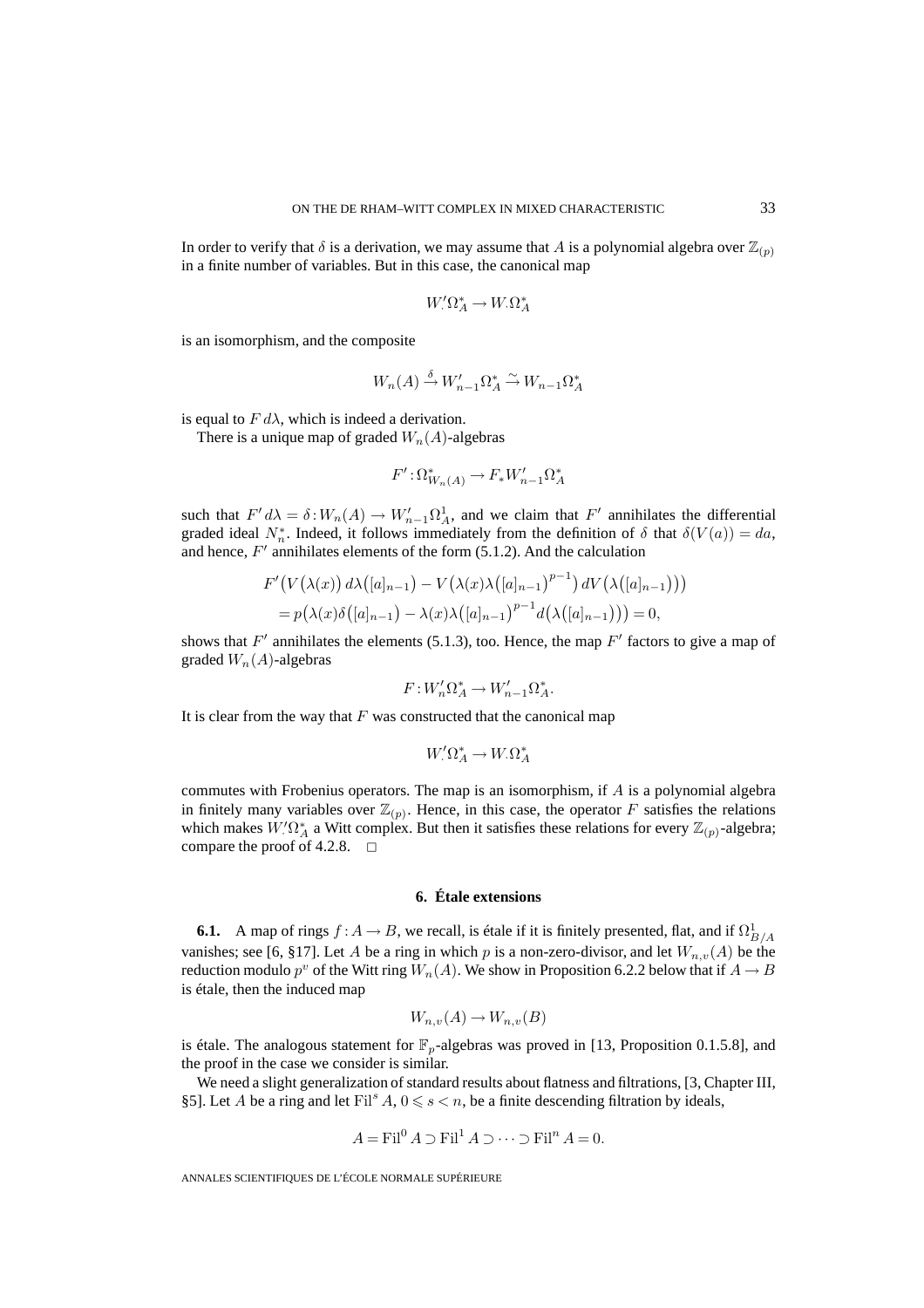In order to verify that  $\delta$  is a derivation, we may assume that A is a polynomial algebra over  $\mathbb{Z}_{(p)}$ in a finite number of variables. But in this case, the canonical map

$$
W'\Omega^*_A \to W_{\cdot}\Omega^*_A
$$

is an isomorphism, and the composite

$$
W_n(A) \stackrel{\delta}{\to} W'_{n-1} \Omega^*_A \stackrel{\sim}{\to} W_{n-1} \Omega^*_A
$$

is equal to  $F d\lambda$ , which is indeed a derivation.

There is a unique map of graded  $W_n(A)$ -algebras

$$
F': \Omega^*_{W_n(A)} \to F_*W'_{n-1}\Omega^*_A
$$

such that  $F' d\lambda = \delta : W_n(A) \to W'_{n-1} \Omega^1_A$ , and we claim that  $F'$  annihilates the differential graded ideal  $N_n^*$ . Indeed, it follows immediately from the definition of  $\delta$  that  $\delta(V(a)) = da$ , and hence,  $F'$  annihilates elements of the form (5.1.2). And the calculation

$$
F'(V(\lambda(x)) d\lambda([a]_{n-1}) - V(\lambda(x)\lambda([a]_{n-1})^{p-1}) dV(\lambda([a]_{n-1})))
$$
  
=  $p(\lambda(x)\delta([a]_{n-1}) - \lambda(x)\lambda([a]_{n-1})^{p-1}d(\lambda([a]_{n-1}))) = 0,$ 

shows that  $F'$  annihilates the elements (5.1.3), too. Hence, the map  $F'$  factors to give a map of graded  $W_n(A)$ -algebras

$$
F: W'_n \Omega^*_A \to W'_{n-1} \Omega^*_A.
$$

It is clear from the way that  $F$  was constructed that the canonical map

$$
W'\Omega^*_A \to W_{\cdot}\Omega^*_A
$$

commutes with Frobenius operators. The map is an isomorphism, if A is a polynomial algebra in finitely many variables over  $\mathbb{Z}_{(p)}$ . Hence, in this case, the operator F satisfies the relations which makes  $W'\Omega^*_{A}$  a Witt complex. But then it satisfies these relations for every  $\mathbb{Z}_{(p)}$ -algebra; compare the proof of 4.2.8.  $\Box$ 

### **6. Étale extensions**

**6.1.** A map of rings  $f : A \to B$ , we recall, is étale if it is finitely presented, flat, and if  $\Omega^1_{B/A}$ vanishes; see [6, §17]. Let A be a ring in which p is a non-zero-divisor, and let  $W_{n,v}(A)$  be the reduction modulo  $p^v$  of the Witt ring  $W_n(A)$ . We show in Proposition 6.2.2 below that if  $A \to B$ is étale, then the induced map

$$
W_{n,v}(A) \to W_{n,v}(B)
$$

is étale. The analogous statement for  $\mathbb{F}_p$ -algebras was proved in [13, Proposition 0.1.5.8], and the proof in the case we consider is similar.

We need a slight generalization of standard results about flatness and filtrations, [3, Chapter III, §5]. Let A be a ring and let  $\text{Fil}^s A$ ,  $0 \le s < n$ , be a finite descending filtration by ideals,

$$
A = \text{Fil}^0 A \supset \text{Fil}^1 A \supset \cdots \supset \text{Fil}^n A = 0.
$$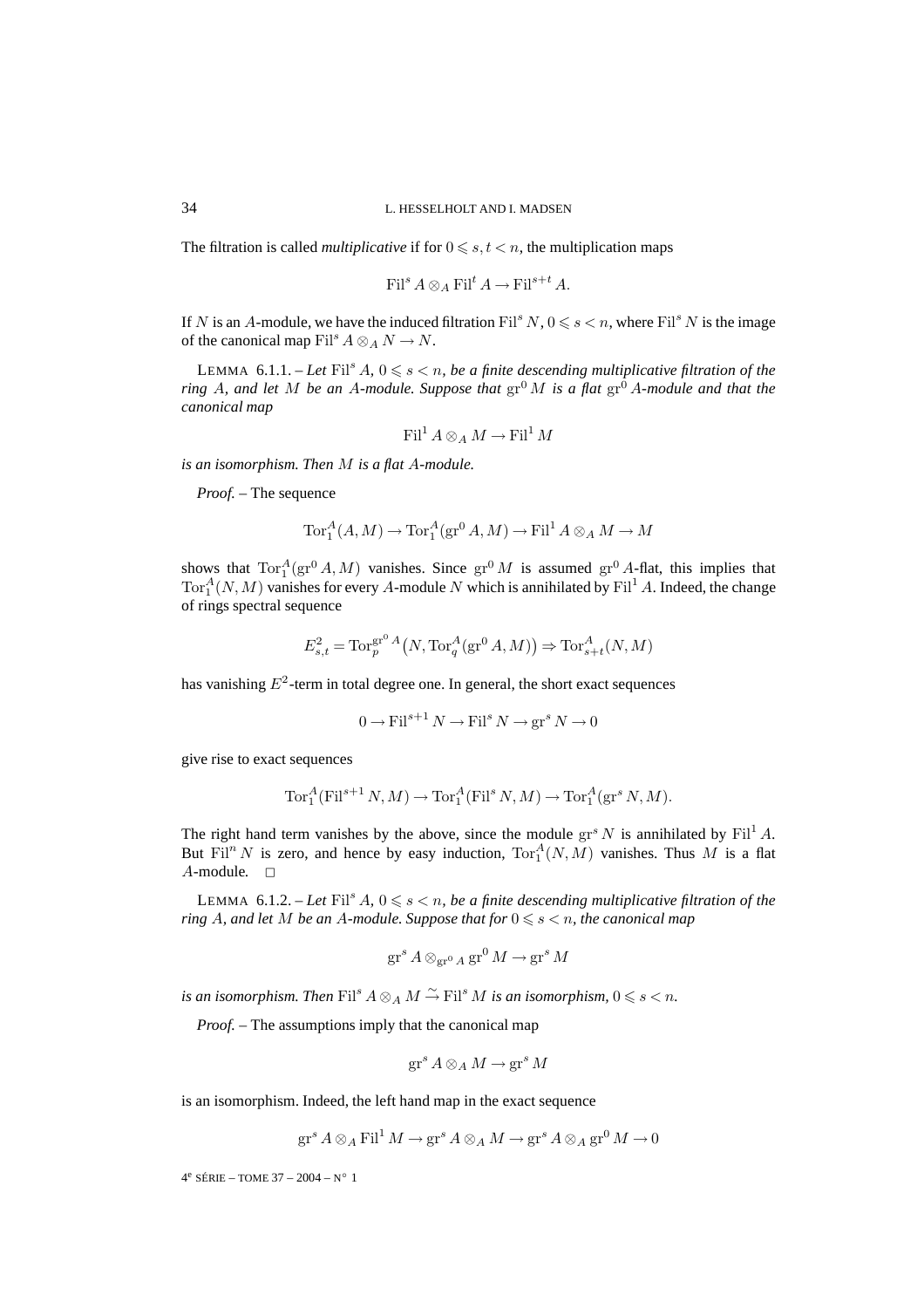The filtration is called *multiplicative* if for  $0 \le s, t < n$ , the multiplication maps

$$
\operatorname{Fil}^s A \otimes_A \operatorname{Fil}^t A \to \operatorname{Fil}^{s+t} A.
$$

If N is an A-module, we have the induced filtration  $\text{Fil}^s N$ ,  $0 \leq s \leq n$ , where  $\text{Fil}^s N$  is the image of the canonical map Fil<sup>s</sup>  $A \otimes_A N \rightarrow N$ .

LEMMA  $6.1.1.$  - Let  $\text{Fil}^s A$ ,  $0 \leq s < n$ , be a finite descending multiplicative filtration of the *ring* A, and let M be an A-module. Suppose that  $gr^0 M$  is a flat  $gr^0 A$ -module and that the *canonical map*

$$
\operatorname{Fil}^1 A \otimes_A M \to \operatorname{Fil}^1 M
$$

*is an isomorphism. Then* M *is a flat* A*-module.*

*Proof. –* The sequence

$$
\operatorname{Tor}^A_1(A, M) \to \operatorname{Tor}^A_1(\operatorname{gr}^0 A, M) \to \operatorname{Fil}^1 A \otimes_A M \to M
$$

shows that  $Tor_1^A(gr^0A, M)$  vanishes. Since  $gr^0M$  is assumed  $gr^0A$ -flat, this implies that  $\text{Tor}_1^A(N,M)$  vanishes for every A-module N which is annihilated by  $\text{Fil}^1 A$ . Indeed, the change of rings spectral sequence

$$
E_{s,t}^2 = \text{Tor}_p^{\text{gr}^0 A}\big(N, \text{Tor}_q^A(\text{gr}^0 A, M)\big) \Rightarrow \text{Tor}_{s+t}^A(N, M)
$$

has vanishing  $E^2$ -term in total degree one. In general, the short exact sequences

$$
0 \to \text{Fil}^{s+1} N \to \text{Fil}^s N \to \text{gr}^s N \to 0
$$

give rise to exact sequences

$$
\operatorname{Tor}^A_1(\operatorname{Fil}^{s+1}N,M) \to \operatorname{Tor}^A_1(\operatorname{Fil}^sN,M) \to \operatorname{Tor}^A_1(\operatorname{gr}^sN,M).
$$

The right hand term vanishes by the above, since the module  $gr^{s} N$  is annihilated by  $Fil^{1} A$ . But Fil<sup>n</sup> N is zero, and hence by easy induction,  $Tor_1^A(N,M)$  vanishes. Thus M is a flat  $A$ -module.  $\Box$ 

LEMMA  $6.1.2.$  – Let  $\text{Fil}^s A$ ,  $0 \leq s < n$ , be a finite descending multiplicative filtration of the  $r$ *ing A, and let M be an A-module. Suppose that for*  $0 \leqslant s < n$ , *the canonical map* 

$$
\operatorname{gr}^s A \otimes_{\operatorname{gr}^0 A} \operatorname{gr}^0 M \to \operatorname{gr}^s M
$$

*is an isomorphism. Then*  $\mathrm{Fil}^s A \otimes_A M \xrightarrow{\sim} \mathrm{Fil}^s M$  *is an isomorphism,*  $0 \leqslant s < n$ .

*Proof. –* The assumptions imply that the canonical map

$$
\operatorname{gr}^s A \otimes_A M \to \operatorname{gr}^s M
$$

is an isomorphism. Indeed, the left hand map in the exact sequence

$$
\operatorname{gr}^s A \otimes_A \operatorname{Fil}^1 M \to \operatorname{gr}^s A \otimes_A M \to \operatorname{gr}^s A \otimes_A \operatorname{gr}^0 M \to 0
$$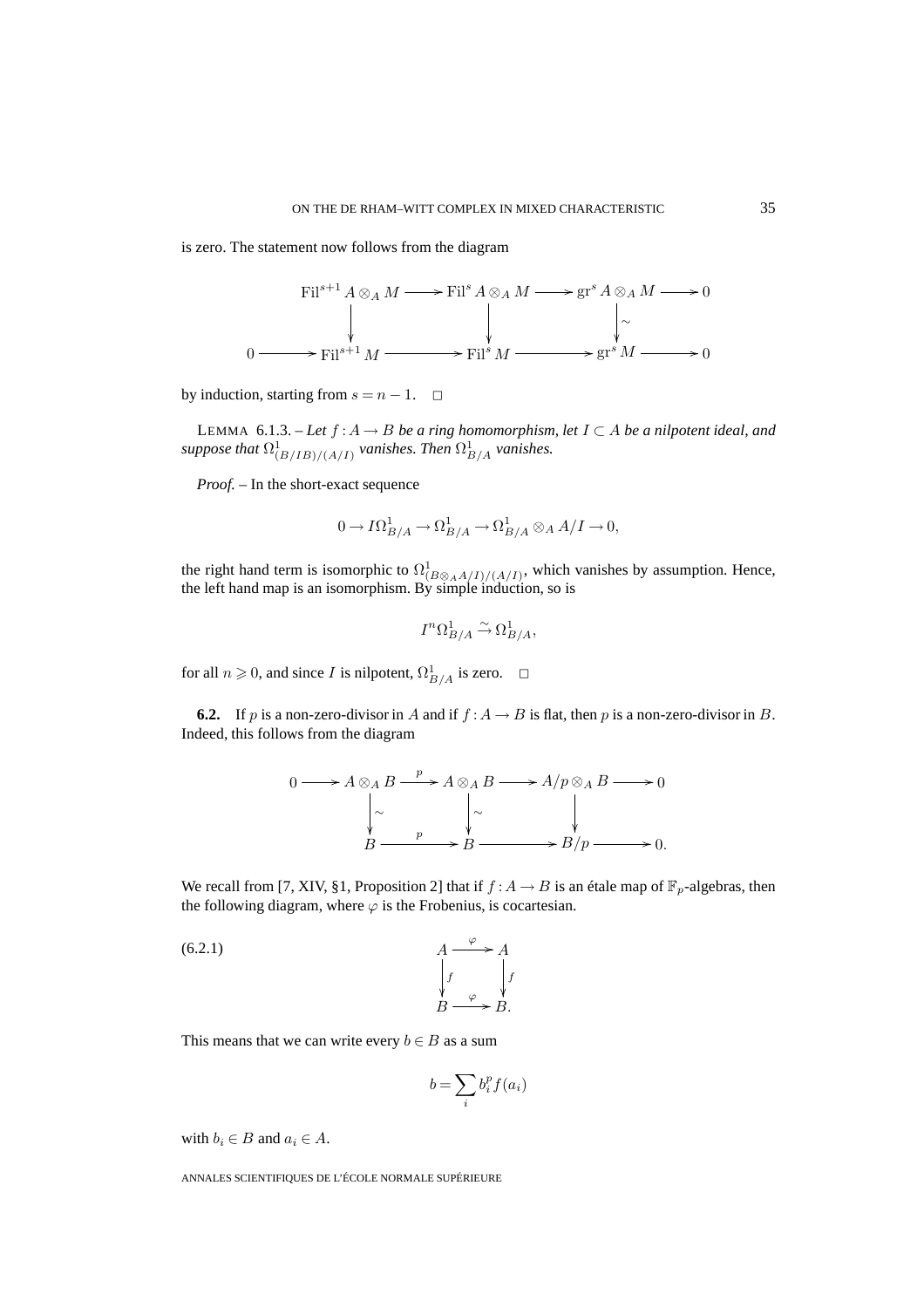is zero. The statement now follows from the diagram



by induction, starting from  $s = n - 1$ .  $\Box$ 

LEMMA 6.1.3. – Let  $f: A \to B$  be a ring homomorphism, let  $I \subset A$  be a nilpotent ideal, and suppose that  $\Omega^1_{(B/IB)/(A/I)}$  *vanishes. Then*  $\Omega^1_{B/A}$  *vanishes.* 

*Proof. –* In the short-exact sequence

$$
0 \to I\Omega^1_{B/A} \to \Omega^1_{B/A} \to \Omega^1_{B/A} \otimes_A A/I \to 0,
$$

the right hand term is isomorphic to  $\Omega^1_{(B \otimes_A A/I)/(A/I)}$ , which vanishes by assumption. Hence, the left hand map is an isomorphism. By simple induction, so is

$$
I^n \Omega^1_{B/A} \xrightarrow{\sim} \Omega^1_{B/A},
$$

for all  $n \ge 0$ , and since I is nilpotent,  $\Omega^1_{B/A}$  is zero.  $\Box$ 

**6.2.** If p is a non-zero-divisor in A and if  $f : A \rightarrow B$  is flat, then p is a non-zero-divisor in B. Indeed, this follows from the diagram

$$
0 \longrightarrow A \otimes_A B \xrightarrow{p} A \otimes_A B \longrightarrow A/p \otimes_A B \longrightarrow 0
$$
  
\n
$$
\downarrow \sim \qquad \qquad \downarrow \sim \qquad \qquad \downarrow
$$
  
\n
$$
B \xrightarrow{p} B \longrightarrow B/p \longrightarrow 0.
$$

We recall from [7, XIV, §1, Proposition 2] that if  $f : A \to B$  is an étale map of  $\mathbb{F}_p$ -algebras, then the following diagram, where  $\varphi$  is the Frobenius, is cocartesian.

$$
\begin{array}{ccc}\nA & \xrightarrow{\varphi} & A \\
\downarrow f & \downarrow f \\
B & \xrightarrow{\varphi} & B.\n\end{array}
$$

This means that we can write every  $b \in B$  as a sum

$$
b = \sum_i b_i^p f(a_i)
$$

with  $b_i \in B$  and  $a_i \in A$ .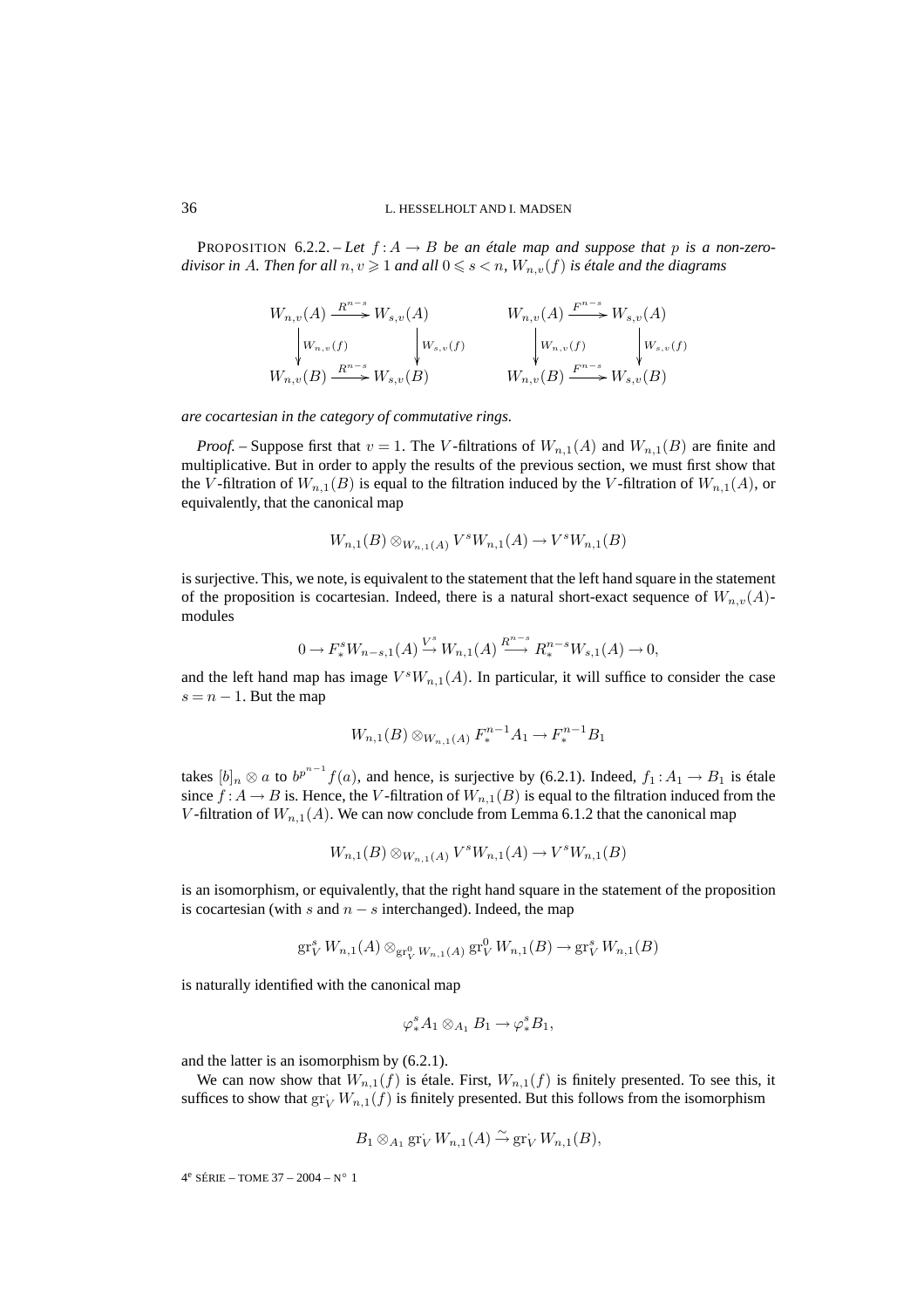PROPOSITION 6.2.2. – Let  $f: A \rightarrow B$  be an étale map and suppose that p is a non-zero $divisor$  in  $A$ *. Then for all*  $n, v \geqslant 1$  *and all*  $0 \leqslant s < n$ ,  $W_{n,v}(f)$  is étale and the diagrams

$$
W_{n,v}(A) \xrightarrow{\mathbb{R}^{n-s}} W_{s,v}(A) \qquad W_{n,v}(A) \xrightarrow{\mathbb{F}^{n-s}} W_{s,v}(A)
$$
  
\n
$$
\downarrow \qquad W_{n,v}(f) \qquad \qquad W_{s,v}(f) \qquad \qquad W_{n,v}(f) \qquad \qquad W_{n,v}(f) \qquad \qquad W_{s,v}(f)
$$
  
\n
$$
W_{n,v}(B) \xrightarrow{\mathbb{R}^{n-s}} W_{s,v}(B) \qquad W_{n,v}(B) \xrightarrow{\mathbb{F}^{n-s}} W_{s,v}(B)
$$

#### *are cocartesian in the category of commutative rings.*

*Proof.* – Suppose first that  $v = 1$ . The V-filtrations of  $W_{n,1}(A)$  and  $W_{n,1}(B)$  are finite and multiplicative. But in order to apply the results of the previous section, we must first show that the V-filtration of  $W_{n,1}(B)$  is equal to the filtration induced by the V-filtration of  $W_{n,1}(A)$ , or equivalently, that the canonical map

$$
W_{n,1}(B) \otimes_{W_{n,1}(A)} V^s W_{n,1}(A) \to V^s W_{n,1}(B)
$$

is surjective. This, we note, is equivalent to the statement that the left hand square in the statement of the proposition is cocartesian. Indeed, there is a natural short-exact sequence of  $W_{n,v}(A)$ modules

$$
0 \to F_*^s W_{n-s,1}(A) \xrightarrow{V^s} W_{n,1}(A) \xrightarrow{R^{n-s}} R_*^{n-s} W_{s,1}(A) \to 0,
$$

and the left hand map has image  $V^sW_{n,1}(A)$ . In particular, it will suffice to consider the case  $s = n - 1$ . But the map

$$
W_{n,1}(B) \otimes_{W_{n,1}(A)} F_{*}^{n-1}A_1 \to F_{*}^{n-1}B_1
$$

takes  $[b]_n \otimes a$  to  $b^{p^{n-1}}f(a)$ , and hence, is surjective by (6.2.1). Indeed,  $f_1: A_1 \to B_1$  is étale since  $f : A \to B$  is. Hence, the V-filtration of  $W_{n,1}(B)$  is equal to the filtration induced from the V-filtration of  $W_{n,1}(A)$ . We can now conclude from Lemma 6.1.2 that the canonical map

$$
W_{n,1}(B) \otimes_{W_{n,1}(A)} V^s W_{n,1}(A) \to V^s W_{n,1}(B)
$$

is an isomorphism, or equivalently, that the right hand square in the statement of the proposition is cocartesian (with s and  $n - s$  interchanged). Indeed, the map

$$
\operatorname{gr}_V^s W_{n,1}(A) \otimes_{\operatorname{gr}_V^0 W_{n,1}(A)} \operatorname{gr}_V^0 W_{n,1}(B) \to \operatorname{gr}_V^s W_{n,1}(B)
$$

is naturally identified with the canonical map

$$
\varphi_*^s A_1 \otimes_{A_1} B_1 \to \varphi_*^s B_1,
$$

and the latter is an isomorphism by (6.2.1).

We can now show that  $W_{n,1}(f)$  is étale. First,  $W_{n,1}(f)$  is finitely presented. To see this, it suffices to show that  $gr_V^*W_{n,1}(f)$  is finitely presented. But this follows from the isomorphism

$$
B_1 \otimes_{A_1} \operatorname{gr}_V W_{n,1}(A) \stackrel{\sim}{\to} \operatorname{gr}_V W_{n,1}(B),
$$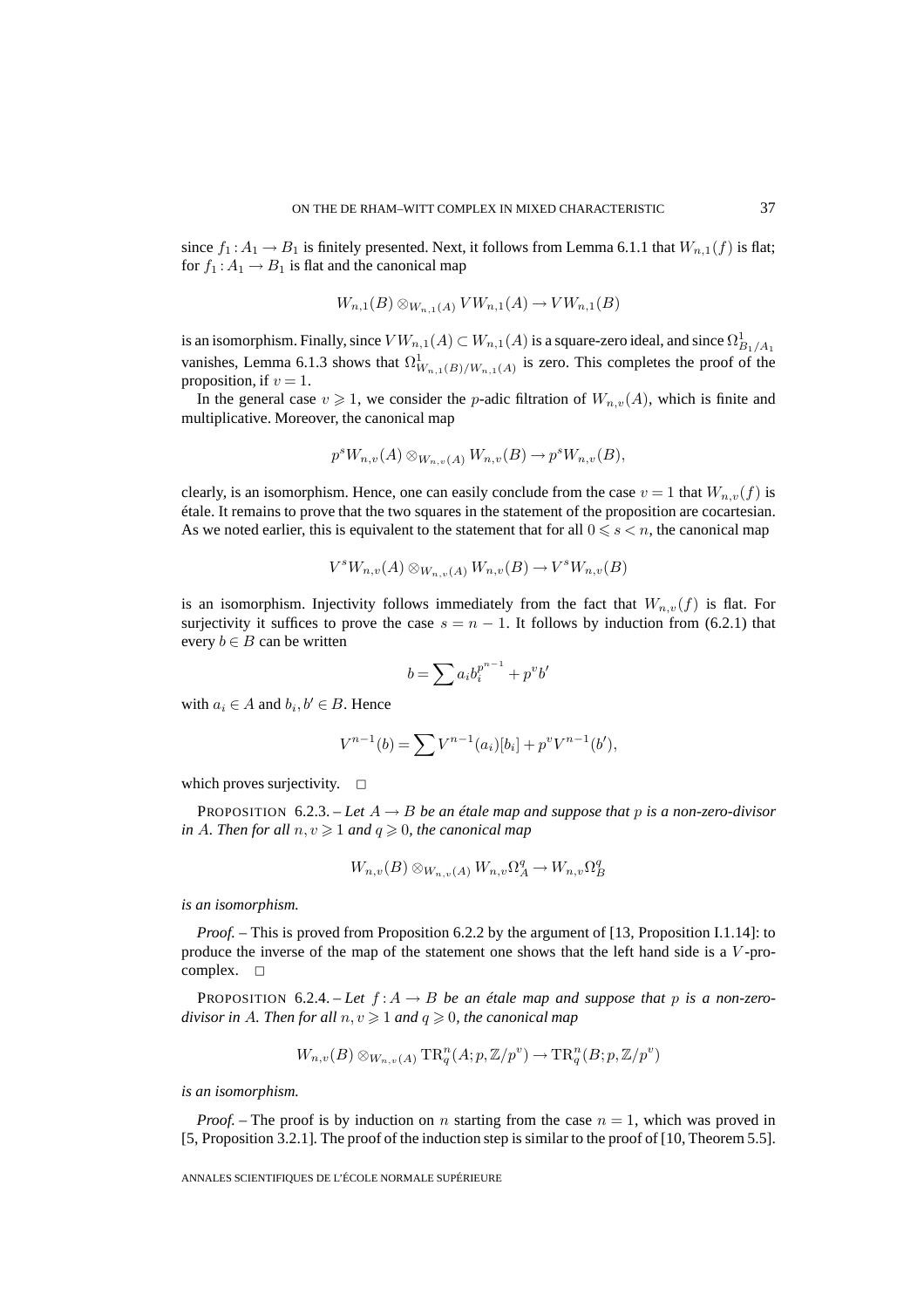since  $f_1: A_1 \to B_1$  is finitely presented. Next, it follows from Lemma 6.1.1 that  $W_{n,1}(f)$  is flat; for  $f_1$ :  $A_1 \rightarrow B_1$  is flat and the canonical map

$$
W_{n,1}(B) \otimes_{W_{n,1}(A)} VW_{n,1}(A) \to VW_{n,1}(B)
$$

is an isomorphism. Finally, since  $V W_{n,1}(A) \subset W_{n,1}(A)$  is a square-zero ideal, and since  $\Omega^1_{B_1/A_1}$ vanishes, Lemma 6.1.3 shows that  $\Omega^1_{W_{n,1}(B)/W_{n,1}(A)}$  is zero. This completes the proof of the proposition, if  $v = 1$ .

In the general case  $v \ge 1$ , we consider the *p*-adic filtration of  $W_{n,v}(A)$ , which is finite and multiplicative. Moreover, the canonical map

$$
p^s W_{n,v}(A) \otimes_{W_{n,v}(A)} W_{n,v}(B) \to p^s W_{n,v}(B),
$$

clearly, is an isomorphism. Hence, one can easily conclude from the case  $v = 1$  that  $W_{n,v}(f)$  is étale. It remains to prove that the two squares in the statement of the proposition are cocartesian. As we noted earlier, this is equivalent to the statement that for all  $0 \le s \le n$ , the canonical map

$$
V^sW_{n,v}(A) \otimes_{W_{n,v}(A)} W_{n,v}(B) \to V^sW_{n,v}(B)
$$

is an isomorphism. Injectivity follows immediately from the fact that  $W_{n,v}(f)$  is flat. For surjectivity it suffices to prove the case  $s = n - 1$ . It follows by induction from (6.2.1) that every  $b \in B$  can be written

$$
b = \sum a_i b_i^{p^{n-1}} + p^v b'
$$

with  $a_i \in A$  and  $b_i, b' \in B$ . Hence

$$
V^{n-1}(b) = \sum V^{n-1}(a_i)[b_i] + p^v V^{n-1}(b'),
$$

which proves surjectivity.  $\Box$ 

PROPOSITION 6.2.3. – Let  $A \rightarrow B$  be an étale map and suppose that p is a non-zero-divisor *in* A. Then for all  $n, v \geq 1$  and  $q \geq 0$ , the canonical map

$$
W_{n,v}(B) \otimes_{W_{n,v}(A)} W_{n,v}\Omega_A^q \to W_{n,v}\Omega_B^q
$$

*is an isomorphism.*

*Proof.* – This is proved from Proposition 6.2.2 by the argument of [13, Proposition I.1.14]: to produce the inverse of the map of the statement one shows that the left hand side is a  $V$ -procomplex.  $\square$ 

**PROPOSITION** 6.2.4. – Let  $f: A \rightarrow B$  be an étale map and suppose that p is a non-zero*divisor in A. Then for all*  $n, v \geq 1$  *and*  $q \geq 0$ *, the canonical map* 

$$
W_{n,v}(B) \otimes_{W_{n,v}(A)} \mathrm{TR}^n_q(A;p,\mathbb{Z}/p^v) \to \mathrm{TR}^n_q(B;p,\mathbb{Z}/p^v)
$$

*is an isomorphism.*

*Proof.* – The proof is by induction on n starting from the case  $n = 1$ , which was proved in [5, Proposition 3.2.1]. The proof of the induction step is similar to the proof of [10, Theorem 5.5].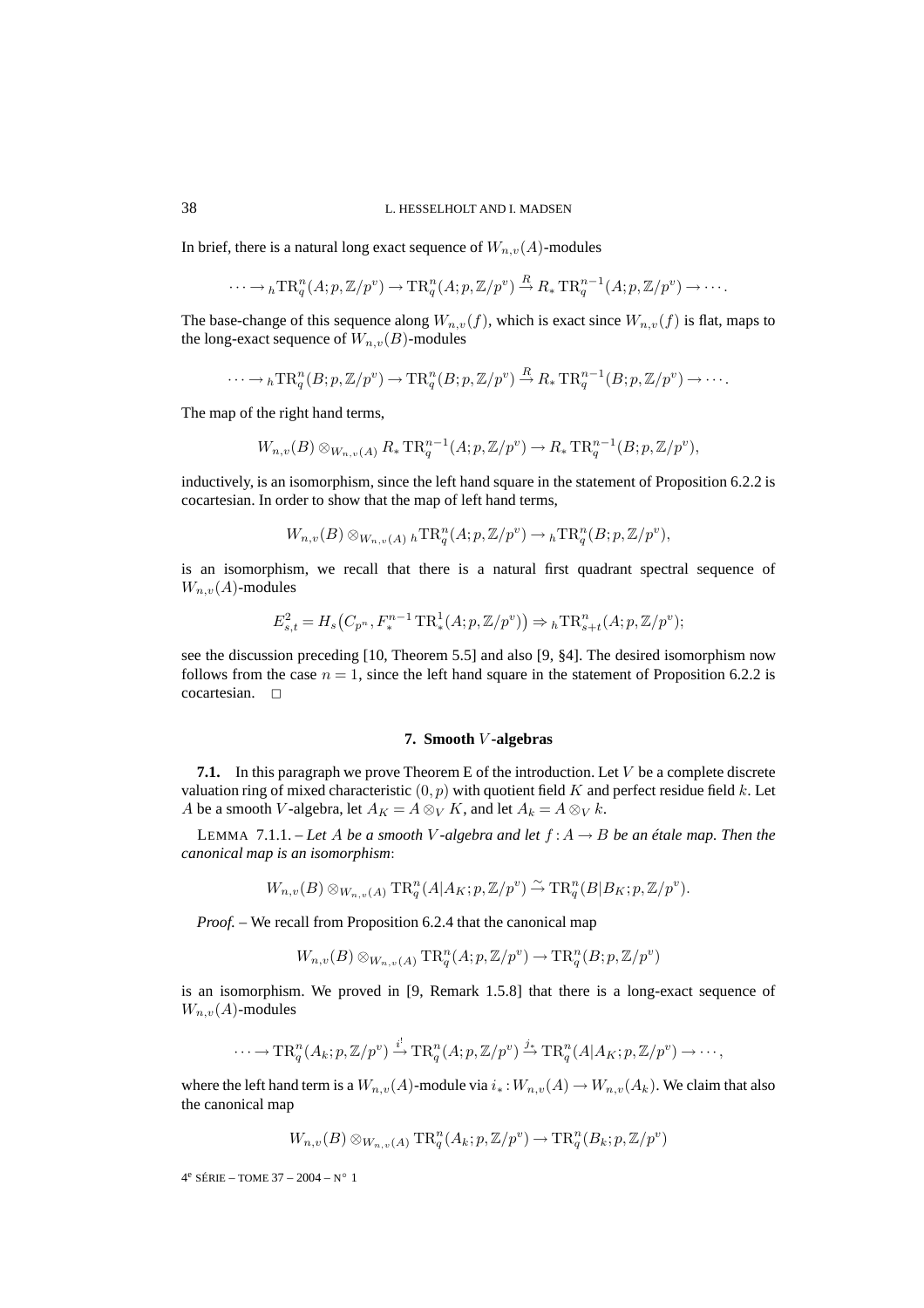In brief, there is a natural long exact sequence of  $W_{n,v}(A)$ -modules

$$
\cdots \to {}_{h}\mathrm{TR}_{q}^{n}(A;p, \mathbb{Z}/p^{v}) \to \mathrm{TR}_{q}^{n}(A;p, \mathbb{Z}/p^{v}) \stackrel{R}{\to} R_{*}\mathrm{TR}_{q}^{n-1}(A;p, \mathbb{Z}/p^{v}) \to \cdots
$$

The base-change of this sequence along  $W_{n,v}(f)$ , which is exact since  $W_{n,v}(f)$  is flat, maps to the long-exact sequence of  $W_{n,v}(B)$ -modules

$$
\cdots \to {}_{h}\mathrm{TR}^n_q(B;p,\mathbb{Z}/p^v) \to \mathrm{TR}^n_q(B;p,\mathbb{Z}/p^v) \stackrel{R}{\to} R_*\mathrm{TR}^{n-1}_q(B;p,\mathbb{Z}/p^v) \to \cdots.
$$

The map of the right hand terms,

$$
W_{n,v}(B) \otimes_{W_{n,v}(A)} R_* \text{TR}_q^{n-1}(A; p, \mathbb{Z}/p^v) \to R_* \text{TR}_q^{n-1}(B; p, \mathbb{Z}/p^v),
$$

inductively, is an isomorphism, since the left hand square in the statement of Proposition 6.2.2 is cocartesian. In order to show that the map of left hand terms,

 $W_{n,v}(B) \otimes_{W_{n,v}(A)} {}_h \text{TR}^n_q(A; p, \mathbb{Z}/p^v) \to {}_h \text{TR}^n_q(B; p, \mathbb{Z}/p^v),$ 

is an isomorphism, we recall that there is a natural first quadrant spectral sequence of  $W_{n,v}(A)$ -modules

$$
E_{s,t}^{2} = H_{s}(C_{p^{n}}, F_{*}^{n-1} \operatorname{TR}_{*}^{1}(A; p, \mathbb{Z}/p^{v})) \Rightarrow {}_{h}\operatorname{TR}_{s+t}^{n}(A; p, \mathbb{Z}/p^{v});
$$

see the discussion preceding [10, Theorem 5.5] and also [9, §4]. The desired isomorphism now follows from the case  $n = 1$ , since the left hand square in the statement of Proposition 6.2.2 is  $cocartesian. \quad \Box$ 

#### **7. Smooth** V **-algebras**

**7.1.** In this paragraph we prove Theorem E of the introduction. Let V be a complete discrete valuation ring of mixed characteristic  $(0, p)$  with quotient field K and perfect residue field k. Let A be a smooth V-algebra, let  $A_K = A \otimes_V K$ , and let  $A_k = A \otimes_V k$ .

LEMMA 7.1.1. – Let A be a smooth V-algebra and let  $f : A \rightarrow B$  be an étale map. Then the *canonical map is an isomorphism*:

$$
W_{n,v}(B) \otimes_{W_{n,v}(A)} \text{TR}^n_q(A|A_K; p, \mathbb{Z}/p^v) \overset{\sim}{\to} \text{TR}^n_q(B|B_K; p, \mathbb{Z}/p^v).
$$

*Proof. –* We recall from Proposition 6.2.4 that the canonical map

$$
W_{n,v}(B) \otimes_{W_{n,v}(A)} \text{TR}_q^n(A; p, \mathbb{Z}/p^v) \to \text{TR}_q^n(B; p, \mathbb{Z}/p^v)
$$

is an isomorphism. We proved in [9, Remark 1.5.8] that there is a long-exact sequence of  $W_{n,v}(A)$ -modules

$$
\cdots \to \mathrm{TR}^n_q(A_k; p, \mathbb{Z}/p^v) \xrightarrow{i!} \mathrm{TR}^n_q(A; p, \mathbb{Z}/p^v) \xrightarrow{j_*} \mathrm{TR}^n_q(A|A_K; p, \mathbb{Z}/p^v) \to \cdots,
$$

where the left hand term is a  $W_{n,v}(A)$ -module via  $i_*:W_{n,v}(A) \to W_{n,v}(A_k)$ . We claim that also the canonical map

$$
W_{n,v}(B) \otimes_{W_{n,v}(A)} \text{TR}^n_q(A_k; p, \mathbb{Z}/p^v) \to \text{TR}^n_q(B_k; p, \mathbb{Z}/p^v)
$$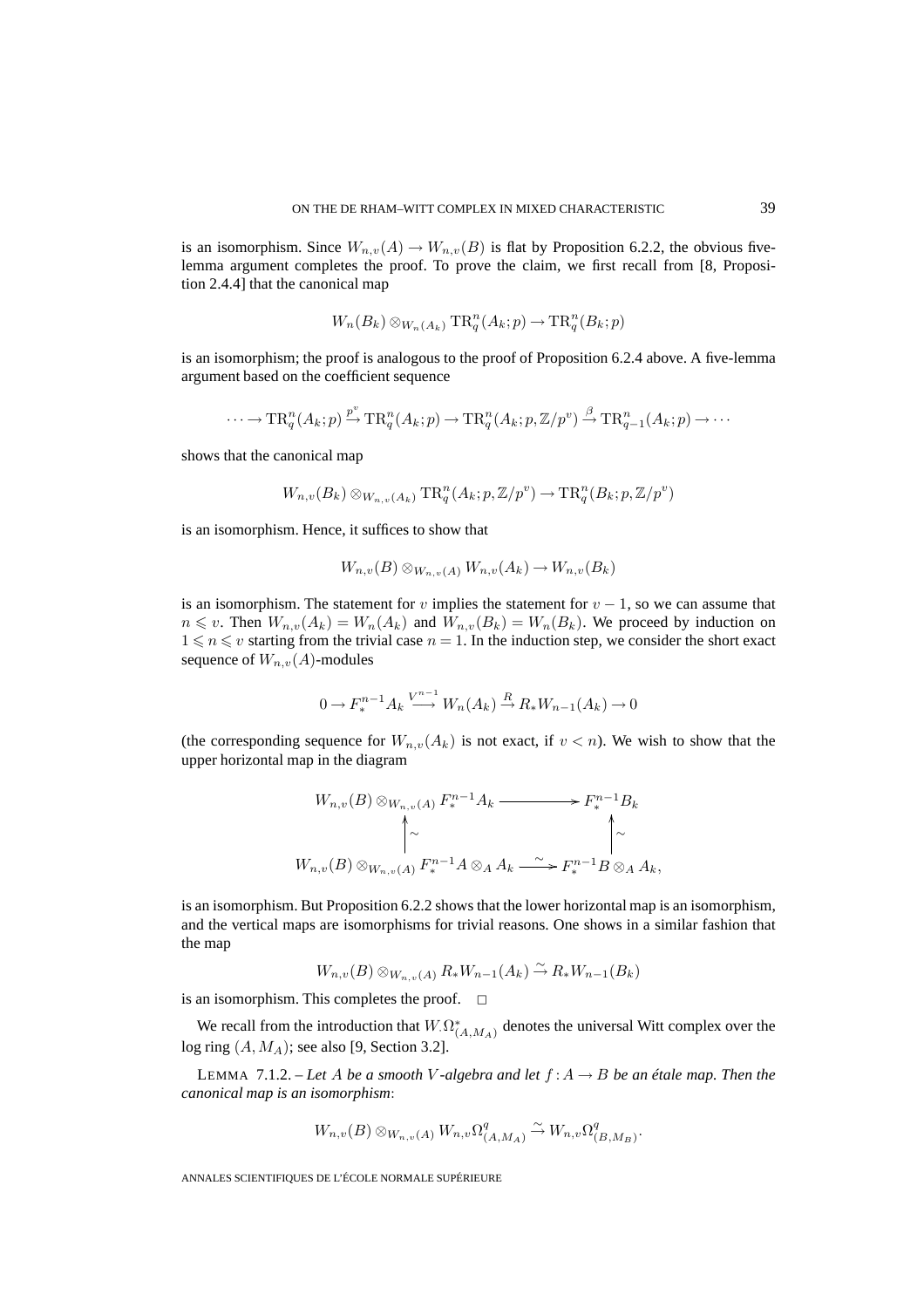is an isomorphism. Since  $W_{n,v}(A) \to W_{n,v}(B)$  is flat by Proposition 6.2.2, the obvious fivelemma argument completes the proof. To prove the claim, we first recall from [8, Proposition 2.4.4] that the canonical map

$$
W_n(B_k) \otimes_{W_n(A_k)} \mathrm{TR}_q^n(A_k; p) \to \mathrm{TR}_q^n(B_k; p)
$$

is an isomorphism; the proof is analogous to the proof of Proposition 6.2.4 above. A five-lemma argument based on the coefficient sequence

$$
\cdots \to \mathrm{TR}^n_q(A_k;p) \xrightarrow{p^v} \mathrm{TR}^n_q(A_k;p) \to \mathrm{TR}^n_q(A_k;p,\mathbb{Z}/p^v) \xrightarrow{\beta} \mathrm{TR}^n_{q-1}(A_k;p) \to \cdots
$$

shows that the canonical map

$$
W_{n,v}(B_k) \otimes_{W_{n,v}(A_k)} \text{TR}^n_q(A_k; p, \mathbb{Z}/p^v) \to \text{TR}^n_q(B_k; p, \mathbb{Z}/p^v)
$$

is an isomorphism. Hence, it suffices to show that

$$
W_{n,v}(B) \otimes_{W_{n,v}(A)} W_{n,v}(A_k) \to W_{n,v}(B_k)
$$

is an isomorphism. The statement for v implies the statement for  $v - 1$ , so we can assume that  $n \leq v$ . Then  $W_{n,v}(A_k) = W_n(A_k)$  and  $W_{n,v}(B_k) = W_n(B_k)$ . We proceed by induction on  $1 \le n \le v$  starting from the trivial case  $n = 1$ . In the induction step, we consider the short exact sequence of  $W_{n,v}(A)$ -modules

$$
0 \to F_*^{n-1}A_k \stackrel{V^{n-1}}{\longrightarrow} W_n(A_k) \stackrel{R}{\to} R_*W_{n-1}(A_k) \to 0
$$

(the corresponding sequence for  $W_{n,v}(A_k)$  is not exact, if  $v < n$ ). We wish to show that the upper horizontal map in the diagram

$$
W_{n,v}(B) \otimes_{W_{n,v}(A)} F_{*}^{n-1}A_{k} \longrightarrow F_{*}^{n-1}B_{k}
$$
  
\n
$$
\uparrow \sim
$$
  
\n
$$
W_{n,v}(B) \otimes_{W_{n,v}(A)} F_{*}^{n-1}A \otimes_{A} A_{k} \longrightarrow F_{*}^{n-1}B \otimes_{A} A_{k},
$$

is an isomorphism. But Proposition 6.2.2 shows that the lower horizontal map is an isomorphism, and the vertical maps are isomorphisms for trivial reasons. One shows in a similar fashion that the map

$$
W_{n,v}(B) \otimes_{W_{n,v}(A)} R_* W_{n-1}(A_k) \stackrel{\sim}{\rightarrow} R_* W_{n-1}(B_k)
$$

is an isomorphism. This completes the proof.  $\Box$ 

We recall from the introduction that  $W_{\cdot}\Omega_{(A,M_A)}^*$  denotes the universal Witt complex over the log ring  $(A, M_A)$ ; see also [9, Section 3.2].

LEMMA 7.1.2. – Let A be a smooth V-algebra and let  $f : A \rightarrow B$  be an étale map. Then the *canonical map is an isomorphism*:

$$
W_{n,v}(B) \otimes_{W_{n,v}(A)} W_{n,v} \Omega_{(A,M_A)}^q \xrightarrow{\sim} W_{n,v} \Omega_{(B,M_B)}^q.
$$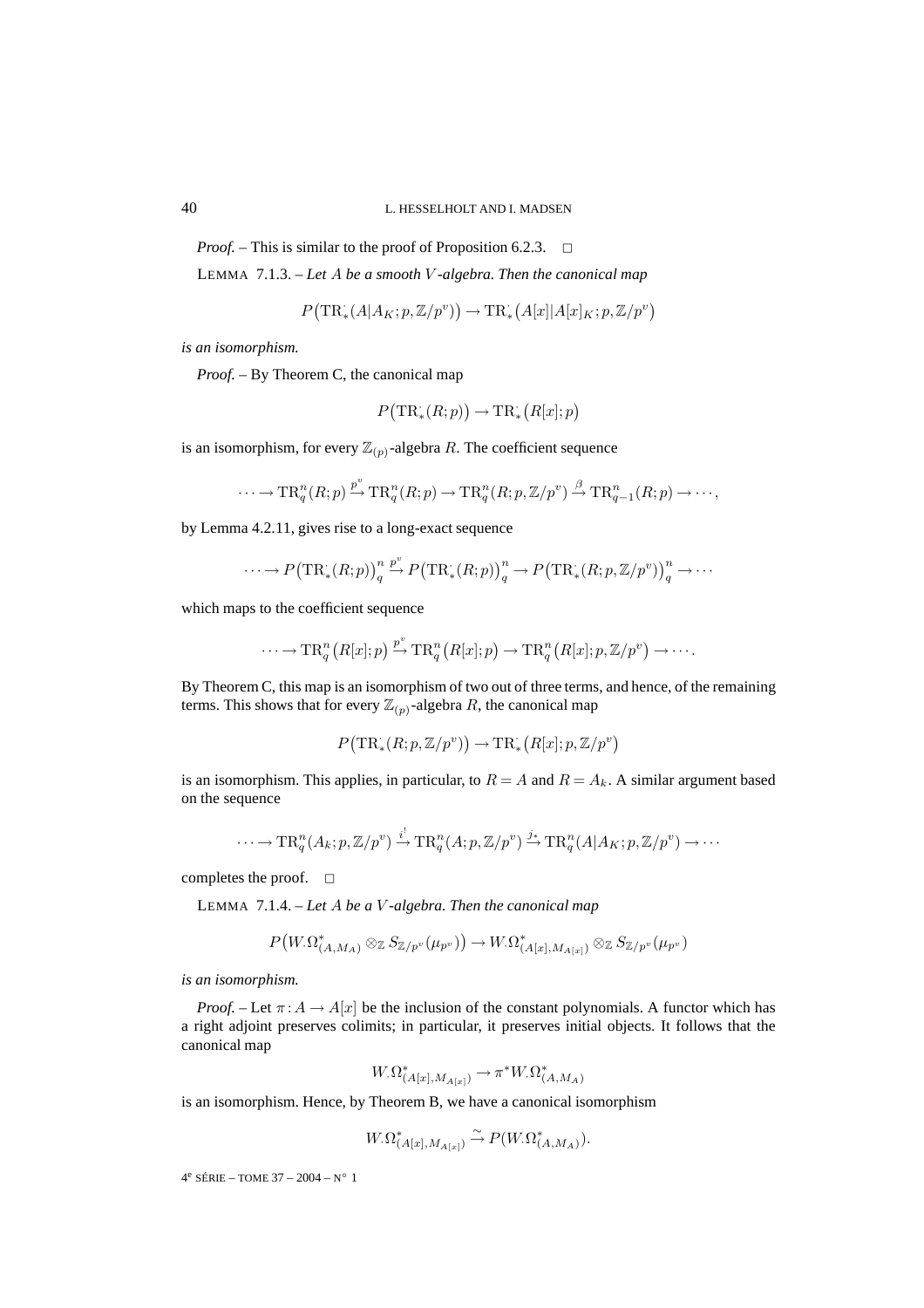*Proof.* – This is similar to the proof of Proposition 6.2.3. <del>□</del>

LEMMA 7.1.3. – *Let* A *be a smooth* V *-algebra. Then the canonical map*

$$
P\big(\mathrm{TR}^{\cdot}_*(A|A_K;p,\mathbb{Z}/p^v)\big) \rightarrow \mathrm{TR}^{\cdot}_*\big(A[x]|A[x]_K;p,\mathbb{Z}/p^v\big)
$$

*is an isomorphism.*

*Proof. –* By Theorem C, the canonical map

$$
P(\mathrm{TR}_*(R;p)) \to \mathrm{TR}_*(R[x];p)
$$

is an isomorphism, for every  $\mathbb{Z}_{(p)}$ -algebra R. The coefficient sequence

$$
\cdots \to \mathrm{TR}^n_q(R;p) \xrightarrow{p^v} \mathrm{TR}^n_q(R;p) \to \mathrm{TR}^n_q(R;p,\mathbb{Z}/p^v) \xrightarrow{\beta} \mathrm{TR}^n_{q-1}(R;p) \to \cdots,
$$

by Lemma 4.2.11, gives rise to a long-exact sequence

$$
\cdots \longrightarrow P\big(\mathrm{TR}^{\cdot}_*(R;p)\big)^n_q \xrightarrow{p^v} P\big(\mathrm{TR}^{\cdot}_*(R;p)\big)^n_q \longrightarrow P\big(\mathrm{TR}^{\cdot}_*(R;p,\mathbb{Z}/p^v)\big)^n_q \longrightarrow \cdots
$$

which maps to the coefficient sequence

$$
\cdots \to \mathrm{TR}^n_q\big(R[x];p\big) \stackrel{p^v}{\to} \mathrm{TR}^n_q\big(R[x];p\big) \to \mathrm{TR}^n_q\big(R[x];p,{\mathbb Z}/p^v\big) \to \cdots.
$$

By Theorem C, this map is an isomorphism of two out of three terms, and hence, of the remaining terms. This shows that for every  $\mathbb{Z}_{(p)}$ -algebra R, the canonical map

$$
P(\mathrm{TR}^{\cdot}_*(R;p,\mathbb{Z}/p^v)) \to \mathrm{TR}^{\cdot}_*(R[x];p,\mathbb{Z}/p^v)
$$

is an isomorphism. This applies, in particular, to  $R = A$  and  $R = A_k$ . A similar argument based on the sequence

$$
\cdots \to \mathrm{TR}^n_q(A_k; p, \mathbb{Z}/p^v) \xrightarrow{i^!} \mathrm{TR}^n_q(A; p, \mathbb{Z}/p^v) \xrightarrow{j_*} \mathrm{TR}^n_q(A|A_K; p, \mathbb{Z}/p^v) \to \cdots
$$

completes the proof.  $\square$ 

LEMMA 7.1.4. – *Let* A *be a* V *-algebra. Then the canonical map*

$$
P\big(W_{\cdot}\Omega^*_{(A,M_A)}\otimes_{\mathbb{Z}}S_{\mathbb{Z}/p^v}(\mu_{p^v})\big)\mathop{\rightarrow} W_{\cdot}\Omega^*_{(A[x],M_{A[x]})}\otimes_{\mathbb{Z}}S_{\mathbb{Z}/p^v}(\mu_{p^v})
$$

*is an isomorphism.*

*Proof.* – Let  $\pi: A \to A[x]$  be the inclusion of the constant polynomials. A functor which has a right adjoint preserves colimits; in particular, it preserves initial objects. It follows that the canonical map

$$
W_{\cdot} \Omega^*_{(A[x], M_{A[x]})} \to \pi^* W_{\cdot} \Omega^*_{(A, M_A)}
$$

is an isomorphism. Hence, by Theorem B, we have a canonical isomorphism

$$
W_{\cdot} \Omega^*_{(A[x], M_{A[x]})} \xrightarrow{\sim} P(W_{\cdot} \Omega^*_{(A, M_A)})
$$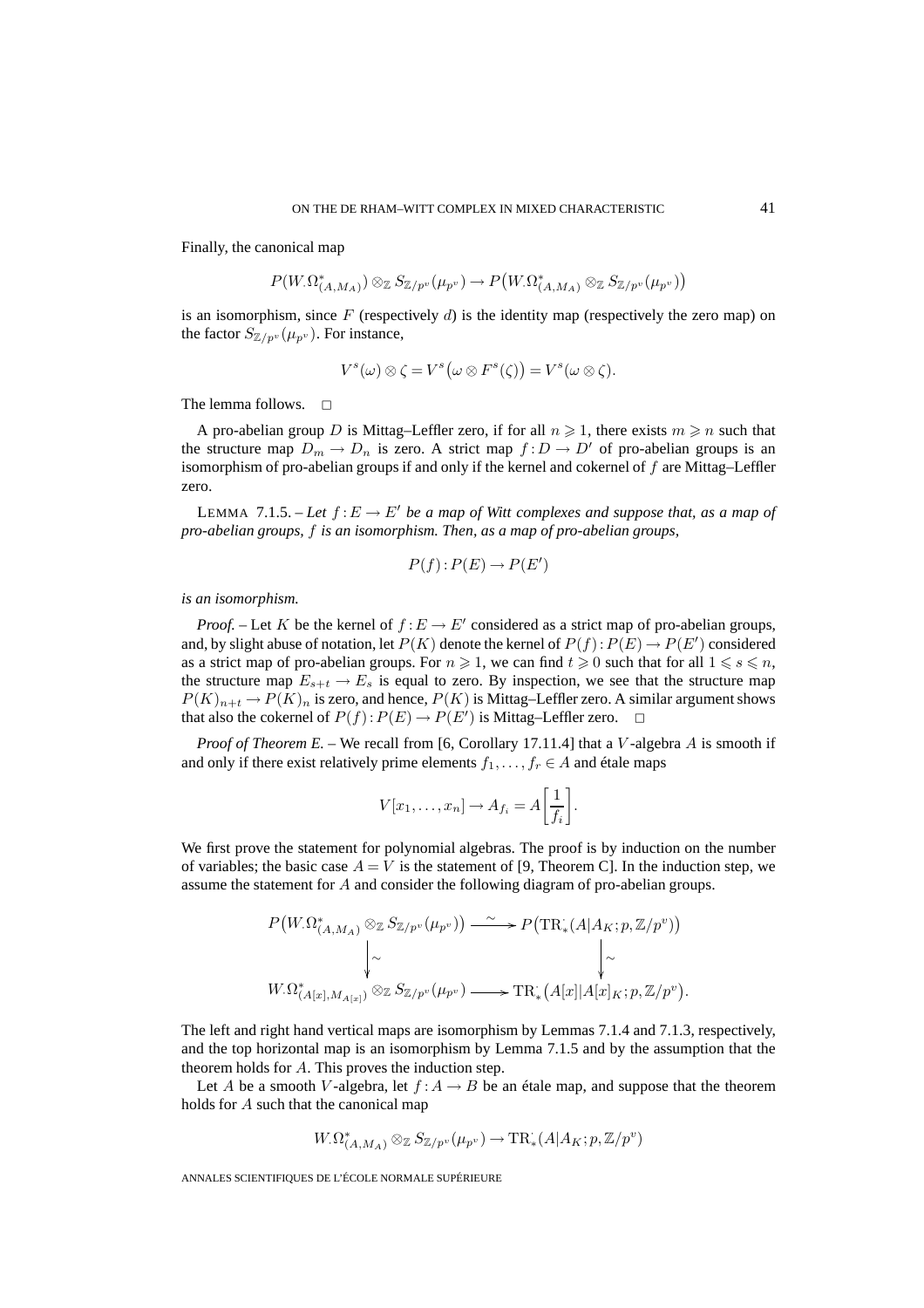Finally, the canonical map

$$
P(W_{\cdot}\Omega_{(A,M_A)}^*) \otimes_{\mathbb{Z}} S_{\mathbb{Z}/p^v}(\mu_{p^v}) \to P(W_{\cdot}\Omega_{(A,M_A)}^* \otimes_{\mathbb{Z}} S_{\mathbb{Z}/p^v}(\mu_{p^v}))
$$

is an isomorphism, since F (respectively d) is the identity map (respectively the zero map) on the factor  $S_{\mathbb{Z}/p^v}(\mu_{p^v})$ . For instance,

$$
V^s(\omega) \otimes \zeta = V^s(\omega \otimes F^s(\zeta)) = V^s(\omega \otimes \zeta).
$$

The lemma follows.  $\square$ 

A pro-abelian group D is Mittag–Leffler zero, if for all  $n \geqslant 1$ , there exists  $m \geqslant n$  such that the structure map  $D_m \to D_n$  is zero. A strict map  $f : D \to D'$  of pro-abelian groups is an isomorphism of pro-abelian groups if and only if the kernel and cokernel of  $f$  are Mittag–Leffler zero.

LEMMA 7.1.5. – Let  $f: E \to E'$  be a map of Witt complexes and suppose that, as a map of *pro-abelian groups,* f *is an isomorphism. Then, as a map of pro-abelian groups,*

$$
P(f):P(E)\to P(E')
$$

*is an isomorphism.*

*Proof.* – Let K be the kernel of  $f : E \to E'$  considered as a strict map of pro-abelian groups, and, by slight abuse of notation, let  $P(K)$  denote the kernel of  $P(f)$  :  $P(E) \rightarrow P(E')$  considered as a strict map of pro-abelian groups. For  $n \geqslant 1$ , we can find  $t \geqslant 0$  such that for all  $1 \leqslant s \leqslant n$ , the structure map  $E_{s+t} \to E_s$  is equal to zero. By inspection, we see that the structure map  $P(K)_{n+t} \to P(K)_n$  is zero, and hence,  $P(K)$  is Mittag–Leffler zero. A similar argument shows that also the cokernel of  $P(f)$ :  $P(E) \rightarrow P(E')$  is Mittag-Leffler zero.  $\Box$ 

*Proof of Theorem E.* – We recall from [6, Corollary 17.11.4] that a V-algebra A is smooth if and only if there exist relatively prime elements  $f_1, \ldots, f_r \in A$  and étale maps

$$
V[x_1,\ldots,x_n] \to A_{f_i} = A\left[\frac{1}{f_i}\right].
$$

We first prove the statement for polynomial algebras. The proof is by induction on the number of variables; the basic case  $A = V$  is the statement of [9, Theorem C]. In the induction step, we assume the statement for A and consider the following diagram of pro-abelian groups.

$$
P(W_{\cdot}\Omega_{(A,M_A)}^* \otimes_{\mathbb{Z}} S_{\mathbb{Z}/p^v}(\mu_{p^v})) \xrightarrow{\sim} P\big(\mathrm{TR}_* (A|A_K; p, \mathbb{Z}/p^v)\big)
$$
  
\n
$$
\downarrow \sim \qquad \qquad \downarrow \sim
$$
  
\n
$$
W_{\cdot}\Omega_{(A[x], M_{A[x]})}^* \otimes_{\mathbb{Z}} S_{\mathbb{Z}/p^v}(\mu_{p^v}) \longrightarrow \mathrm{TR}_* (A[x]|A[x]_K; p, \mathbb{Z}/p^v).
$$

The left and right hand vertical maps are isomorphism by Lemmas 7.1.4 and 7.1.3, respectively, and the top horizontal map is an isomorphism by Lemma 7.1.5 and by the assumption that the theorem holds for A. This proves the induction step.

Let A be a smooth V-algebra, let  $f : A \rightarrow B$  be an étale map, and suppose that the theorem holds for A such that the canonical map

$$
W_{\cdot} \Omega^*_{(A,M_A)} \otimes_{\mathbb{Z}} S_{\mathbb{Z}/p^v}(\mu_{p^v}) \to \operatorname{TR}^{\cdot}_*(A \vert A_K;p, \mathbb{Z}/p^v)
$$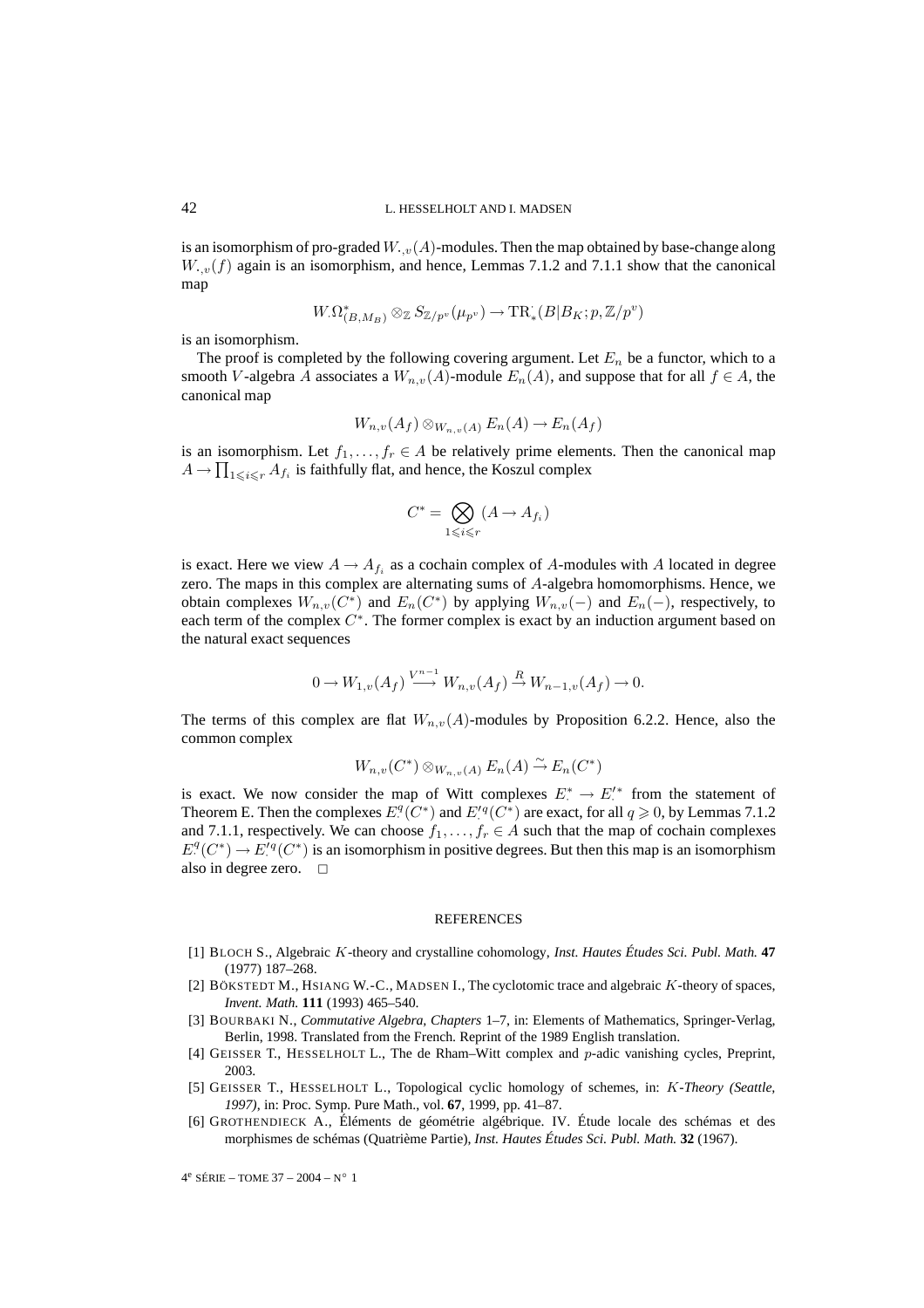is an isomorphism of pro-graded  $W_{\cdot,v}(A)$ -modules. Then the map obtained by base-change along  $W_{\cdot,v}(f)$  again is an isomorphism, and hence, Lemmas 7.1.2 and 7.1.1 show that the canonical map

$$
W_{\cdot} \Omega^*_{(B, M_B)} \otimes_{\mathbb{Z}} S_{\mathbb{Z}/p^v}(\mu_{p^v}) \to \mathrm{TR}^*_{*}(B|B_K; p, \mathbb{Z}/p^v)
$$

is an isomorphism.

The proof is completed by the following covering argument. Let  $E_n$  be a functor, which to a smooth V-algebra A associates a  $W_{n,v}(A)$ -module  $E_n(A)$ , and suppose that for all  $f \in A$ , the canonical map

$$
W_{n,v}(A_f) \otimes_{W_{n,v}(A)} E_n(A) \to E_n(A_f)
$$

is an isomorphism. Let  $f_1, \ldots, f_r \in A$  be relatively prime elements. Then the canonical map  $A \to \prod_{1 \leqslant i \leqslant r} A_{f_i}$  is faithfully flat, and hence, the Koszul complex

$$
C^* = \bigotimes_{1 \leq i \leq r} (A \to A_{f_i})
$$

is exact. Here we view  $A \to A_{f_i}$  as a cochain complex of A-modules with A located in degree zero. The maps in this complex are alternating sums of A-algebra homomorphisms. Hence, we obtain complexes  $W_{n,v}(C^*)$  and  $E_n(C^*)$  by applying  $W_{n,v}(-)$  and  $E_n(-)$ , respectively, to each term of the complex  $C^*$ . The former complex is exact by an induction argument based on the natural exact sequences

$$
0 \to W_{1,v}(A_f) \xrightarrow{V^{n-1}} W_{n,v}(A_f) \xrightarrow{R} W_{n-1,v}(A_f) \to 0.
$$

The terms of this complex are flat  $W_{n,v}(A)$ -modules by Proposition 6.2.2. Hence, also the common complex

$$
W_{n,v}(C^*) \otimes_{W_{n,v}(A)} E_n(A) \stackrel{\sim}{\to} E_n(C^*)
$$

is exact. We now consider the map of Witt complexes  $E^* \to E'^*$  from the statement of Theorem E. Then the complexes  $E^{q}(C^*)$  and  $E^{rq}(C^*)$  are exact, for all  $q \ge 0$ , by Lemmas 7.1.2 and 7.1.1, respectively. We can choose  $f_1, \ldots, f_r \in A$  such that the map of cochain complexes  $E^q(C^*) \to E^{r_q}(C^*)$  is an isomorphism in positive degrees. But then this map is an isomorphism also in degree zero.  $\Box$ 

#### **REFERENCES**

- [1] BLOCH S., Algebraic K-theory and crystalline cohomology, *Inst. Hautes Études Sci. Publ. Math.* **47** (1977) 187–268.
- [2] BÖKSTEDT M., HSIANG W.-C., MADSEN I., The cyclotomic trace and algebraic K-theory of spaces, *Invent. Math.* **111** (1993) 465–540.
- [3] BOURBAKI N., *Commutative Algebra, Chapters* 1*–*7, in: Elements of Mathematics, Springer-Verlag, Berlin, 1998. Translated from the French. Reprint of the 1989 English translation.
- [4] GEISSER T., HESSELHOLT L., The de Rham–Witt complex and p-adic vanishing cycles, Preprint, 2003.
- [5] GEISSER T., HESSELHOLT L., Topological cyclic homology of schemes, in: K*-Theory (Seattle, 1997)*, in: Proc. Symp. Pure Math., vol. **67**, 1999, pp. 41–87.
- [6] GROTHENDIECK A., Éléments de géométrie algébrique. IV. Étude locale des schémas et des morphismes de schémas (Quatrième Partie), *Inst. Hautes Études Sci. Publ. Math.* **32** (1967).